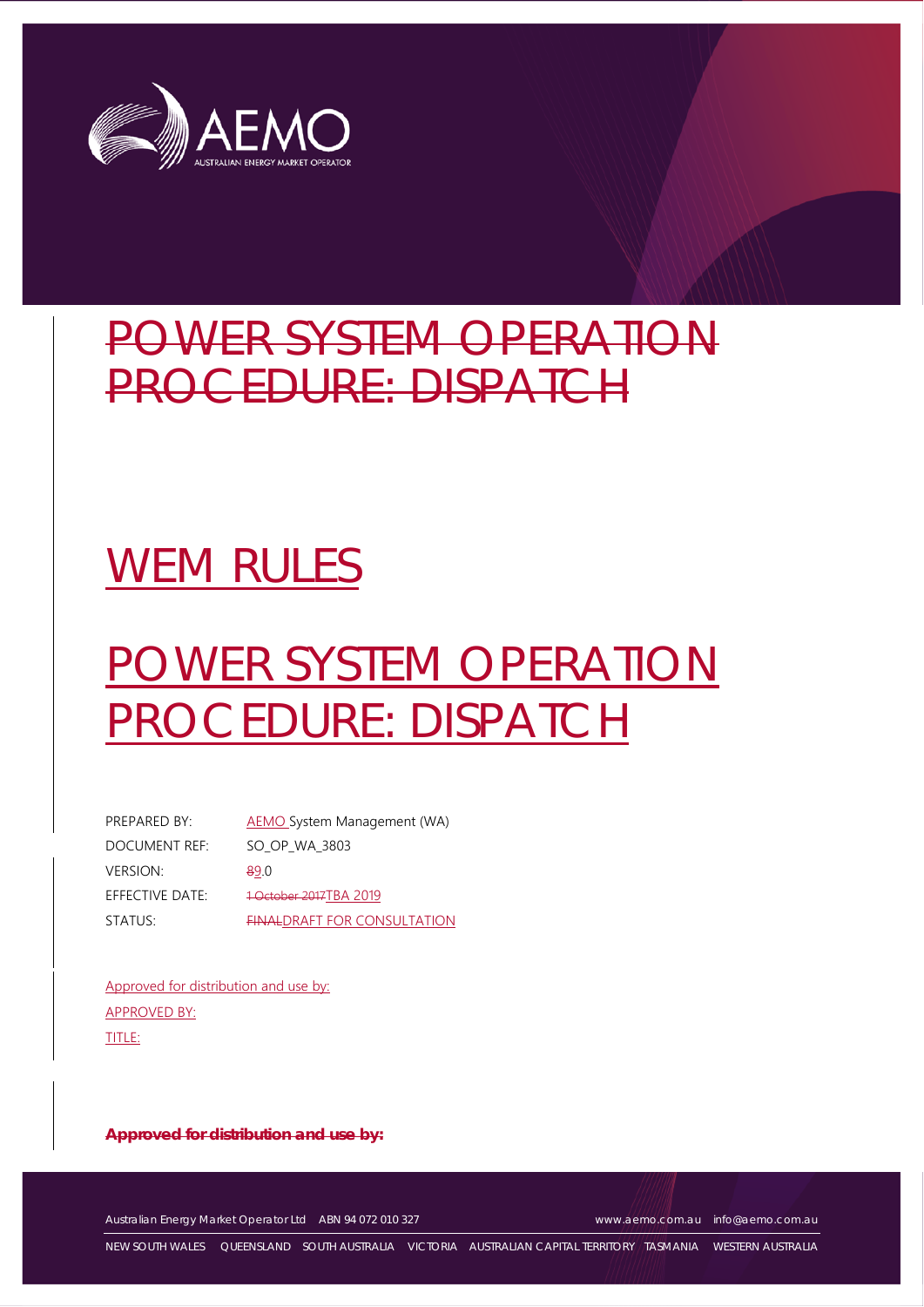

# POWER SYSTEM OPERATION PROCEDURE: DISPATCH

# WEM RULES

# POWER SYSTEM OPERATION PROCEDURE: DISPATCH

| PREPARED BY:    | <b>AEMO</b> System Management (WA) |
|-----------------|------------------------------------|
| DOCUMENT REF:   | SO OP WA 3803                      |
| <b>VERSION:</b> | 89.0                               |
| EFFECTIVE DATE: | 1 October 2017TBA 2019             |
| STATUS:         | <b>FINALDRAFT FOR CONSULTATION</b> |

Approved for distribution and use by: APPROVED BY: TITLE:

**Approved for distribution and use by:**

Australian Energy Market Operator Ltd ABN 94 072 010 327 [www.aemo.com.au](http://www.aemo.com.au/) [info@aemo.com.au](mailto:info@aemo.com.au)

NEW SOUTH WALES QUEENSLAND SOUTH AUSTRALIA VICTORIA AUSTRALIAN CAPITAL TERRITORY TASMANIA WESTERN AUSTRALIA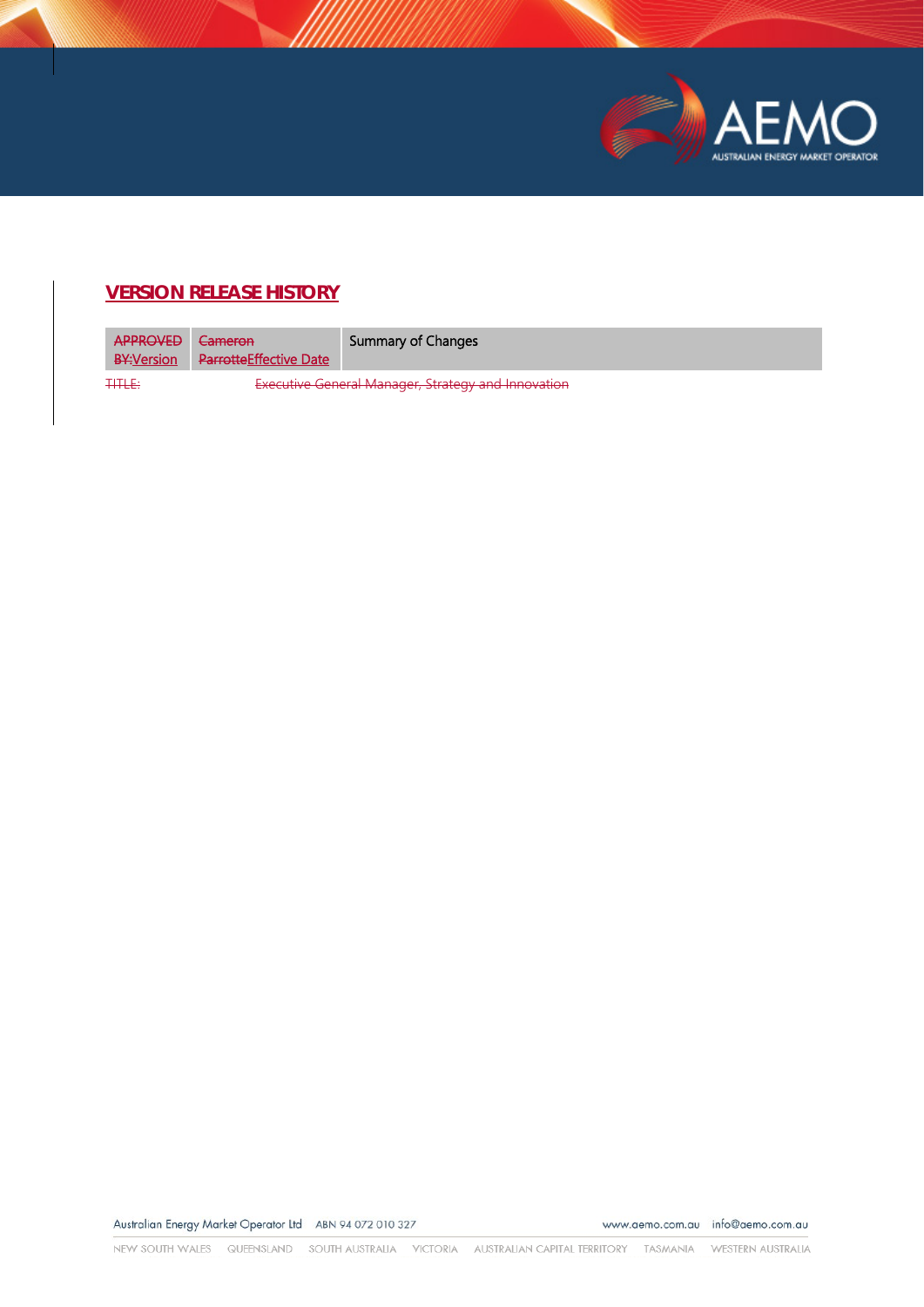

# **VERSION RELEASE HISTORY**

| APPROVED<br>BY:Version | Cameron<br><b>ParrotteEffective Date</b> | Summary of Changes                                 |
|------------------------|------------------------------------------|----------------------------------------------------|
| <b>THTLE:</b>          |                                          | Executive General Manager, Strategy and Innovation |

Australian Energy Market Operator Ltd ABN 94 072 010 327

www.aemo.com.au info@aemo.com.au

NEW SOUTH WALES QUEENSLAND SOUTH AUSTRALIA VICTORIA AUSTRALIAN CAPITAL TERRITORY TASMANIA WESTERN AUSTRALIA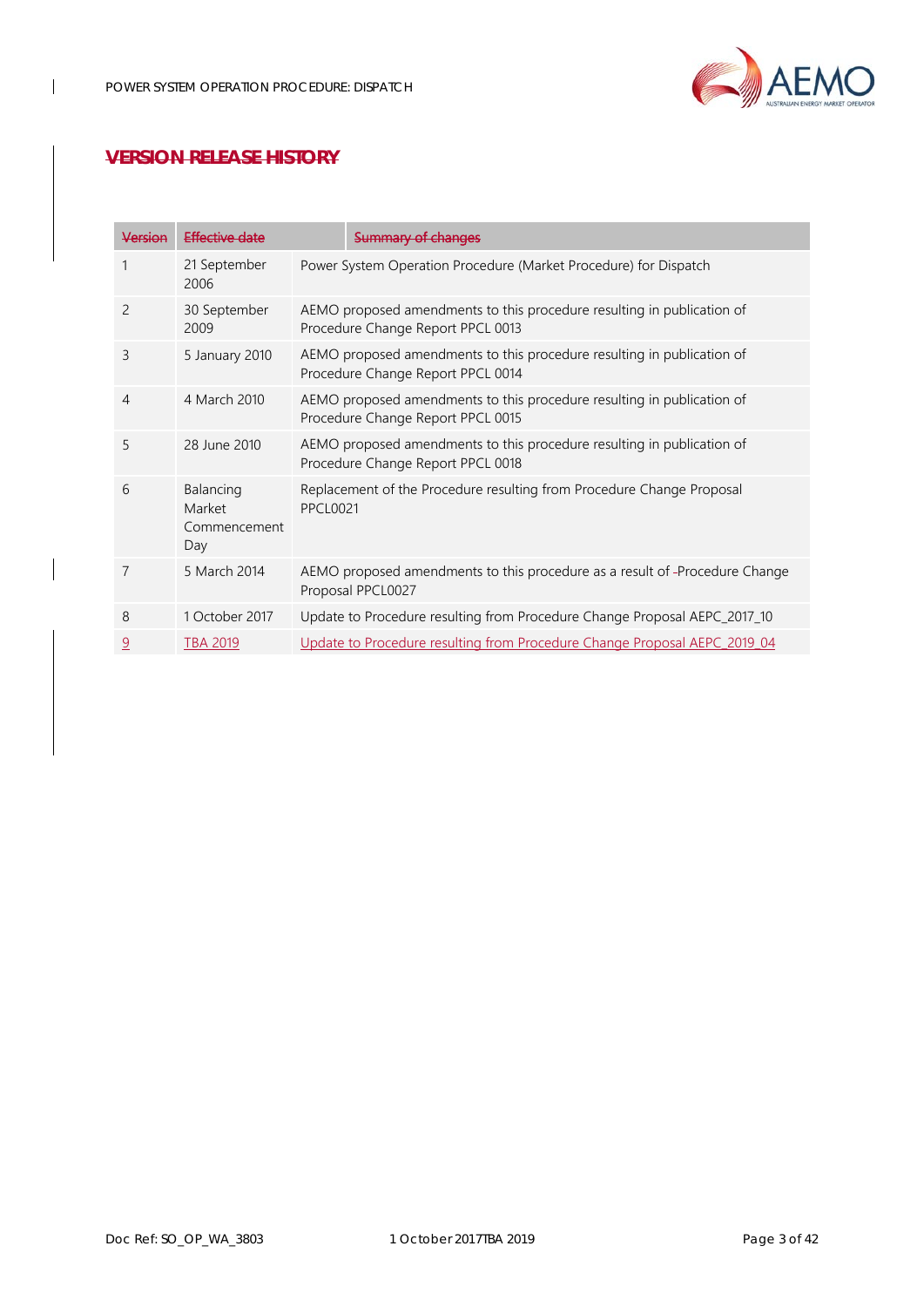

# **VERSION RELEASE HISTORY**

 $\overline{\phantom{a}}$ 

| Version | Effective date                             | <b>Summary of changes</b>                                                                                   |
|---------|--------------------------------------------|-------------------------------------------------------------------------------------------------------------|
|         | 21 September<br>2006                       | Power System Operation Procedure (Market Procedure) for Dispatch                                            |
| 2       | 30 September<br>2009                       | AEMO proposed amendments to this procedure resulting in publication of<br>Procedure Change Report PPCL 0013 |
| 3       | 5 January 2010                             | AEMO proposed amendments to this procedure resulting in publication of<br>Procedure Change Report PPCL 0014 |
| 4       | 4 March 2010                               | AEMO proposed amendments to this procedure resulting in publication of<br>Procedure Change Report PPCL 0015 |
| 5       | 28 June 2010                               | AEMO proposed amendments to this procedure resulting in publication of<br>Procedure Change Report PPCL 0018 |
| 6       | Balancing<br>Market<br>Commencement<br>Day | Replacement of the Procedure resulting from Procedure Change Proposal<br><b>PPCL0021</b>                    |
| 7       | 5 March 2014                               | AEMO proposed amendments to this procedure as a result of -Procedure Change<br>Proposal PPCL0027            |
| 8       | 1 October 2017                             | Update to Procedure resulting from Procedure Change Proposal AEPC_2017_10                                   |
| 9       | <b>TBA 2019</b>                            | Update to Procedure resulting from Procedure Change Proposal AEPC 2019 04                                   |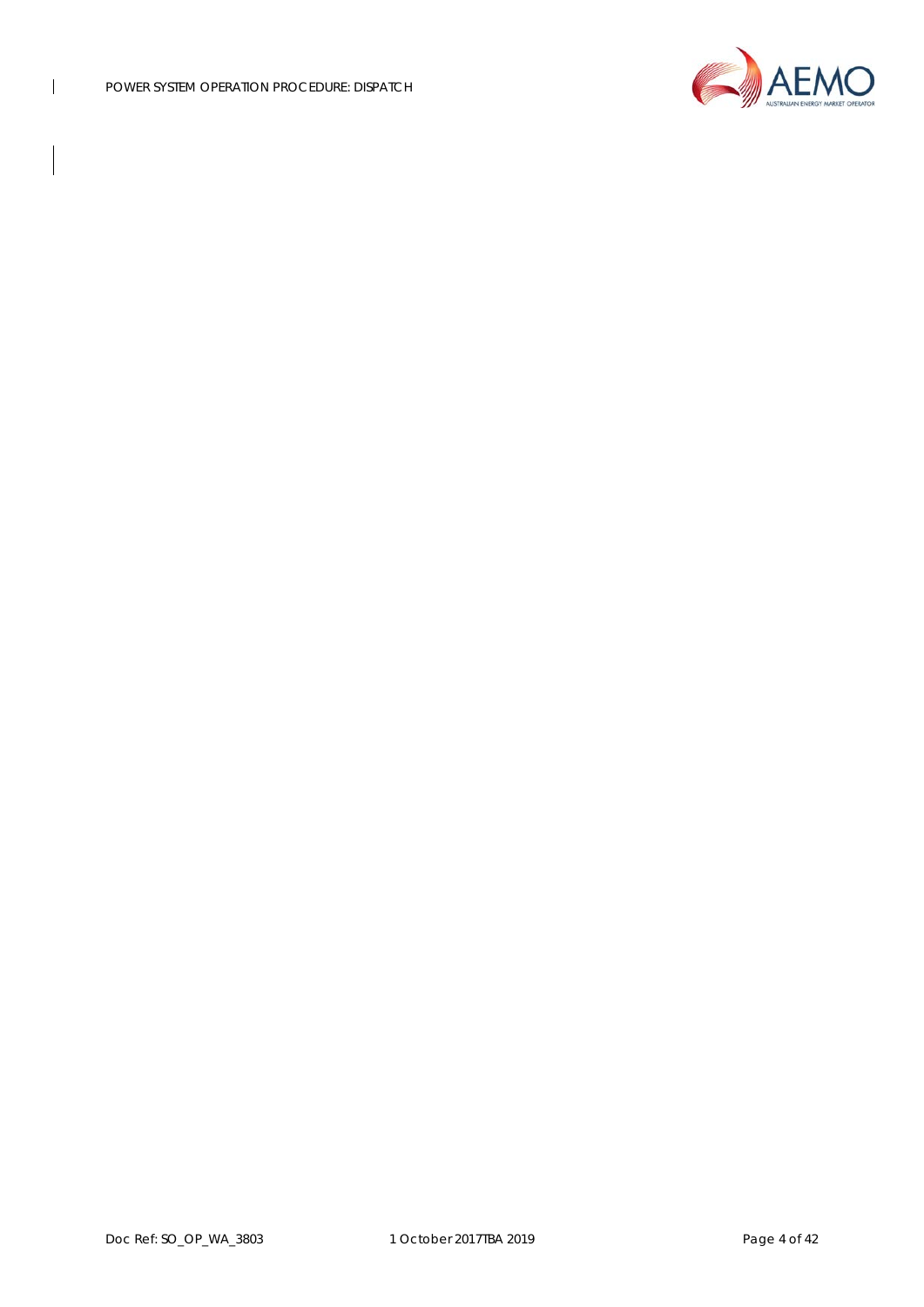$\begin{array}{c} \hline \end{array}$ 

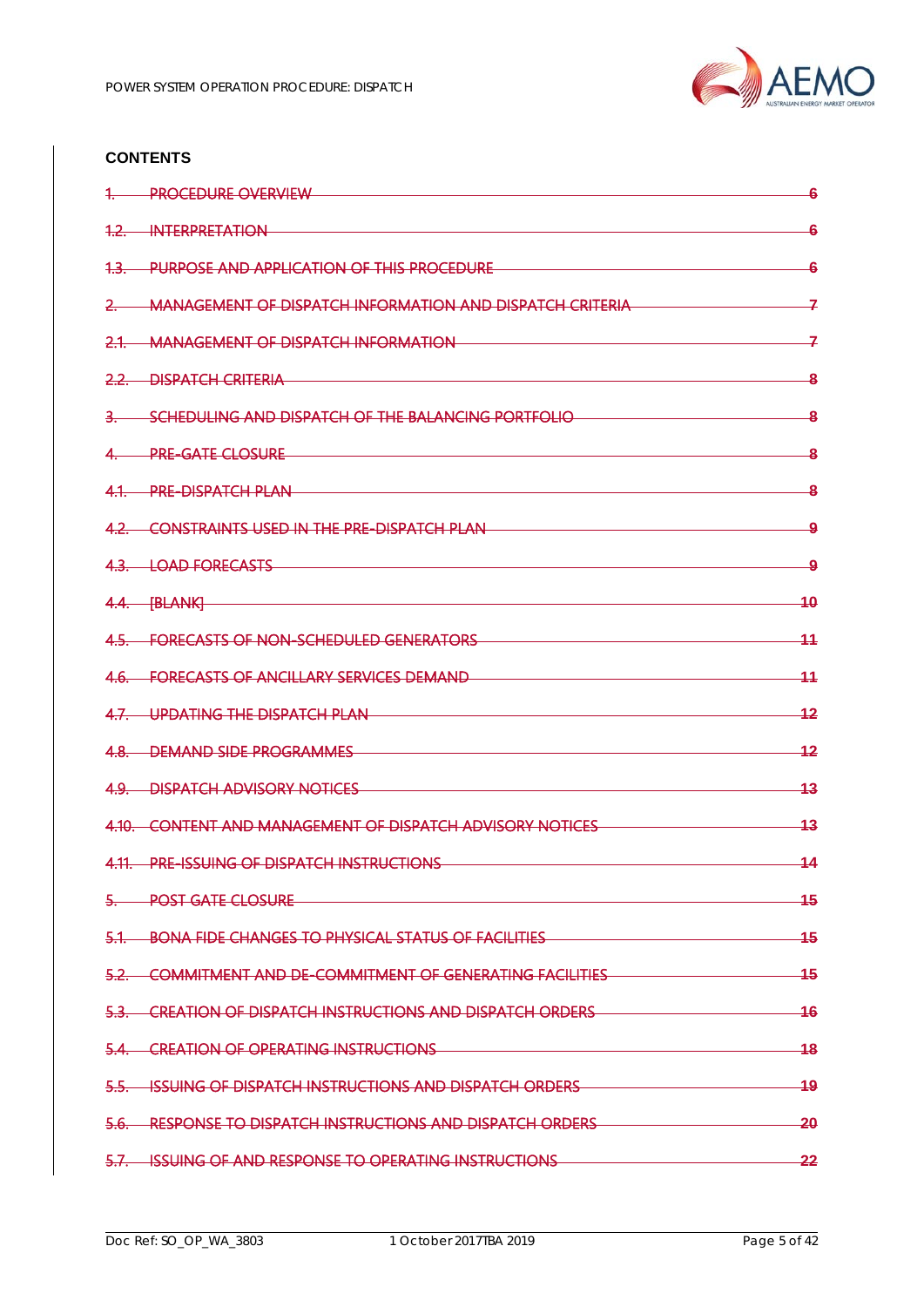

#### **CONTENTS**

| 1. PROCEDURE OVERVIEW                                                                                                                                                                                                                | -6                      |
|--------------------------------------------------------------------------------------------------------------------------------------------------------------------------------------------------------------------------------------|-------------------------|
| 1.2. INTERPRETATION <b>Andrew Contract Contract Contract Contract Contract Contract Contract Contract Contract Contract Contract Contract Contract Contract Contract Contract Contract Contract Contract Contract Contract Contr</b> | -6                      |
| 1.3. PURPOSE AND APPLICATION OF THIS PROCEDURE <b>And Contain the Contract of Active</b> And The Process of Active An                                                                                                                | -6                      |
| 2. MANAGEMENT OF DISPATCH INFORMATION AND DISPATCH CRITERIA                                                                                                                                                                          | 구                       |
| 2.1. MANAGEMENT OF DISPATCH INFORMATION                                                                                                                                                                                              | $\overline{\mathbf{z}}$ |
| 2.2. DISPATCH CRITERIA                                                                                                                                                                                                               | -8                      |
| SCHEDULING AND DISPATCH OF THE BALANCING PORTFOLIO                                                                                                                                                                                   | -8                      |
| 4. PRE-GATE CLOSURE                                                                                                                                                                                                                  | -8                      |
| <u> 1980 - Johann Barn, mars an t-Amerikaansk ferskeizh (h. 1980).</u><br>4.1. PRE-DISPATCH PLAN                                                                                                                                     | -8                      |
| 4.2. CONSTRAINTS USED IN THE PRE-DISPATCH PLAN                                                                                                                                                                                       | -9                      |
| 4.3. LOAD FORECASTS <b>And Construction Construction</b> Construction Construction Construction Construction Construction                                                                                                            | 9                       |
| 4.4. [BLANK] <b>And All All And All And All And All And All And All And All And All And All And All And All And A</b>                                                                                                                | 40                      |
| 4.5. FORECASTS OF NON-SCHEDULED GENERATORS <b>CONTRACT CONTRACT CONTRACT CONTRACT CONTRACT</b>                                                                                                                                       | –11                     |
| 4.6. FORECASTS OF ANCILLARY SERVICES DEMAND                                                                                                                                                                                          | –11                     |
| 4.7. UPDATING THE DISPATCH PLAN NARROW AND CONTROL CONTROL CONTROL CONTROL CONTROL CONTROL CONTROL CONTROL CONTROL CONTROL CONTROL CONTROL CONTROL CONTROL CONTROL CONTROL CONTROL CONTROL CONTROL CONTROL CONTROL CONTROL CON       | 42                      |
| 4.8. DEMAND SIDE PROGRAMMES <b>And Construct Construct Construct Construct Construct Construct Construction</b>                                                                                                                      | 42                      |
| 4.9. DISPATCH ADVISORY NOTICES <b>Andrew Contract Contract Contract Contract Contract Contract Contract Contract Contract Contract Contract Contract Contract Contract Contract Contract Contract Contract Contract Contract Con</b> | 43                      |
| 4.10. CONTENT AND MANAGEMENT OF DISPATCH ADVISORY NOTICES <b>CONTENT</b> AND MANAGEMENT OF DISPATCH ADVISORY NOTICES                                                                                                                 | 13                      |
| 4.11. PRE-ISSUING OF DISPATCH INSTRUCTIONS <b>CONTRACT CONTRACT CONTRACT ACTS</b>                                                                                                                                                    |                         |
| <u> 1989 - Johann Stein, mars an deutscher Stein und der Stein und der Stein und der Stein und der Stein und der</u><br>5 POST GATE CLOSURE                                                                                          | 45                      |
| 5.1. BONA FIDE CHANGES TO PHYSICAL STATUS OF FACILITIES ________________________                                                                                                                                                     | 45                      |
| 5.2. COMMITMENT AND DE-COMMITMENT OF GENERATING FACILITIES                                                                                                                                                                           | 45                      |
| 5.3. CREATION OF DISPATCH INSTRUCTIONS AND DISPATCH ORDERS COMMUNICATION                                                                                                                                                             | 46                      |
| 5.4 CREATION OF OPERATING INSTRUCTIONS<br><u> 1989 - Johann Stein, marwolaethau a bhann an t-Amhair an t-Amhair an t-Amhair an t-Amhair an t-Amhair an t-A</u>                                                                       | 48                      |
| 5.5. ISSUING OF DISPATCH INSTRUCTIONS AND DISPATCH ORDERS IN A CONTINUES AND RELEASED FOR A STATE OF DISPATCH                                                                                                                        | 19                      |
| 5.6. RESPONSE TO DISPATCH INSTRUCTIONS AND DISPATCH ORDERS                                                                                                                                                                           | -20                     |
| 5.7 ISSUING OF AND RESPONSE TO OPERATING INSTRUCTIONS<br><u> 1980 - Johann Barbara, martxa amerikan personal (h. 1980).</u>                                                                                                          | $\overline{22}$         |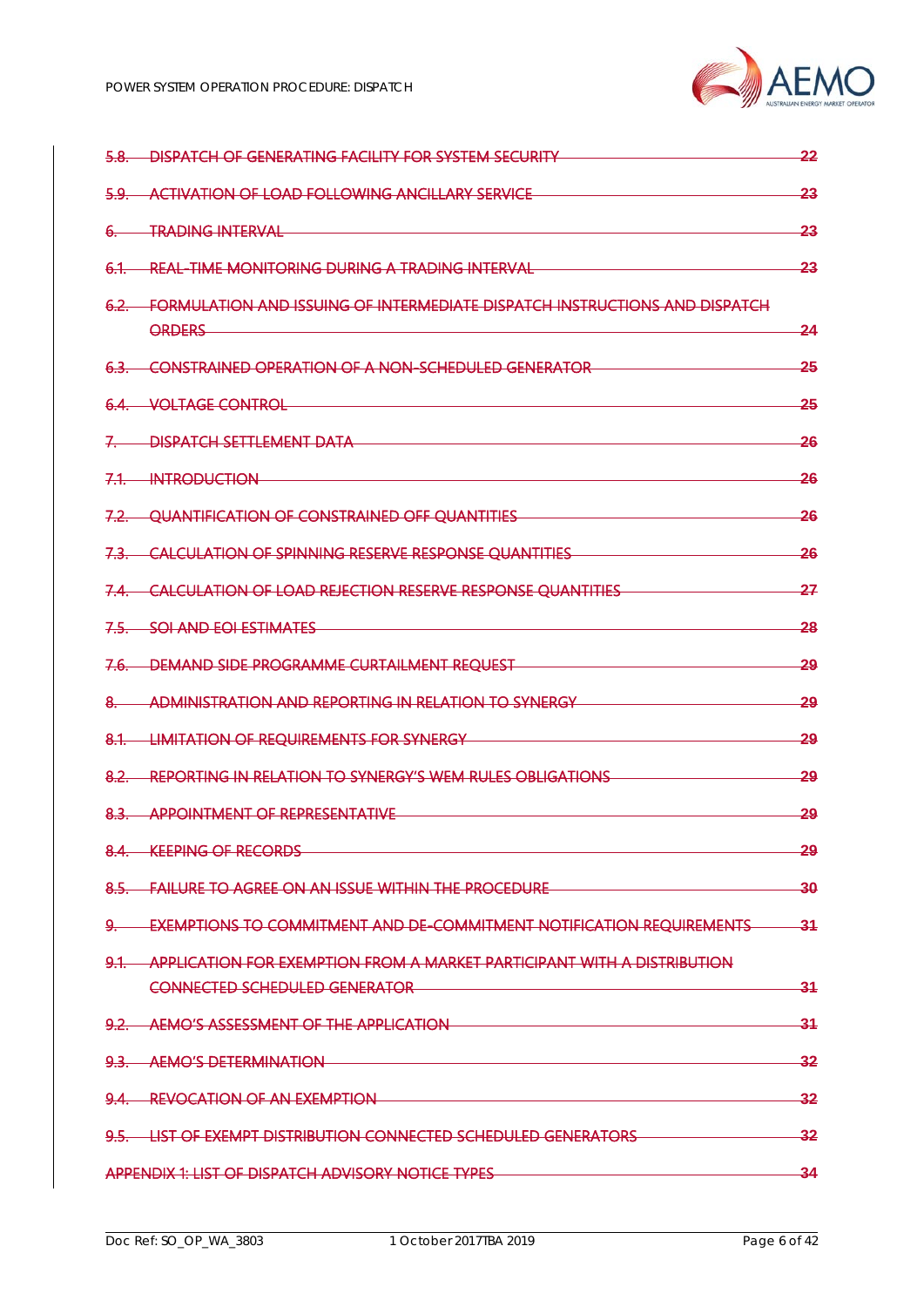| <b>DISPATCH OF GENERATING FACILITY FOR SYSTEM SECURITY</b><br><del>5.8.</del>                                                                                     | 22                          |
|-------------------------------------------------------------------------------------------------------------------------------------------------------------------|-----------------------------|
| 5.9. ACTIVATION OF LOAD FOLLOWING ANCILLARY SERVICE                                                                                                               | 23                          |
| <b>TRADING INTERVAL</b><br>6.                                                                                                                                     | 23                          |
| 6.1.<br>REAL-TIME MONITORING DURING A TRADING INTERVAL                                                                                                            | 23                          |
| 6.2. FORMULATION AND ISSUING OF INTERMEDIATE DISPATCH INSTRUCTIONS AND DISPATCH<br><b>ORDERS</b>                                                                  | 24                          |
| 6.3. CONSTRAINED OPERATION OF A NON-SCHEDULED GENERATOR                                                                                                           | 25                          |
| 6.4. VOLTAGE CONTROL                                                                                                                                              | 25                          |
| <b>DISPATCH SETTLEMENT DATA</b><br>7.                                                                                                                             | 26                          |
| <b>INTRODUCTION</b><br><del>7.1.</del>                                                                                                                            | 26                          |
| 7.2. QUANTIFICATION OF CONSTRAINED OFF QUANTITIES                                                                                                                 | 26                          |
| CALCULATION OF SPINNING RESERVE RESPONSE QUANTITIES<br>73.                                                                                                        | 26                          |
| 7.4. CALCULATION OF LOAD REJECTION RESERVE RESPONSE QUANTITIES                                                                                                    | $\overline{27}$             |
| <b>SOLAND EOLESTIMATES</b><br>75-                                                                                                                                 | 28                          |
| 7.6. DEMAND SIDE PROGRAMME CURTAILMENT REQUEST                                                                                                                    | 29                          |
| ADMINISTRATION AND REPORTING IN RELATION TO SYNERGY                                                                                                               | 29                          |
| 8.1. LIMITATION OF REQUIREMENTS FOR SYNERGY                                                                                                                       | 29                          |
| 8.2. REPORTING IN RELATION TO SYNERGY'S WEM RULES OBLIGATIONS                                                                                                     | -29                         |
| 8.3. APPOINTMENT OF REPRESENTATIVE                                                                                                                                | 29                          |
| 8.4. KEEPING OF RECORDS                                                                                                                                           | 29                          |
| 8.5. FAILURE TO AGREE ON AN ISSUE WITHIN THE PROCEDURE <b>CONTAINS A CONSTRUSTION</b>                                                                             | $-30$                       |
| 9. EXEMPTIONS TO COMMITMENT AND DE-COMMITMENT NOTIFICATION REQUIREMENTS 31                                                                                        |                             |
| 9.1. APPLICATION FOR EXEMPTION FROM A MARKET PARTICIPANT WITH A DISTRIBUTION<br><b>CONNECTED SCHEDULED GENERATOR</b>                                              | $-34$                       |
| <u> 1980 - Johann Barn, mars ar breist bestjoerde te gemeente gemeente van de gemeente van de gemeente van de ge</u><br>9.2. AEMO'S ASSESSMENT OF THE APPLICATION | $\overline{\phantom{1}}$ 31 |
| 9.3. AEMO'S DETERMINATION                                                                                                                                         | $-32$                       |
| <u> 1989 - Johann Stein, marwolaethau a bhann an t-Amhainn an t-Amhainn an t-Amhainn an t-Amhainn an t-Amhainn a</u><br>9.4 REVOCATION OF AN EXEMPTION            | $-32$                       |
| 9.5. LIST OF EXEMPT DISTRIBUTION CONNECTED SCHEDULED GENERATORS                                                                                                   | $-32$                       |
| APPENDIX 1: LIST OF DISPATCH ADVISORY NOTICE TYPES <b>APPENDIX 1: LIST OF DISPATCH ADVISORY NOTICE TYPES</b>                                                      | $-34$                       |
|                                                                                                                                                                   |                             |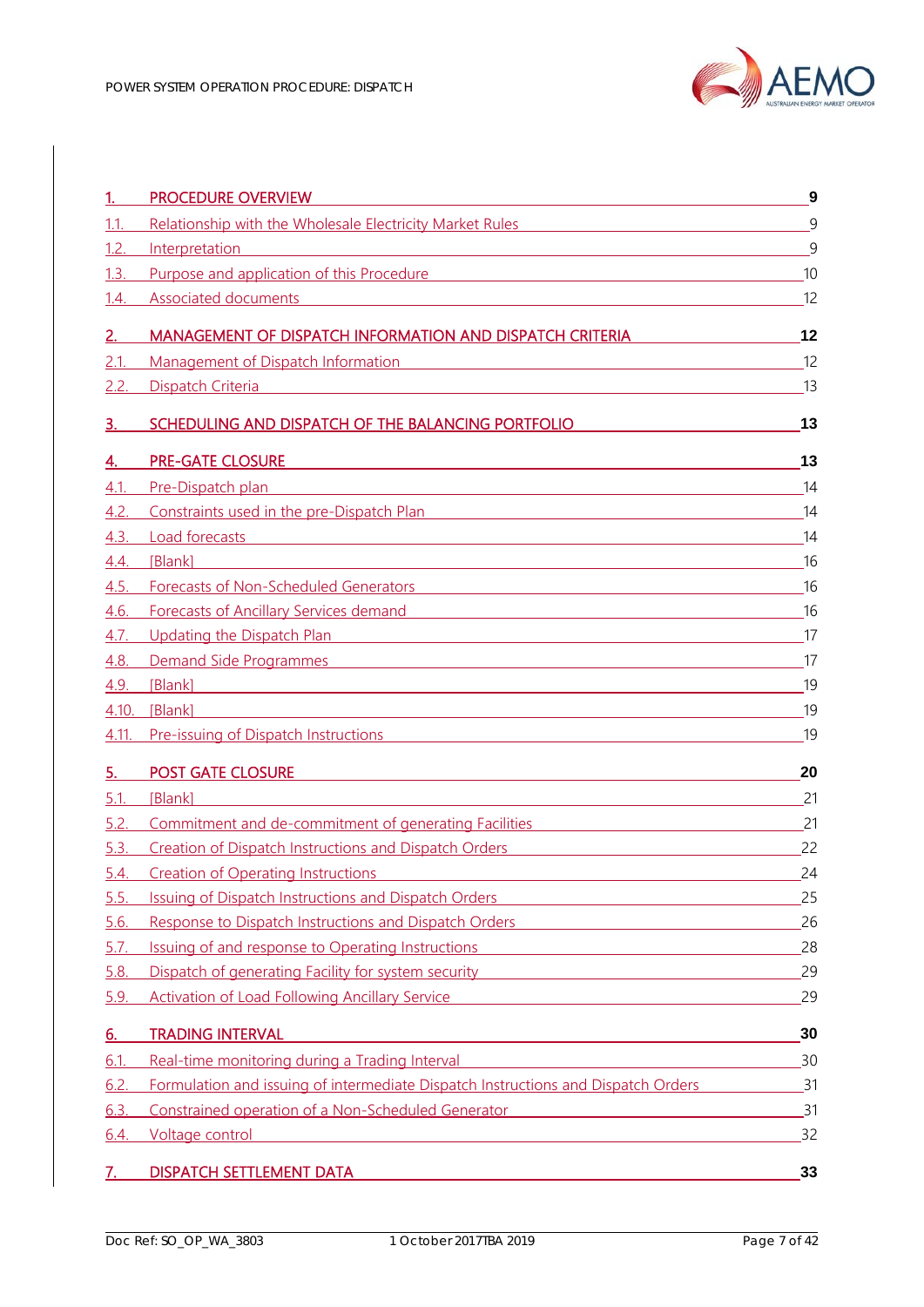

|           | <b>PROCEDURE OVERVIEW</b>                                                                                                                                                                                                     | 9  |
|-----------|-------------------------------------------------------------------------------------------------------------------------------------------------------------------------------------------------------------------------------|----|
| 1.1.      | Relationship with the Wholesale Electricity Market Rules                                                                                                                                                                      | 9  |
| 1.2.      | Interpretation<br><u> 1989 - Johann Barn, mars ann an t-Amhain an t-Amhain an t-Amhain an t-Amhain an t-Amhain an t-Amhain an t-Amh</u>                                                                                       | 9  |
| 1.3       | Purpose and application of this Procedure<br>and the Procedure<br>Service and application of this Procedure                                                                                                                   | 10 |
| 1.4.      | <b>Associated documents</b><br><u> 1989 - Johann Barn, amerikansk politiker (d. 1989)</u>                                                                                                                                     | 12 |
| 2.        | MANAGEMENT OF DISPATCH INFORMATION AND DISPATCH CRITERIA                                                                                                                                                                      | 12 |
| 2.1.      | Management of Dispatch Information Management of Dispatch Information                                                                                                                                                         | 12 |
| 2.2.      | Dispatch Criteria<br><u> 1980 - Johann Stoff, amerikansk politiker (d. 1980)</u>                                                                                                                                              | 13 |
| 3.        | SCHEDULING AND DISPATCH OF THE BALANCING PORTFOLIO                                                                                                                                                                            | 13 |
|           | <b>PRE-GATE CLOSURE</b>                                                                                                                                                                                                       | 13 |
| 4.1       | Pre-Dispatch plan<br><u> 1989 - Johann Stoff, deutscher Stoff, der Stoff, der Stoff, der Stoff, der Stoff, der Stoff, der Stoff, der S</u>                                                                                    | 14 |
| 4.2.      |                                                                                                                                                                                                                               | 14 |
| 4.3.      | Load forecasts<br><u> 1980 - Johann Barn, mars ann an t-Amhain Aonaichte ann an t-Aonaichte ann an t-Aonaichte ann an t-Aonaichte a</u>                                                                                       | 14 |
| 4.4.      | [Blank]<br><u> 1989 - Johann Stoff, amerikansk politiker (d. 1989)</u>                                                                                                                                                        | 16 |
| 4.5.      | Forecasts of Non-Scheduled Generators <b>Example 2018</b> To 2019 12:00:00 To 2019                                                                                                                                            | 16 |
| 4.6.      | Forecasts of Ancillary Services demand<br><u> 1989 - Johann Stein, marwolaethau (b. 1989)</u>                                                                                                                                 | 16 |
| 4.7.      | Updating the Dispatch Plan <b>Example 2018</b> The Dispatch Plan                                                                                                                                                              | 17 |
| 4.8.      | Demand Side Programmes and the state of the state of the state of the state of the state of the state of the state of the state of the state of the state of the state of the state of the state of the state of the state of | 17 |
| 4.9.      | [Blank]<br><u> 1989 - Johann Stoff, amerikansk politiker (* 1908)</u>                                                                                                                                                         | 19 |
| 4.10.     | [Blank]<br><u> 1980 - Andrea Barbara, poeta esperanto-</u>                                                                                                                                                                    | 19 |
| 4.11.     | Pre-issuing of Dispatch Instructions                                                                                                                                                                                          | 19 |
| 5.        | <b>POST GATE CLOSURE</b>                                                                                                                                                                                                      | 20 |
| 5.1       | [Blank]                                                                                                                                                                                                                       | 21 |
| 5.2.      | Commitment and de-commitment of generating Facilities <b>Commitment</b> and de-                                                                                                                                               | 21 |
| 5.3.      | <b>Creation of Dispatch Instructions and Dispatch Orders</b>                                                                                                                                                                  | 22 |
| 5.4.      | <b>Creation of Operating Instructions</b>                                                                                                                                                                                     | 24 |
| 5.5.      | <b>Issuing of Dispatch Instructions and Dispatch Orders</b>                                                                                                                                                                   | 25 |
| 5.6.      | Response to Dispatch Instructions and Dispatch Orders<br><u> 1980 - Johann Barn, mars an t-Amerikaansk ferskeider (</u>                                                                                                       | 26 |
| 5.7.      | Issuing of and response to Operating Instructions<br><u> 1989 - Johann Barn, mars eta bainar eta industrial eta bainarra eta baina eta baina eta baina eta baina eta</u>                                                      | 28 |
| 5.8.      | Dispatch of generating Facility for system security<br><u> 1989 - Johann Stoff, Amerikaansk politiker († 1908)</u>                                                                                                            | 29 |
| 5.9.      | <b>Activation of Load Following Ancillary Service</b>                                                                                                                                                                         | 29 |
| <u>6.</u> | <b>TRADING INTERVAL</b>                                                                                                                                                                                                       | 30 |
| 6.1.      | Real-time monitoring during a Trading Interval                                                                                                                                                                                | 30 |
| 6.2.      | Formulation and issuing of intermediate Dispatch Instructions and Dispatch Orders                                                                                                                                             | 31 |
| 6.3.      | Constrained operation of a Non-Scheduled Generator                                                                                                                                                                            | 31 |
| 6.4.      | Voltage control                                                                                                                                                                                                               | 32 |
| 7.        | <b>DISPATCH SETTLEMENT DATA</b>                                                                                                                                                                                               | 33 |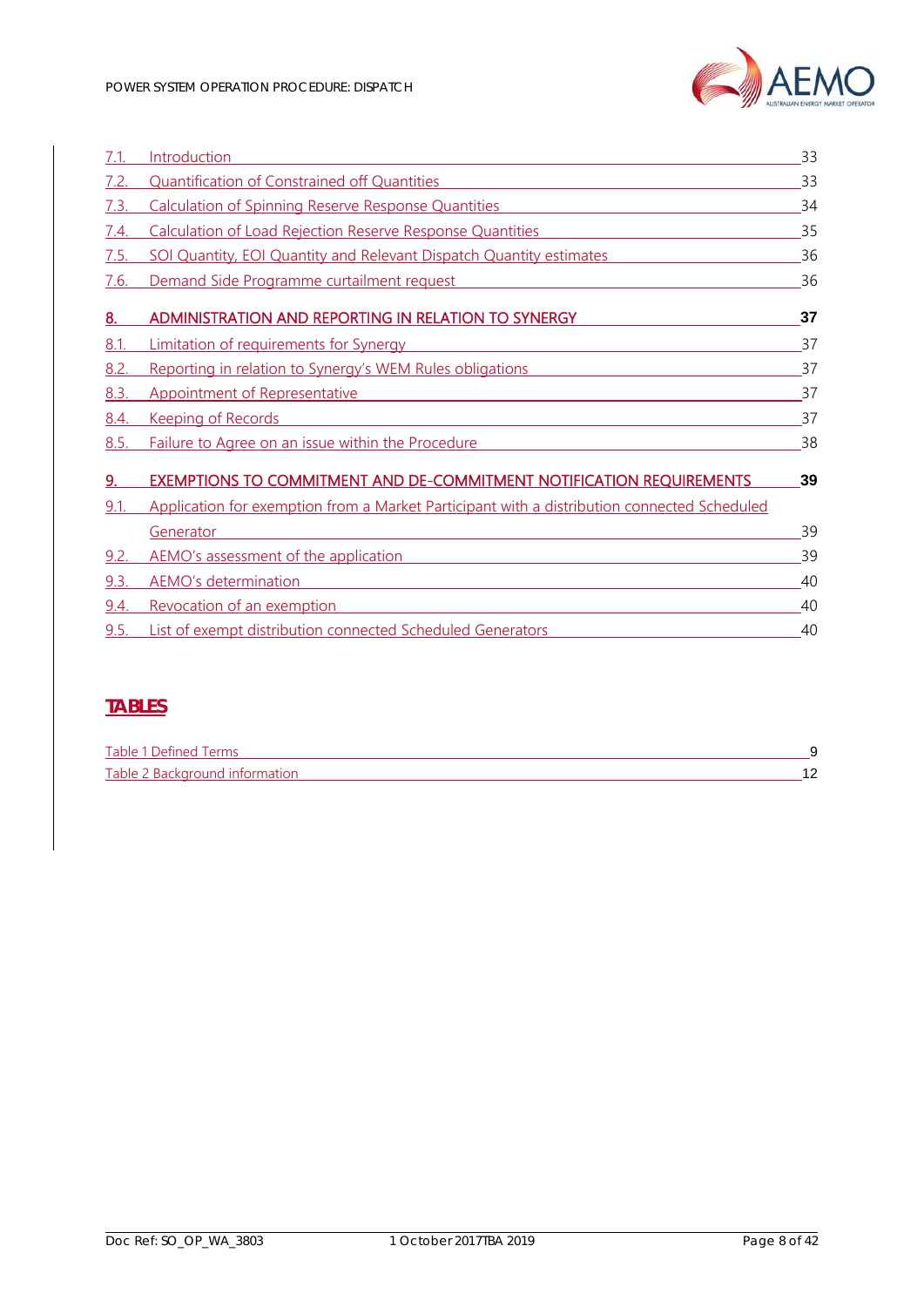

| Introduction                                                                                                                                                                                                                     | 33                                                                                                                   |
|----------------------------------------------------------------------------------------------------------------------------------------------------------------------------------------------------------------------------------|----------------------------------------------------------------------------------------------------------------------|
| Quantification of Constrained off Quantities                                                                                                                                                                                     | 33                                                                                                                   |
| <b>Calculation of Spinning Reserve Response Quantities</b>                                                                                                                                                                       | 34                                                                                                                   |
| <b>Calculation of Load Rejection Reserve Response Quantities</b>                                                                                                                                                                 | 35                                                                                                                   |
| SOI Quantity, EOI Quantity and Relevant Dispatch Quantity estimates                                                                                                                                                              | 36                                                                                                                   |
| Demand Side Programme curtailment request                                                                                                                                                                                        | 36                                                                                                                   |
| ADMINISTRATION AND REPORTING IN RELATION TO SYNERGY                                                                                                                                                                              | 37                                                                                                                   |
| Limitation of requirements for Synergy                                                                                                                                                                                           | 37                                                                                                                   |
| Reporting in relation to Synergy's WEM Rules obligations                                                                                                                                                                         | 37                                                                                                                   |
| <b>Appointment of Representative</b>                                                                                                                                                                                             | 37                                                                                                                   |
| <b>Keeping of Records</b>                                                                                                                                                                                                        | 37                                                                                                                   |
| Failure to Agree on an issue within the Procedure                                                                                                                                                                                | 38                                                                                                                   |
| <b>EXEMPTIONS TO COMMITMENT AND DE-COMMITMENT NOTIFICATION REQUIREMENTS</b>                                                                                                                                                      | 39                                                                                                                   |
| Application for exemption from a Market Participant with a distribution connected Scheduled                                                                                                                                      |                                                                                                                      |
| Generator                                                                                                                                                                                                                        | 39                                                                                                                   |
| AEMO's assessment of the application                                                                                                                                                                                             | 39                                                                                                                   |
| <b>AEMO's determination</b>                                                                                                                                                                                                      | 40                                                                                                                   |
| Revocation of an exemption<br>Notice and the contract of the contract of the contract of the contract of the contract of the contract of the contract of the contract of the contract of the contract of the contract of the con | 40                                                                                                                   |
| List of exempt distribution connected Scheduled Generators                                                                                                                                                                       | 40                                                                                                                   |
|                                                                                                                                                                                                                                  | <u> 1980 - Jan Samuel Barbara, martin da shekara 1980 - An tsa a tsa a tsa a tsa a tsa a tsa a tsa a tsa a tsa a</u> |

# **TABLES**

| Table 1 Defined Terms          |  |
|--------------------------------|--|
| Table 2 Background information |  |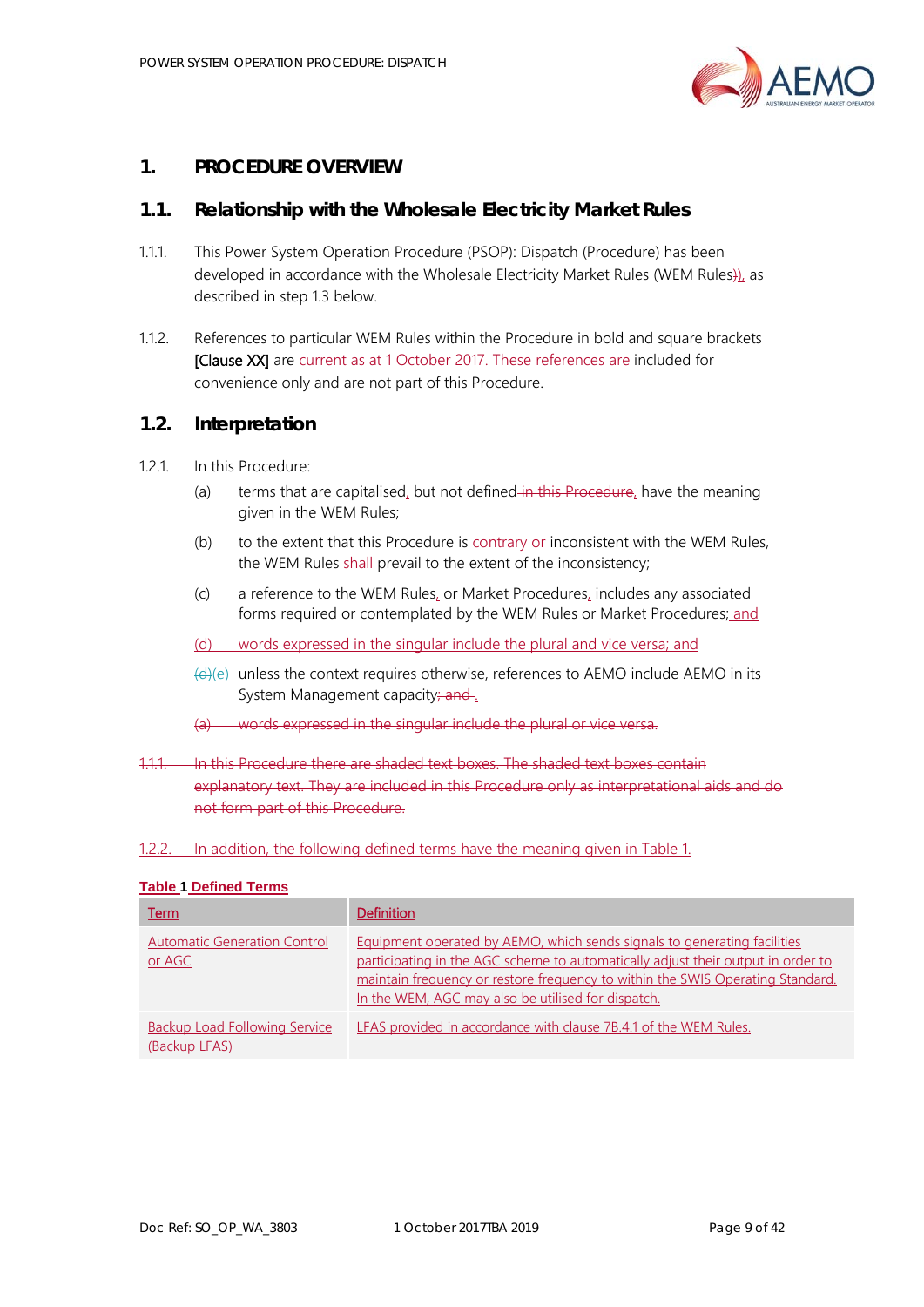

## <span id="page-8-0"></span>**1. PROCEDURE OVERVIEW**

#### <span id="page-8-1"></span>**1.1. Relationship with the Wholesale Electricity Market Rules**

- 1.1.1. This Power System Operation Procedure (PSOP): Dispatch (Procedure) has been developed in accordance with the Wholesale Electricity Market Rules (WEM Rules)), as described in step [1.3](#page-9-0) below.
- 1.1.2. References to particular WEM Rules within the Procedure in bold and square brackets [Clause XX] are current as at 1 October 2017. These references are included for convenience only and are not part of this Procedure.

#### <span id="page-8-2"></span>**1.2. Interpretation**

- 1.2.1. In this Procedure:
	- (a) terms that are capitalised, but not defined in this Procedure, have the meaning given in the WEM Rules;
	- (b) to the extent that this Procedure is contrary or inconsistent with the WEM Rules, the WEM Rules shall prevail to the extent of the inconsistency;
	- (c) a reference to the WEM Rules, or Market Procedures, includes any associated forms required or contemplated by the WEM Rules or Market Procedures; and

(d) words expressed in the singular include the plural and vice versa; and

- $(d)(e)$  unless the context requires otherwise, references to AEMO include AEMO in its System Management capacity; and
- (a) words expressed in the singular include the plural or vice versa.
- 1.1.1. In this Procedure there are shaded text boxes. The shaded text boxes contain explanatory text. They are included in this Procedure only as interpretational aids and do not form part of this Procedure.
- 1.2.2. In addition, the following defined terms have the meaning given in [Table 1.](#page-8-3)

| Term                                                  | <b>Definition</b>                                                                                                                                                                                                                                                                                    |
|-------------------------------------------------------|------------------------------------------------------------------------------------------------------------------------------------------------------------------------------------------------------------------------------------------------------------------------------------------------------|
| <b>Automatic Generation Control</b><br>or AGC         | Equipment operated by AEMO, which sends signals to generating facilities<br>participating in the AGC scheme to automatically adjust their output in order to<br>maintain frequency or restore frequency to within the SWIS Operating Standard.<br>In the WEM, AGC may also be utilised for dispatch. |
| <b>Backup Load Following Service</b><br>(Backup LFAS) | LFAS provided in accordance with clause 7B.4.1 of the WEM Rules.                                                                                                                                                                                                                                     |

#### <span id="page-8-3"></span>**Table 1 Defined Terms**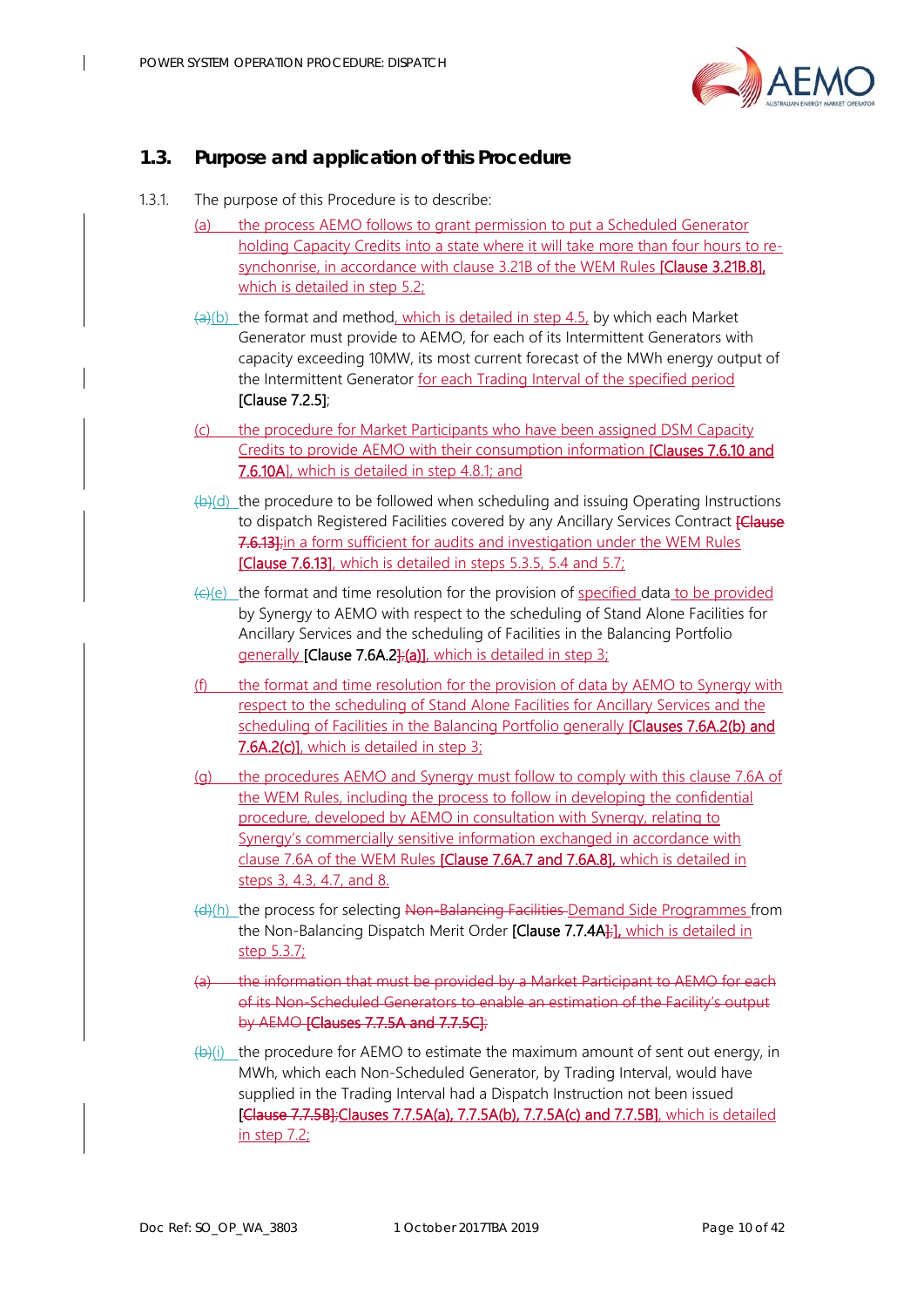

## <span id="page-9-0"></span>**1.3. Purpose and application of this Procedure**

- <span id="page-9-1"></span>1.3.1. The purpose of this Procedure is to describe:
	- (a) the process AEMO follows to grant permission to put a Scheduled Generator holding Capacity Credits into a state where it will take more than four hours to resynchonrise, in accordance with clause 3.21B of the WEM Rules [Clause 3.21B.8], which is detailed in ste[p 5.2;](#page-20-1)
	- $(a)(b)$  the format and method, which is detailed in step [4.5,](#page-15-1) by which each Market Generator must provide to AEMO, for each of its Intermittent Generators with capacity exceeding 10MW, its most current forecast of the MWh energy output of the Intermittent Generator for each Trading Interval of the specified period [Clause 7.2.5];
	- (c) the procedure for Market Participants who have been assigned DSM Capacity Credits to provide AEMO with their consumption information [Clauses 7.6.10 and 7.6.10A], which is detailed in step [4.8.1;](#page-16-2) and
	- $(b)(d)$  the procedure to be followed when scheduling and issuing Operating Instructions to dispatch Registered Facilities covered by any Ancillary Services Contract **[Clause**] 7.6.13];in a form sufficient for audits and investigation under the WEM Rules [Clause 7.6.13], which is detailed in steps [5.3.5,](#page-22-0) [5.4](#page-23-0) and [5.7;](#page-27-0)
	- $E(E)(e)$  the format and time resolution for the provision of specified data to be provided by Synergy to AEMO with respect to the scheduling of Stand Alone Facilities for Ancillary Services and the scheduling of Facilities in the Balancing Portfolio generally **[Clause 7.6A.2<del>]</del>;(a)]**, which is detailed in ste[p 3;](#page-12-1)
	- (f) the format and time resolution for the provision of data by AEMO to Synergy with respect to the scheduling of Stand Alone Facilities for Ancillary Services and the scheduling of Facilities in the Balancing Portfolio generally **[Clauses 7.6A.2(b) and** 7.6A.2(c)], which is detailed in step [3;](#page-12-1)
	- (g) the procedures AEMO and Synergy must follow to comply with this clause 7.6A of the WEM Rules, including the process to follow in developing the confidential procedure, developed by AEMO in consultation with Synergy, relating to Synergy's commercially sensitive information exchanged in accordance with clause 7.6A of the WEM Rules [Clause 7.6A.7 and 7.6A.8], which is detailed in steps [3,](#page-12-1) [4.3,](#page-13-2) [4.7,](#page-16-0) and [8.](#page-36-0)
	- (d)(h) the process for selecting Non-Balancing Facilities Demand Side Programmes from the Non-Balancing Dispatch Merit Order [Clause 7.7.4A];], which is detailed in step [5.3.7;](#page-22-1)
	- (a) the information that must be provided by a Market Participant to AEMO for each of its Non-Scheduled Generators to enable an estimation of the Facility's output by AEMO [Clauses 7.7.5A and 7.7.5C];
	- $(b)(i)$  the procedure for AEMO to estimate the maximum amount of sent out energy, in MWh, which each Non-Scheduled Generator, by Trading Interval, would have supplied in the Trading Interval had a Dispatch Instruction not been issued [Clause 7.7.5B];Clauses 7.7.5A(a), 7.7.5A(b), 7.7.5A(c) and 7.7.5B], which is detailed in step [7.2;](#page-32-2)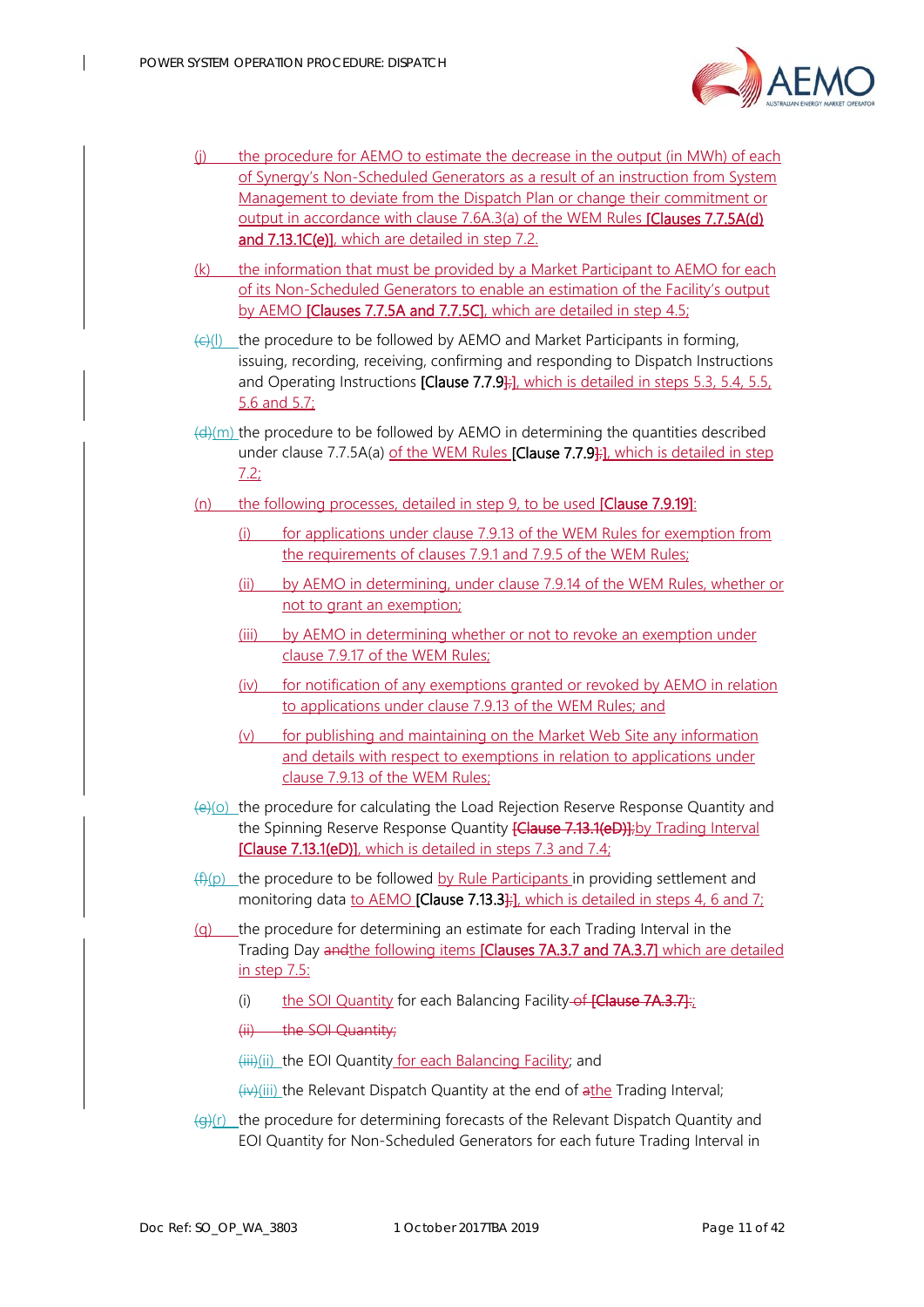

- (j) the procedure for AEMO to estimate the decrease in the output (in MWh) of each of Synergy's Non-Scheduled Generators as a result of an instruction from System Management to deviate from the Dispatch Plan or change their commitment or output in accordance with clause 7.6A.3(a) of the WEM Rules [Clauses 7.7.5A(d) and 7.13.1C(e)], which are detailed in step [7.2.](#page-32-2)
- (k) the information that must be provided by a Market Participant to AEMO for each of its Non-Scheduled Generators to enable an estimation of the Facility's output by AEMO **[Clauses 7.7.5A and 7.7.5C]**, which are detailed in step [4.5;](#page-15-1)
- $\left\langle \epsilon \right\rangle$ (I) the procedure to be followed by AEMO and Market Participants in forming, issuing, recording, receiving, confirming and responding to Dispatch Instructions and Operating Instructions [Clause 7.7.9];], which is detailed in steps [5.3,](#page-21-0) [5.4,](#page-23-0) [5.5,](#page-24-0) [5.6](#page-25-0) and [5.7;](#page-27-0)
- $\frac{1}{2}$  (d) $\frac{1}{2}$  the procedure to be followed by AEMO in determining the quantities described under clause 7.7.5A(a) of the WEM Rules **[Clause 7.7.9**}], which is detailed in step [7.2;](#page-32-2)
- (n) the following processes, detailed in ste[p 9,](#page-38-0) to be used [Clause 7.9.19]:
	- (i) for applications under clause 7.9.13 of the WEM Rules for exemption from the requirements of clauses 7.9.1 and 7.9.5 of the WEM Rules;
	- (ii) by AEMO in determining, under clause 7.9.14 of the WEM Rules, whether or not to grant an exemption;
	- (iii) by AEMO in determining whether or not to revoke an exemption under clause 7.9.17 of the WEM Rules;
	- (iv) for notification of any exemptions granted or revoked by AEMO in relation to applications under clause 7.9.13 of the WEM Rules; and
	- (v) for publishing and maintaining on the Market Web Site any information and details with respect to exemptions in relation to applications under clause 7.9.13 of the WEM Rules;
- (e)(o) the procedure for calculating the Load Rejection Reserve Response Quantity and the Spinning Reserve Response Quantity **[Clause 7.13.1(eD)]**;by Trading Interval [Clause 7.13.1(eD)], which is detailed in steps [7.3](#page-33-0) and [7.4;](#page-34-0)
- $(f)(p)$  the procedure to be followed by Rule Participants in providing settlement and monitoring data to AEMO [Clause 7.13.3 $\frac{1}{2}$ ], which is detailed in steps [4,](#page-12-2) [6](#page-29-0) and [7;](#page-32-0)
- (q) the procedure for determining an estimate for each Trading Interval in the Trading Day and the following items [Clauses 7A.3.7 and 7A.3.7] which are detailed in step [7.5:](#page-35-0)
	- (i) the SOI Quantity for each Balancing Facility of  $[Gauss 7A.3.7]$ :
	- $(ii)$  the SOI Quantity;
	- (iii)(ii) the EOI Quantity for each Balancing Facility; and
	- $(i\omega)(iii)$  the Relevant Dispatch Quantity at the end of athe Trading Interval;
- $\left(\frac{1}{2}\right)(r)$  the procedure for determining forecasts of the Relevant Dispatch Quantity and EOI Quantity for Non-Scheduled Generators for each future Trading Interval in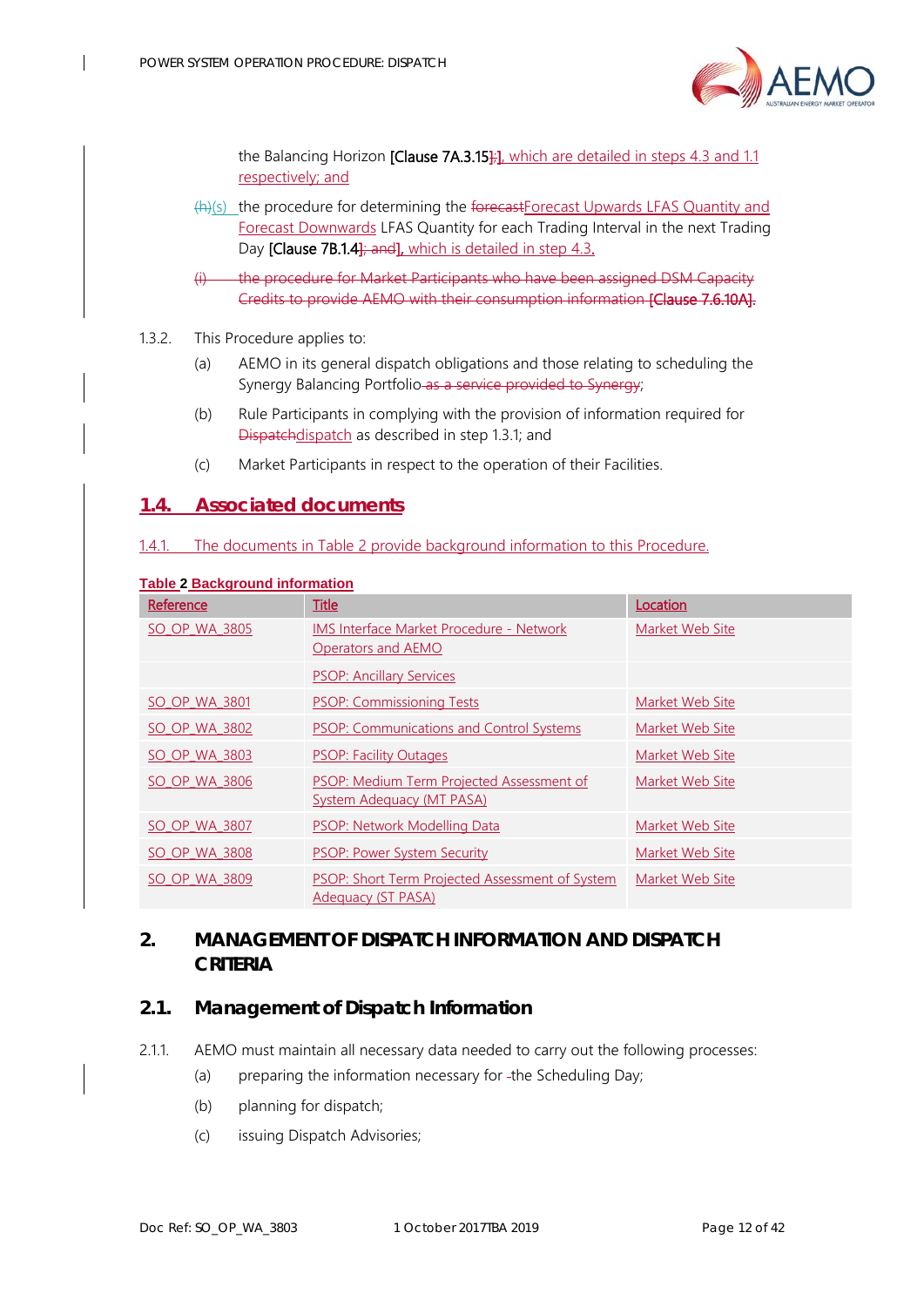

the Balancing Horizon [Clause 7A.3.15]; which are detailed in steps [4.3](#page-13-2) and [1.1](#page-15-1) respectively; and

- (h)(s) the procedure for determining the forecast Forecast Upwards LFAS Quantity and Forecast Downwards LFAS Quantity for each Trading Interval in the next Trading Day **[Clause 7B.1.4]; and]**, which is detailed in step [4.3.](#page-13-2)
- (i) the procedure for Market Participants who have been assigned DSM Capacity Credits to provide AEMO with their consumption information [Clause 7.6.10A].
- 1.3.2. This Procedure applies to:
	- (a) AEMO in its general dispatch obligations and those relating to scheduling the Synergy Balancing Portfolio as a service provided to Synergy;
	- (b) Rule Participants in complying with the provision of information required for Dispatchdispatch as described in step [1.3.1;](#page-9-1) and
	- (c) Market Participants in respect to the operation of their Facilities.

#### <span id="page-11-0"></span>**1.4. Associated documents**

1.4.1. The documents in [Table 2](#page-11-3) provide background information to this Procedure.

#### <span id="page-11-3"></span>**Table 2 Background information**

| Reference            | <b>Title</b>                                                                  | Location               |
|----------------------|-------------------------------------------------------------------------------|------------------------|
| SO OP WA 3805        | <b>IMS Interface Market Procedure - Network</b><br>Operators and AEMO         | <b>Market Web Site</b> |
|                      |                                                                               |                        |
|                      | <b>PSOP: Ancillary Services</b>                                               |                        |
| <b>SO OP WA 3801</b> | <b>PSOP: Commissioning Tests</b>                                              | <b>Market Web Site</b> |
| SO OP WA 3802        | <b>PSOP: Communications and Control Systems</b>                               | Market Web Site        |
| SO OP WA 3803        | <b>PSOP: Facility Outages</b>                                                 | Market Web Site        |
| SO OP WA 3806        | PSOP: Medium Term Projected Assessment of<br><b>System Adequacy (MT PASA)</b> | Market Web Site        |
| SO OP WA 3807        | <b>PSOP: Network Modelling Data</b>                                           | <b>Market Web Site</b> |
| SO OP WA 3808        | PSOP: Power System Security                                                   | Market Web Site        |
| SO OP WA 3809        | PSOP: Short Term Projected Assessment of System<br><b>Adequacy (ST PASA)</b>  | Market Web Site        |

## <span id="page-11-1"></span>**2. MANAGEMENT OF DISPATCH INFORMATION AND DISPATCH CRITERIA**

#### <span id="page-11-2"></span>**2.1. Management of Dispatch Information**

- 2.1.1. AEMO must maintain all necessary data needed to carry out the following processes:
	- (a) preparing the information necessary for -the Scheduling Day;
	- (b) planning for dispatch;
	- (c) issuing Dispatch Advisories;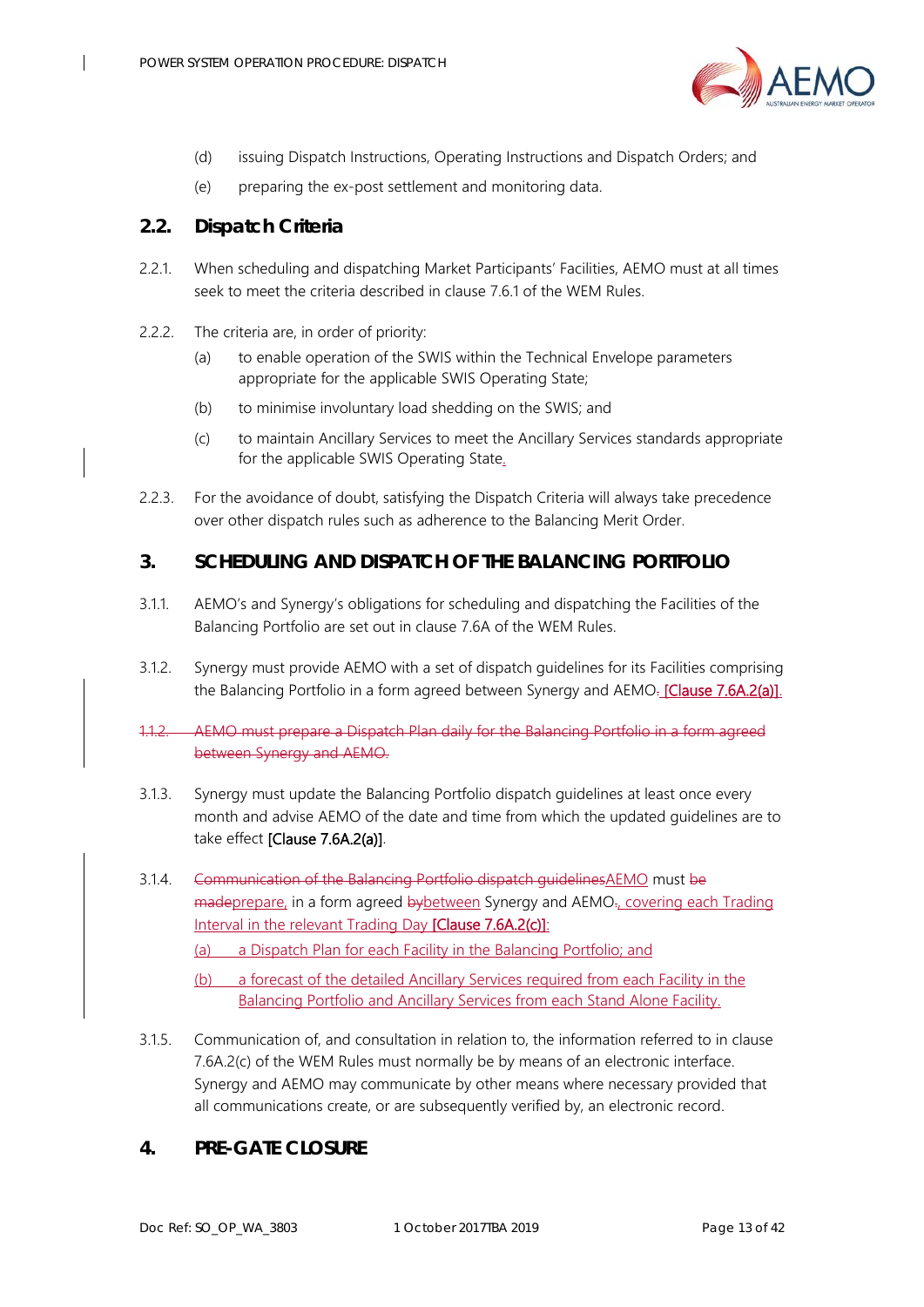

- (d) issuing Dispatch Instructions, Operating Instructions and Dispatch Orders; and
- (e) preparing the ex-post settlement and monitoring data.

#### <span id="page-12-0"></span>**2.2. Dispatch Criteria**

- 2.2.1. When scheduling and dispatching Market Participants' Facilities, AEMO must at all times seek to meet the criteria described in clause 7.6.1 of the WEM Rules.
- 2.2.2. The criteria are, in order of priority:
	- (a) to enable operation of the SWIS within the Technical Envelope parameters appropriate for the applicable SWIS Operating State;
	- (b) to minimise involuntary load shedding on the SWIS; and
	- (c) to maintain Ancillary Services to meet the Ancillary Services standards appropriate for the applicable SWIS Operating State.
- 2.2.3. For the avoidance of doubt, satisfying the Dispatch Criteria will always take precedence over other dispatch rules such as adherence to the Balancing Merit Order.

#### <span id="page-12-1"></span>**3. SCHEDULING AND DISPATCH OF THE BALANCING PORTFOLIO**

- 3.1.1. AEMO's and Synergy's obligations for scheduling and dispatching the Facilities of the Balancing Portfolio are set out in clause 7.6A of the WEM Rules.
- <span id="page-12-3"></span>3.1.2. Synergy must provide AEMO with a set of dispatch guidelines for its Facilities comprising the Balancing Portfolio in a form agreed between Synergy and AEMOIClause 7.6A.2(a).
- 1.1.2. AEMO must prepare a Dispatch Plan daily for the Balancing Portfolio in a form agreed between Synergy and AEMO.
- 3.1.3. Synergy must update the Balancing Portfolio dispatch guidelines at least once every month and advise AEMO of the date and time from which the updated guidelines are to take effect [Clause 7.6A.2(a)].
- 3.1.4. Communication of the Balancing Portfolio dispatch guidelinesAEMO must be madeprepare, in a form agreed by between Synergy and AEMO., covering each Trading Interval in the relevant Trading Day [Clause 7.6A.2(c)]:
	- (a) a Dispatch Plan for each Facility in the Balancing Portfolio; and

(b) a forecast of the detailed Ancillary Services required from each Facility in the Balancing Portfolio and Ancillary Services from each Stand Alone Facility.

3.1.5. Communication of, and consultation in relation to, the information referred to in clause 7.6A.2(c) of the WEM Rules must normally be by means of an electronic interface. Synergy and AEMO may communicate by other means where necessary provided that all communications create, or are subsequently verified by, an electronic record.

## <span id="page-12-2"></span>**4. PRE-GATE CLOSURE**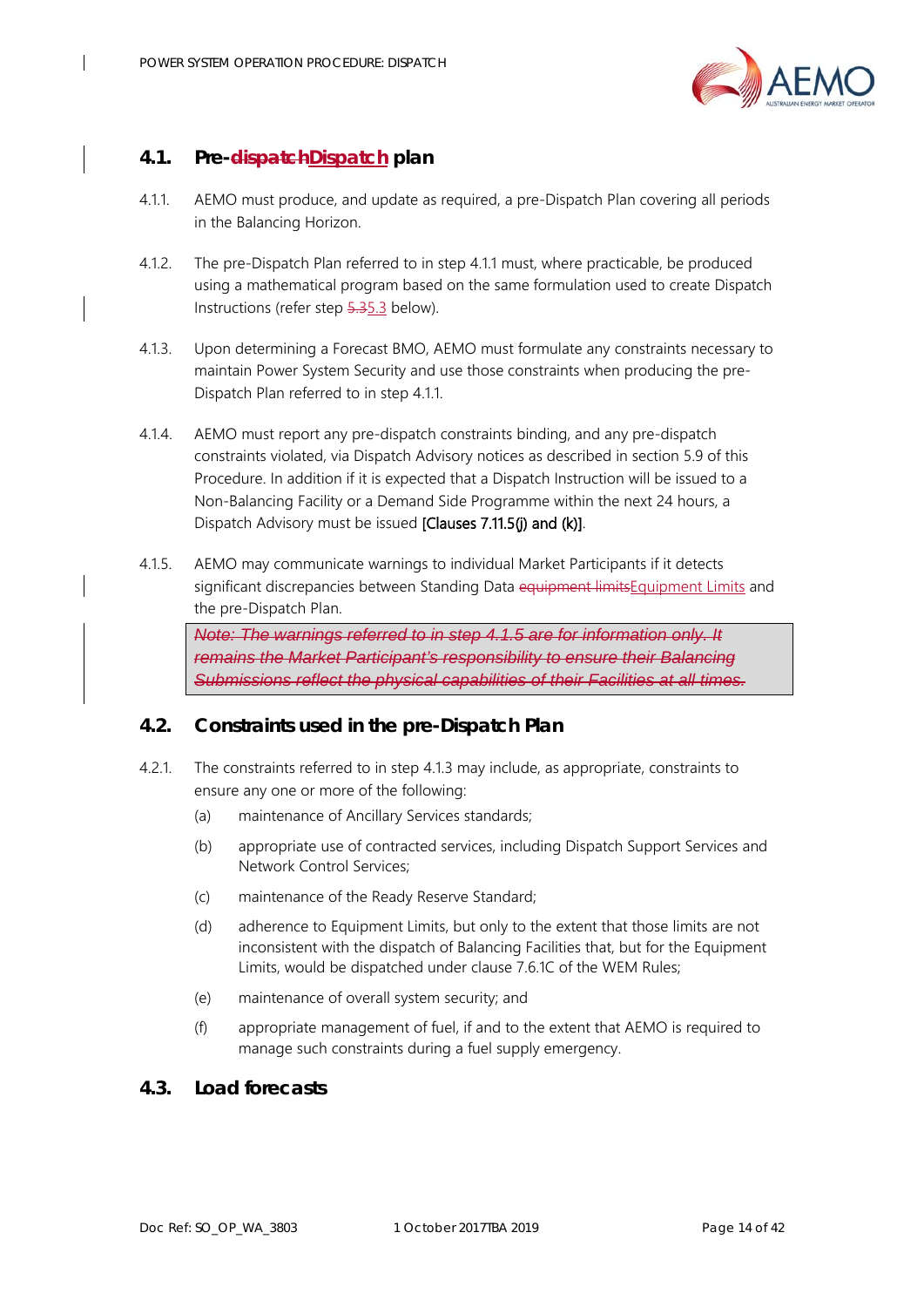

## <span id="page-13-0"></span>**4.1. Pre-dispatchDispatch plan**

- <span id="page-13-3"></span>4.1.1. AEMO must produce, and update as required, a pre-Dispatch Plan covering all periods in the Balancing Horizon.
- 4.1.2. The pre-Dispatch Plan referred to in step [4.1.1](#page-13-3) must, where practicable, be produced using a mathematical program based on the same formulation used to create Dispatch Instructions (refer step [5.35.3](#page-21-0) below).
- <span id="page-13-5"></span>4.1.3. Upon determining a Forecast BMO, AEMO must formulate any constraints necessary to maintain Power System Security and use those constraints when producing the pre-Dispatch Plan referred to in step [4.1.1.](#page-13-3)
- 4.1.4. AEMO must report any pre-dispatch constraints binding, and any pre-dispatch constraints violated, via Dispatch Advisory notices as described in section [5.9](#page-28-1) of this Procedure. In addition if it is expected that a Dispatch Instruction will be issued to a Non-Balancing Facility or a Demand Side Programme within the next 24 hours, a Dispatch Advisory must be issued [Clauses 7.11.5(j) and (k)].
- <span id="page-13-4"></span>4.1.5. AEMO may communicate warnings to individual Market Participants if it detects significant discrepancies between Standing Data equipment limitsEquipment Limits and the pre-Dispatch Plan.

<span id="page-13-1"></span>*Note: The warnings referred to in step [4.1.5](#page-13-4) are for information only. It remains the Market Participant's responsibility to ensure their Balancing Submissions reflect the physical capabilities of their Facilities at all times.*

## **4.2. Constraints used in the pre-Dispatch Plan**

- 4.2.1. The constraints referred to in step [4.1.3](#page-13-5) may include, as appropriate, constraints to ensure any one or more of the following:
	- (a) maintenance of Ancillary Services standards;
	- (b) appropriate use of contracted services, including Dispatch Support Services and Network Control Services;
	- (c) maintenance of the Ready Reserve Standard;
	- (d) adherence to Equipment Limits, but only to the extent that those limits are not inconsistent with the dispatch of Balancing Facilities that, but for the Equipment Limits, would be dispatched under clause 7.6.1C of the WEM Rules;
	- (e) maintenance of overall system security; and
	- (f) appropriate management of fuel, if and to the extent that AEMO is required to manage such constraints during a fuel supply emergency.

## <span id="page-13-2"></span>**4.3. Load forecasts**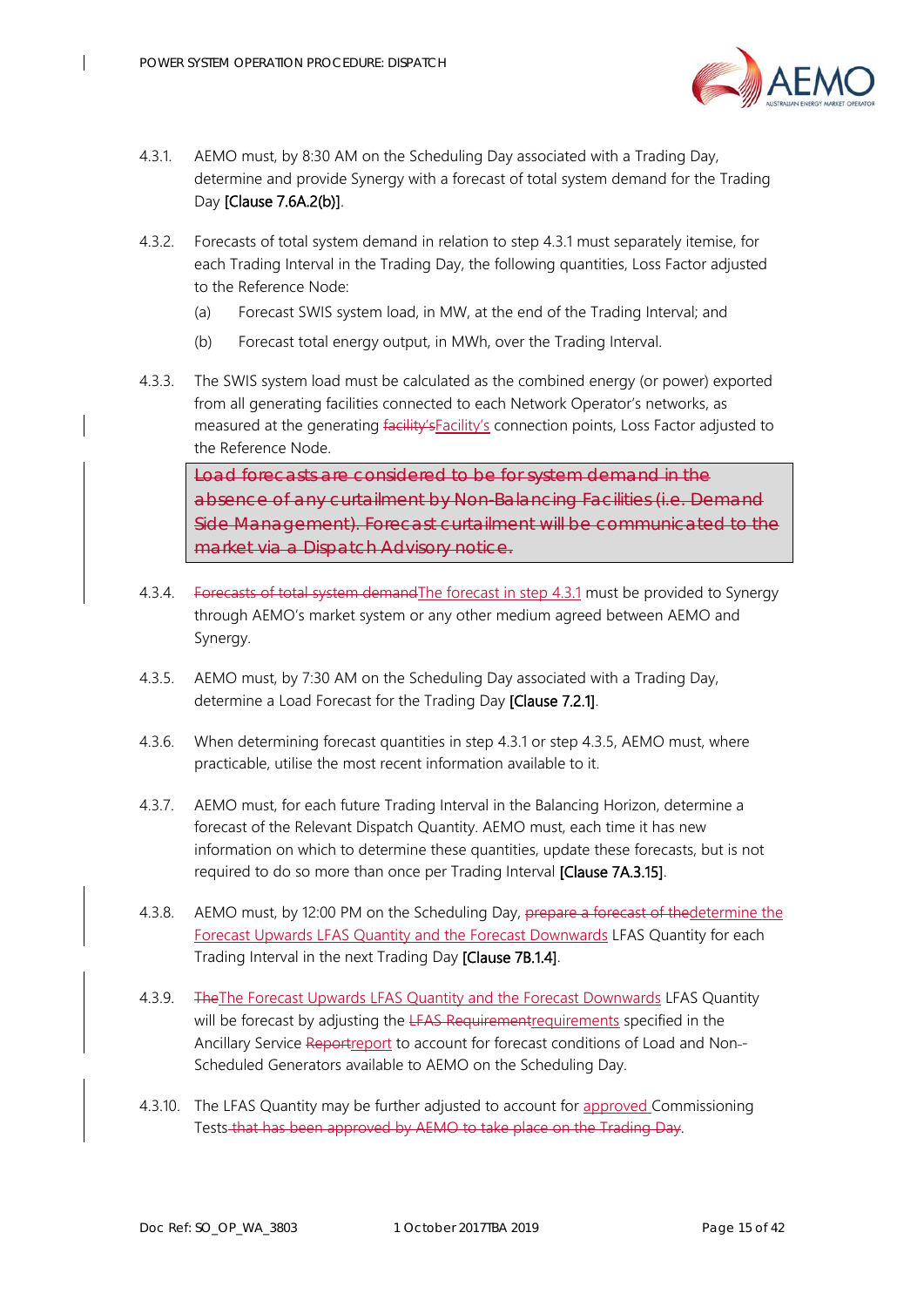

- <span id="page-14-0"></span>4.3.1. AEMO must, by 8:30 AM on the Scheduling Day associated with a Trading Day, determine and provide Synergy with a forecast of total system demand for the Trading Day [Clause 7.6A.2(b)].
- 4.3.2. Forecasts of total system demand in relation to step [4.3.1](#page-14-0) must separately itemise, for each Trading Interval in the Trading Day, the following quantities, Loss Factor adjusted to the Reference Node:
	- (a) Forecast SWIS system load, in MW, at the end of the Trading Interval; and
	- (b) Forecast total energy output, in MWh, over the Trading Interval.
- 4.3.3. The SWIS system load must be calculated as the combined energy (or power) exported from all generating facilities connected to each Network Operator's networks, as measured at the generating facility'sFacility's connection points, Loss Factor adjusted to the Reference Node.

*Load forecasts are considered to be for system demand in the absence of any curtailment by Non-Balancing Facilities (i.e. Demand Side Management). Forecast curtailment will be communicated to the market via a Dispatch Advisory notice.*

- 4.3.4. Forecasts of total system demand The forecast in step [4.3.1](#page-14-0) must be provided to Synergy through AEMO's market system or any other medium agreed between AEMO and Synergy.
- <span id="page-14-1"></span>4.3.5. AEMO must, by 7:30 AM on the Scheduling Day associated with a Trading Day, determine a Load Forecast for the Trading Day [Clause 7.2.1].
- 4.3.6. When determining forecast quantities in step [4.3.1](#page-14-0) or step [4.3.5,](#page-14-1) AEMO must, where practicable, utilise the most recent information available to it.
- 4.3.7. AEMO must, for each future Trading Interval in the Balancing Horizon, determine a forecast of the Relevant Dispatch Quantity. AEMO must, each time it has new information on which to determine these quantities, update these forecasts, but is not required to do so more than once per Trading Interval [Clause 7A.3.15].
- 4.3.8. AEMO must, by 12:00 PM on the Scheduling Day, prepare a forecast of thedetermine the Forecast Upwards LFAS Quantity and the Forecast Downwards LFAS Quantity for each Trading Interval in the next Trading Day [Clause 7B.1.4].
- 4.3.9. TheThe Forecast Upwards LFAS Quantity and the Forecast Downwards LFAS Quantity will be forecast by adjusting the LFAS Requirementrequirements specified in the Ancillary Service Reportreport to account for forecast conditions of Load and Non--Scheduled Generators available to AEMO on the Scheduling Day.
- 4.3.10. The LFAS Quantity may be further adjusted to account for approved Commissioning Tests that has been approved by AEMO to take place on the Trading Day.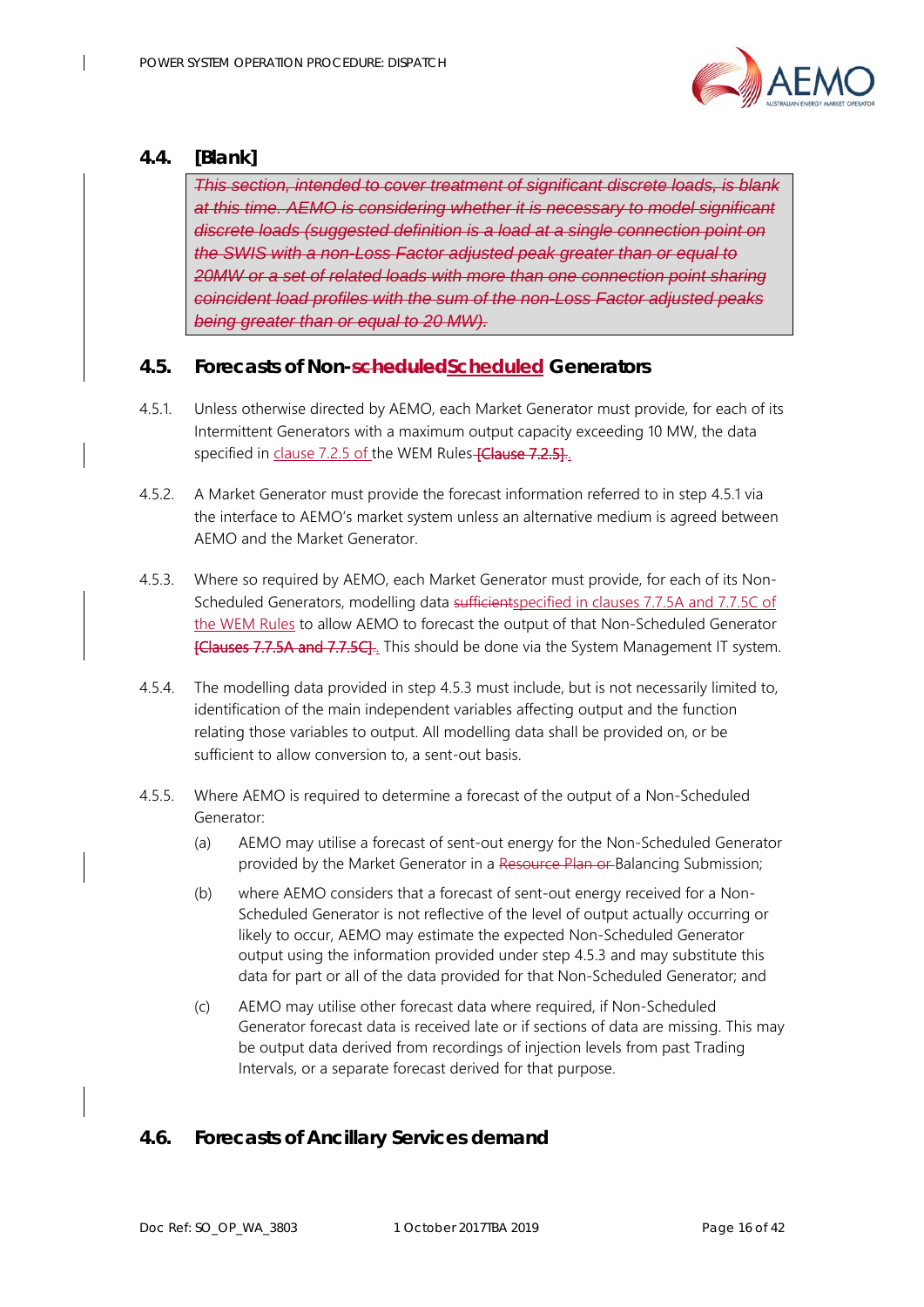

## <span id="page-15-1"></span><span id="page-15-0"></span>**4.4. [Blank]**

*This section, intended to cover treatment of significant discrete loads, is blank at this time. AEMO is considering whether it is necessary to model significant discrete loads (suggested definition is a load at a single connection point on the SWIS with a non-Loss Factor adjusted peak greater than or equal to 20MW or a set of related loads with more than one connection point sharing coincident load profiles with the sum of the non-Loss Factor adjusted peaks being greater than or equal to 20 MW).*

#### **4.5. Forecasts of Non-scheduledScheduled Generators**

- <span id="page-15-3"></span>4.5.1. Unless otherwise directed by AEMO, each Market Generator must provide, for each of its Intermittent Generators with a maximum output capacity exceeding 10 MW, the data specified in clause 7.2.5 of the WEM Rules-**[Clause 7.2.5]**.
- 4.5.2. A Market Generator must provide the forecast information referred to in step [4.5.1](#page-15-3) via the interface to AEMO's market system unless an alternative medium is agreed between AEMO and the Market Generator.
- <span id="page-15-4"></span>4.5.3. Where so required by AEMO, each Market Generator must provide, for each of its Non-Scheduled Generators, modelling data sufficientspecified in clauses 7.7.5A and 7.7.5C of the WEM Rules to allow AEMO to forecast the output of that Non-Scheduled Generator **[Clauses 7.7.5A and 7.7.5C]**. This should be done via the System Management IT system.
- 4.5.4. The modelling data provided in step [4.5.3](#page-15-4) must include, but is not necessarily limited to, identification of the main independent variables affecting output and the function relating those variables to output. All modelling data shall be provided on, or be sufficient to allow conversion to, a sent-out basis.
- 4.5.5. Where AEMO is required to determine a forecast of the output of a Non-Scheduled Generator:
	- (a) AEMO may utilise a forecast of sent-out energy for the Non-Scheduled Generator provided by the Market Generator in a Resource Plan or Balancing Submission;
	- (b) where AEMO considers that a forecast of sent-out energy received for a Non-Scheduled Generator is not reflective of the level of output actually occurring or likely to occur, AEMO may estimate the expected Non-Scheduled Generator output using the information provided under step [4.5.3](#page-15-4) and may substitute this data for part or all of the data provided for that Non-Scheduled Generator; and
	- (c) AEMO may utilise other forecast data where required, if Non-Scheduled Generator forecast data is received late or if sections of data are missing. This may be output data derived from recordings of injection levels from past Trading Intervals, or a separate forecast derived for that purpose.

# <span id="page-15-2"></span>**4.6. Forecasts of Ancillary Services demand**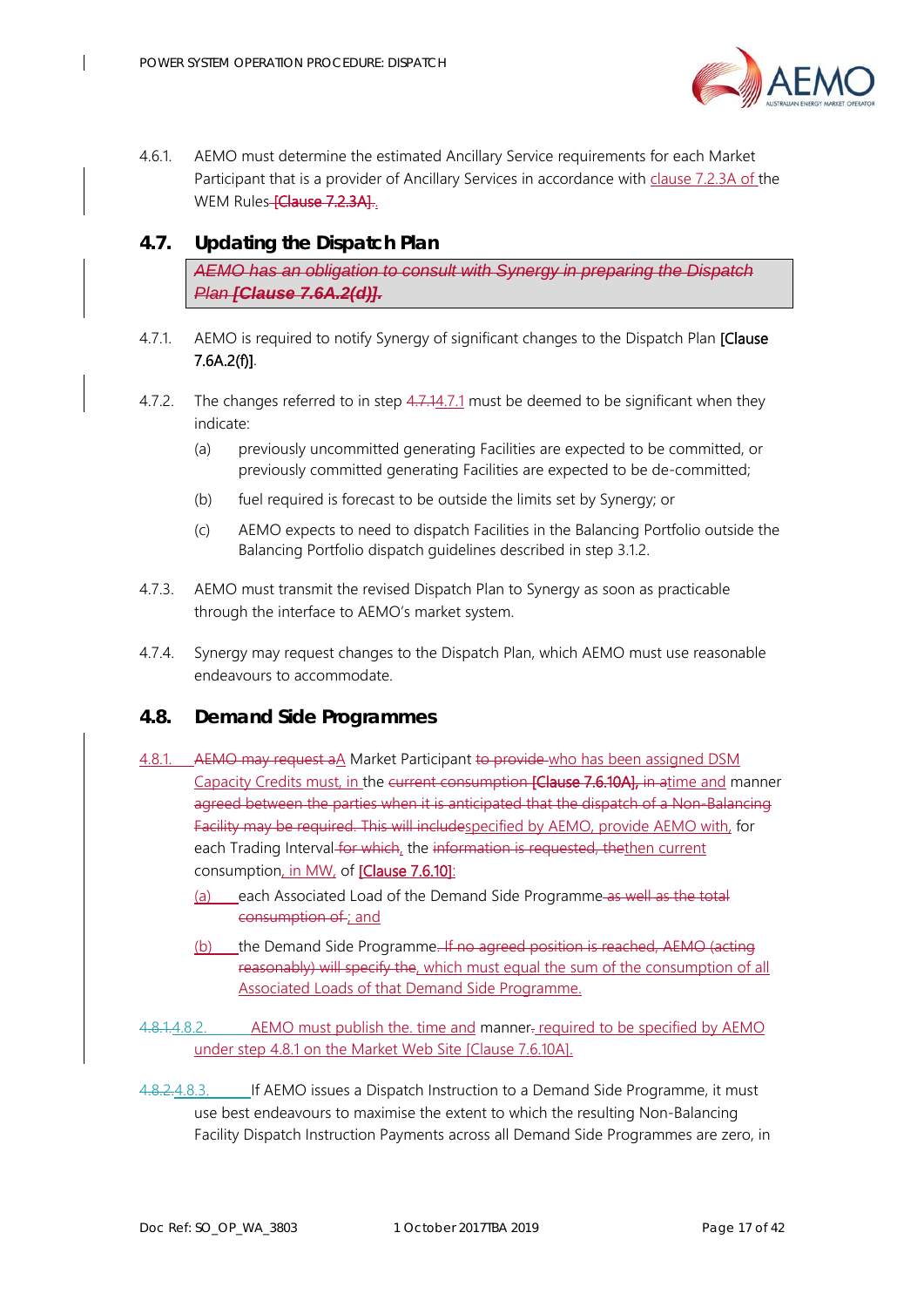

4.6.1. AEMO must determine the estimated Ancillary Service requirements for each Market Participant that is a provider of Ancillary Services in accordance with clause 7.2.3A of the WEM Rules-**[Clause 7.2.3A].**.

#### <span id="page-16-3"></span><span id="page-16-0"></span>**4.7. Updating the Dispatch Plan**

*AEMO has an obligation to consult with Synergy in preparing the Dispatch Plan [Clause 7.6A.2(d)].*

- 4.7.1. AEMO is required to notify Synergy of significant changes to the Dispatch Plan [Clause] 7.6A.2(f)].
- 4.7.2. The changes referred to in step [4.7.14.7.1](#page-16-3) must be deemed to be significant when they indicate:
	- (a) previously uncommitted generating Facilities are expected to be committed, or previously committed generating Facilities are expected to be de-committed;
	- (b) fuel required is forecast to be outside the limits set by Synergy; or
	- (c) AEMO expects to need to dispatch Facilities in the Balancing Portfolio outside the Balancing Portfolio dispatch guidelines described in step [3.1.2.](#page-12-3)
- 4.7.3. AEMO must transmit the revised Dispatch Plan to Synergy as soon as practicable through the interface to AEMO's market system.
- 4.7.4. Synergy may request changes to the Dispatch Plan, which AEMO must use reasonable endeavours to accommodate.

## <span id="page-16-1"></span>**4.8. Demand Side Programmes**

- <span id="page-16-2"></span>4.8.1. AEMO may request a AMarket Participant to provide who has been assigned DSM Capacity Credits must, in the current consumption [Clause 7.6.10A], in atime and manner agreed between the parties when it is anticipated that the dispatch of a Non-Balancing Facility may be required. This will includespecified by AEMO, provide AEMO with, for each Trading Interval for which, the information is requested, thethen current consumption, in MW, of [Clause 7.6.10]:
	- (a) each Associated Load of the Demand Side Programme as well as the total consumption of ; and
	- (b) the Demand Side Programme. If no agreed position is reached, AEMO (acting reasonably) will specify the, which must equal the sum of the consumption of all Associated Loads of that Demand Side Programme.
- <span id="page-16-4"></span>4.8.1.4.8.2. AEMO must publish the. time and manner. required to be specified by AEMO under step [4.8.1](#page-16-2) on the Market Web Site [Clause 7.6.10A].
- 4.8.2.4.8.3. If AEMO issues a Dispatch Instruction to a Demand Side Programme, it must use best endeavours to maximise the extent to which the resulting Non-Balancing Facility Dispatch Instruction Payments across all Demand Side Programmes are zero, in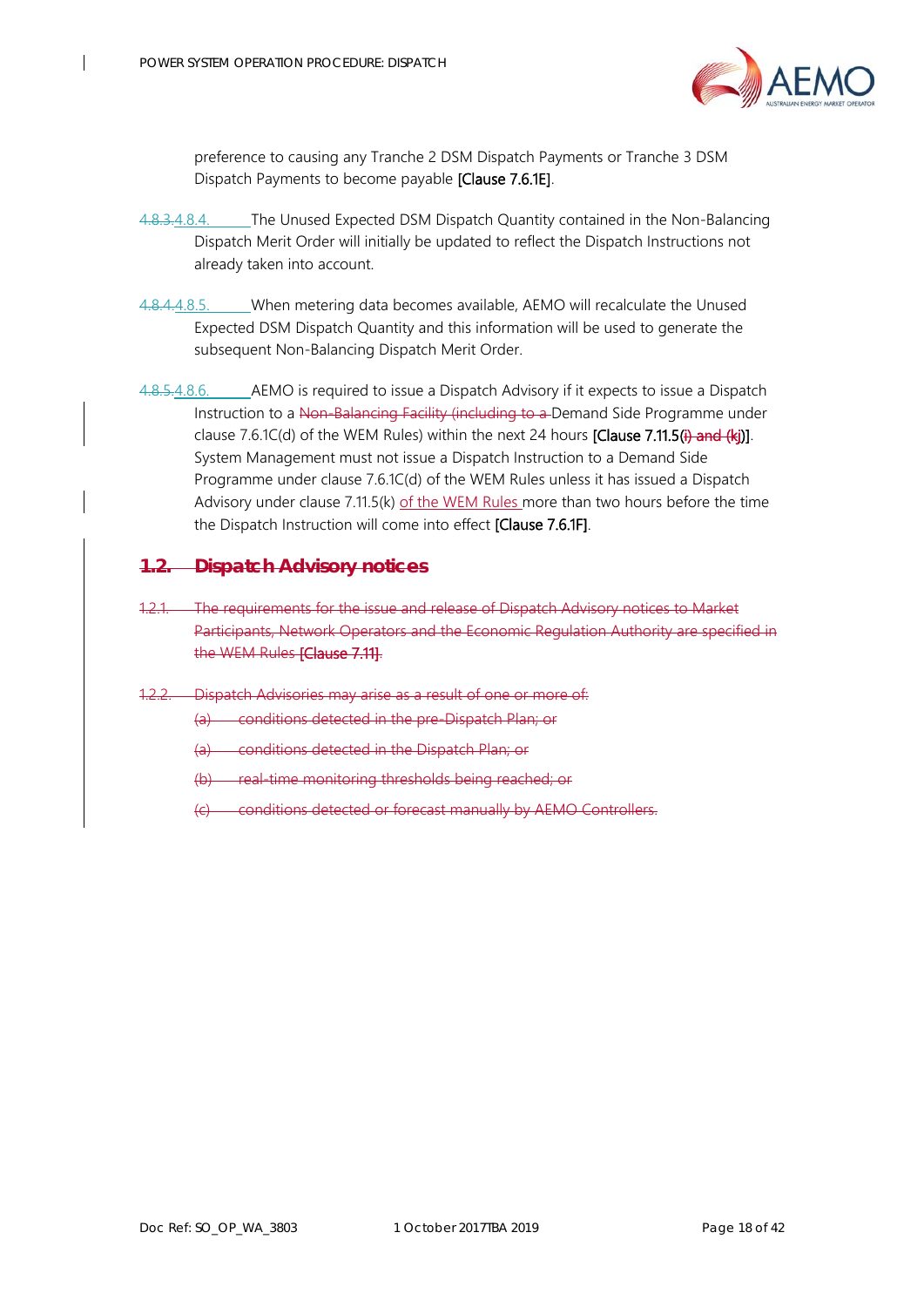

preference to causing any Tranche 2 DSM Dispatch Payments or Tranche 3 DSM Dispatch Payments to become payable [Clause 7.6.1E].

- 4.8.3.4.8.4. The Unused Expected DSM Dispatch Quantity contained in the Non-Balancing Dispatch Merit Order will initially be updated to reflect the Dispatch Instructions not already taken into account.
- 4.8.4.4.8.5. When metering data becomes available, AEMO will recalculate the Unused Expected DSM Dispatch Quantity and this information will be used to generate the subsequent Non-Balancing Dispatch Merit Order.
- 4.8.5.4.8.6. AEMO is required to issue a Dispatch Advisory if it expects to issue a Dispatch Instruction to a Non-Balancing Facility (including to a Demand Side Programme under clause 7.6.1C(d) of the WEM Rules) within the next 24 hours **[Clause 7.11.5(i) and (ki)]**. System Management must not issue a Dispatch Instruction to a Demand Side Programme under clause 7.6.1C(d) of the WEM Rules unless it has issued a Dispatch Advisory under clause 7.11.5(k) of the WEM Rules more than two hours before the time the Dispatch Instruction will come into effect [Clause 7.6.1F].

#### **1.2. Dispatch Advisory notices**

1.2.1. The requirements for the issue and release of Dispatch Advisory notices to Market Participants, Network Operators and the Economic Regulation Authority are specified in the WEM Rules [Clause 7.11].

1.2.2. Dispatch Advisories may arise as a result of one or more of:

- (a) conditions detected in the pre-Dispatch Plan; or
- (a) conditions detected in the Dispatch Plan; or
- (b) real-time monitoring thresholds being reached; or
- (c) conditions detected or forecast manually by AEMO Controllers.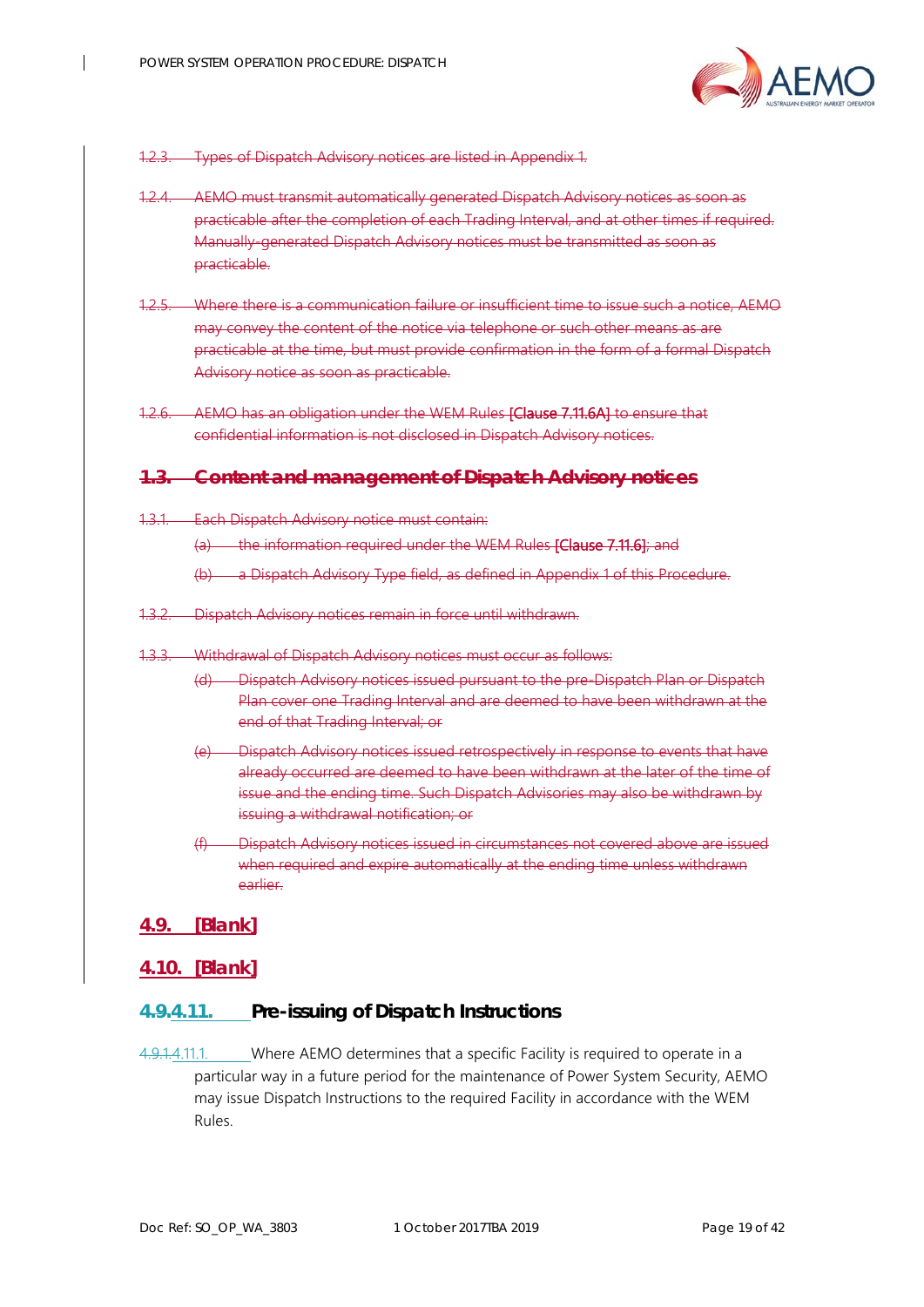

1.2.3. Types of Dispatch Advisory notices are listed in Appendix 1.

- 1.2.4. AEMO must transmit automatically generated Dispatch Advisory notices as soon as practicable after the completion of each Trading Interval, and at other times if required. Manually-generated Dispatch Advisory notices must be transmitted as soon as practicable.
- 1.2.5. Where there is a communication failure or insufficient time to issue such a notice, AEMO may convey the content of the notice via telephone or such other means as are practicable at the time, but must provide confirmation in the form of a formal Dispatch Advisory notice as soon as practicable.
- 1.2.6. AEMO has an obligation under the WEM Rules [Clause 7.11.6A] to ensure that confidential information is not disclosed in Dispatch Advisory notices.

#### **1.3. Content and management of Dispatch Advisory notices**

- 1.3.1. Each Dispatch Advisory notice must contain:
	- (a) the information required under the WEM Rules **[Clause 7.11.6]**; and
	- (b) a Dispatch Advisory Type field, as defined in Appendix 1 of this Procedure.
- 1.3.2. Dispatch Advisory notices remain in force until withdrawn.
- 1.3.3. Withdrawal of Dispatch Advisory notices must occur as follows:
	- (d) Dispatch Advisory notices issued pursuant to the pre-Dispatch Plan or Dispatch Plan cover one Trading Interval and are deemed to have been withdrawn at the end of that Trading Interval; or
	- (e) Dispatch Advisory notices issued retrospectively in response to events that have already occurred are deemed to have been withdrawn at the later of the time of issue and the ending time. Such Dispatch Advisories may also be withdrawn by issuing a withdrawal notification; or
	- (f) Dispatch Advisory notices issued in circumstances not covered above are issued when required and expire automatically at the ending time unless withdrawn earlier.

#### <span id="page-18-0"></span>**4.9. [Blank]**

#### <span id="page-18-1"></span>**4.10. [Blank]**

#### <span id="page-18-2"></span>**4.9.4.11. Pre-issuing of Dispatch Instructions**

<span id="page-18-3"></span>4.9.1.4.11.1. Where AEMO determines that a specific Facility is required to operate in a particular way in a future period for the maintenance of Power System Security, AEMO may issue Dispatch Instructions to the required Facility in accordance with the WEM Rules.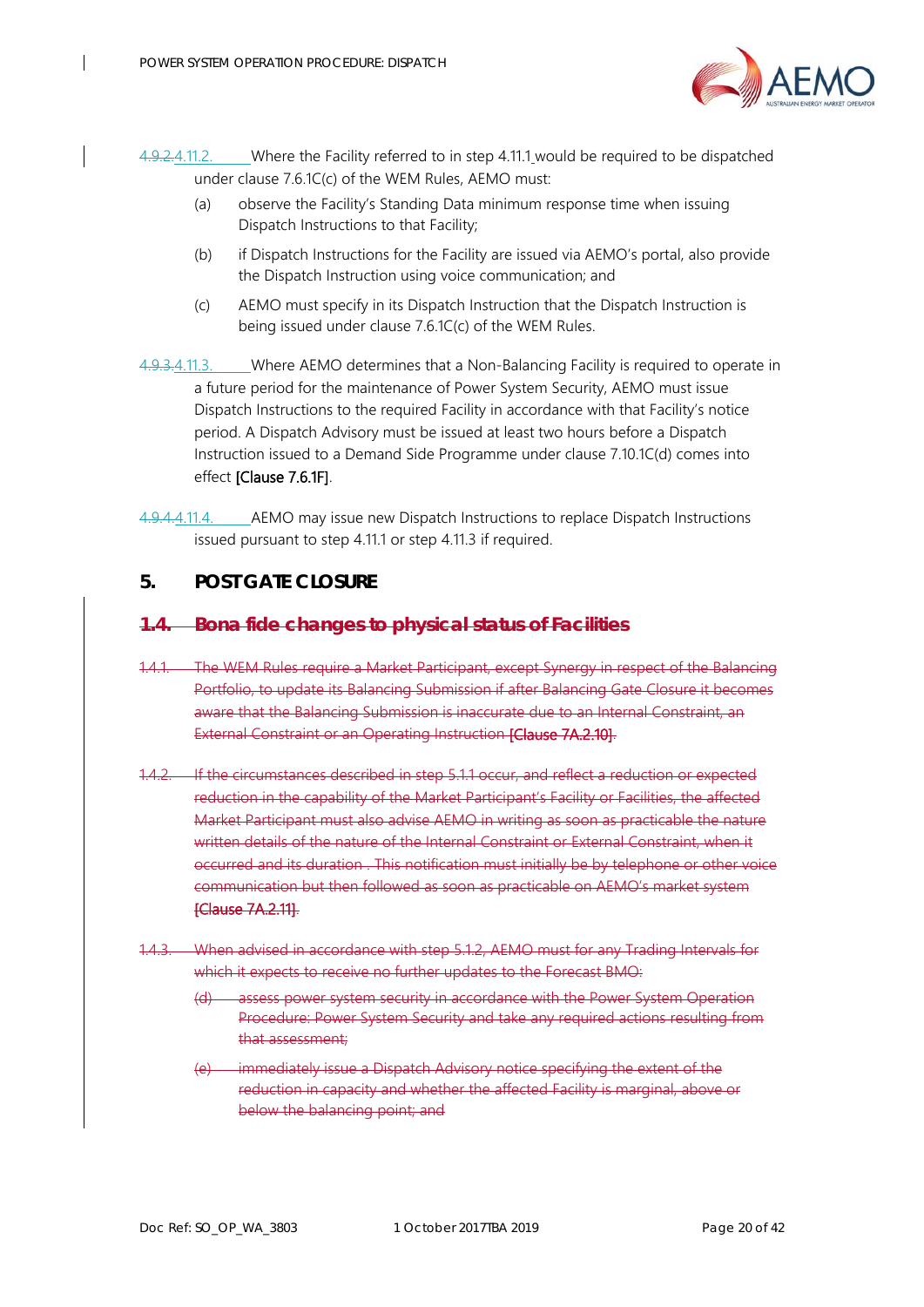

4.9.2.4.11.2. Where the Facility referred to in step [4.11.1](#page-18-3) would be required to be dispatched under clause 7.6.1C(c) of the WEM Rules, AEMO must:

- (a) observe the Facility's Standing Data minimum response time when issuing Dispatch Instructions to that Facility;
- (b) if Dispatch Instructions for the Facility are issued via AEMO's portal, also provide the Dispatch Instruction using voice communication; and
- (c) AEMO must specify in its Dispatch Instruction that the Dispatch Instruction is being issued under clause 7.6.1C(c) of the WEM Rules.
- <span id="page-19-1"></span>4.9.3.4.11.3. Where AEMO determines that a Non-Balancing Facility is required to operate in a future period for the maintenance of Power System Security, AEMO must issue Dispatch Instructions to the required Facility in accordance with that Facility's notice period. A Dispatch Advisory must be issued at least two hours before a Dispatch Instruction issued to a Demand Side Programme under clause 7.10.1C(d) comes into effect [Clause 7.6.1F].
- 4.9.4.4.11.4. AEMO may issue new Dispatch Instructions to replace Dispatch Instructions issued pursuant to step [4.11.1](#page-18-3) or step [4.11.3](#page-19-1) if required.

#### <span id="page-19-0"></span>**5. POST GATE CLOSURE**

#### **1.4. Bona fide changes to physical status of Facilities**

- <span id="page-19-2"></span>1.4.1. The WEM Rules require a Market Participant, except Synergy in respect of the Balancing Portfolio, to update its Balancing Submission if after Balancing Gate Closure it becomes aware that the Balancing Submission is inaccurate due to an Internal Constraint, an External Constraint or an Operating Instruction [Clause 7A.2.10].
- <span id="page-19-3"></span>1.4.2. If the circumstances described in step [5.1.1](#page-19-2) occur, and reflect a reduction or expected reduction in the capability of the Market Participant's Facility or Facilities, the affected Market Participant must also advise AEMO in writing as soon as practicable the nature written details of the nature of the Internal Constraint or External Constraint, when it occurred and its duration . This notification must initially be by telephone or other voice communication but then followed as soon as practicable on AEMO's market system [Clause 7A.2.11].
- 1.4.3. When advised in accordance with step [5.1.2,](#page-19-3) AEMO must for any Trading Intervals for which it expects to receive no further updates to the Forecast BMO:
	- (d) assess power system security in accordance with the Power System Operation Procedure: Power System Security and take any required actions resulting from that assessment;
	- immediately issue a Dispatch Advisory notice specifying the extent of the reduction in capacity and whether the affected Facility is marginal, above or below the balancing point; and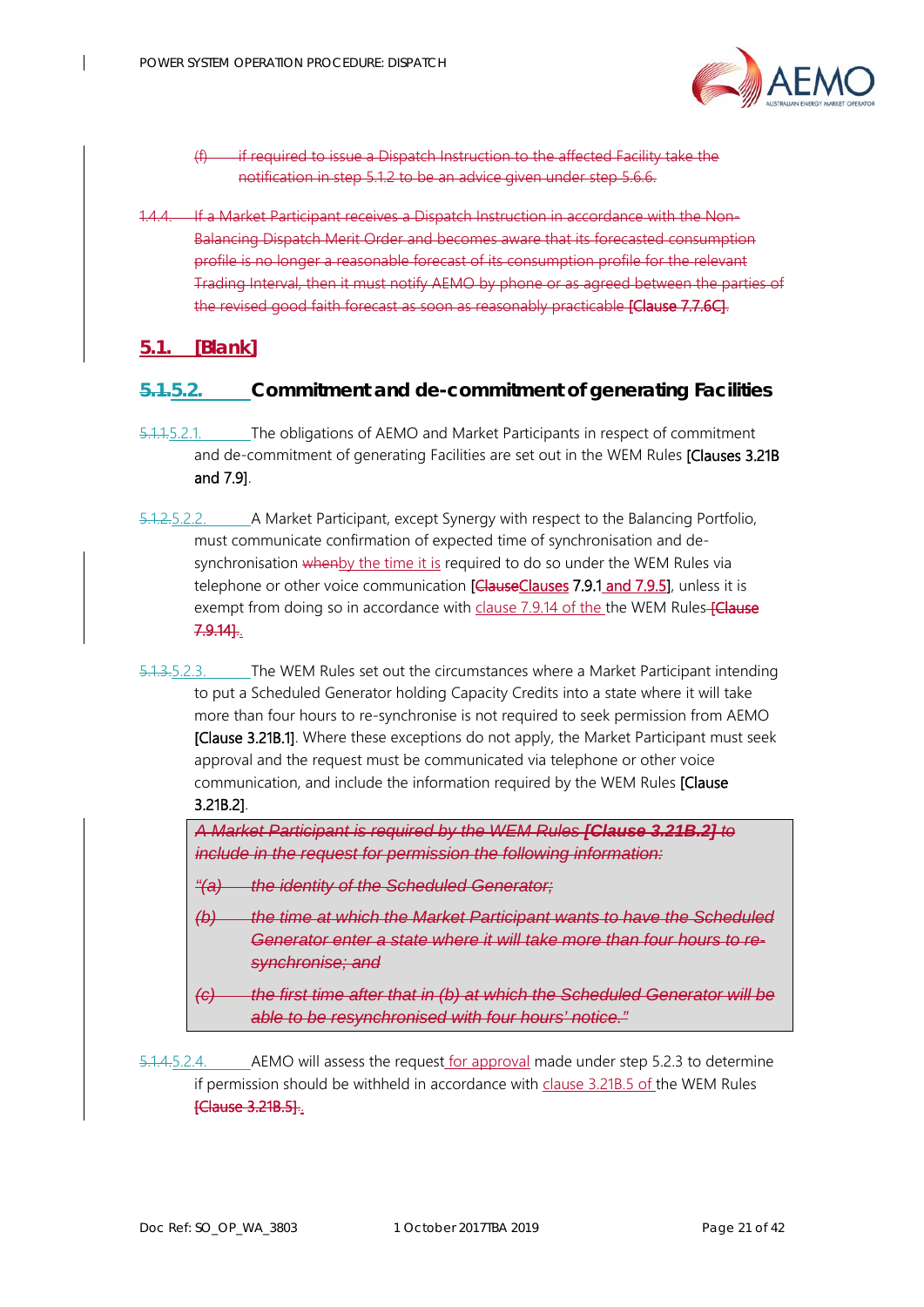

if required to issue a Dispatch Instruction to the affected Facility take the notification in ste[p 5.1.2](#page-19-3) to be an advice given under step [5.6.6.](#page-26-0)

1.4.4. If a Market Participant receives a Dispatch Instruction in accordance with the Non-Balancing Dispatch Merit Order and becomes aware that its forecasted consumption profile is no longer a reasonable forecast of its consumption profile for the relevant Trading Interval, then it must notify AEMO by phone or as agreed between the parties of the revised good faith forecast as soon as reasonably practicable **[Clause 7.7.6C]**.

#### <span id="page-20-0"></span>**5.1. [Blank]**

#### <span id="page-20-1"></span>**5.1.5.2. Commitment and de-commitment of generating Facilities**

- 5.1.1.5.2.1. The obligations of AEMO and Market Participants in respect of commitment and de-commitment of generating Facilities are set out in the WEM Rules [Clauses 3.21B and 7.9].
- 5.1.2.5.2.2. A Market Participant, except Synergy with respect to the Balancing Portfolio, must communicate confirmation of expected time of synchronisation and desynchronisation whenby the time it is required to do so under the WEM Rules via telephone or other voice communication [ClauseClauses 7.9.1 and 7.9.5], unless it is exempt from doing so in accordance with clause 7.9.14 of the the WEM Rules-Clause 7.9.14]..
- <span id="page-20-2"></span>5.1.3.5.2.3. The WEM Rules set out the circumstances where a Market Participant intending to put a Scheduled Generator holding Capacity Credits into a state where it will take more than four hours to re-synchronise is not required to seek permission from AEMO [Clause 3.21B.1]. Where these exceptions do not apply, the Market Participant must seek approval and the request must be communicated via telephone or other voice communication, and include the information required by the WEM Rules [Clause

#### 3.21B.2].

*A Market Participant is required by the WEM Rules [Clause 3.21B.2] to include in the request for permission the following information:*

*"(a) the identity of the Scheduled Generator;*

- *(b) the time at which the Market Participant wants to have the Scheduled Generator enter a state where it will take more than four hours to resynchronise; and*
- *(c) the first time after that in (b) at which the Scheduled Generator will be able to be resynchronised with four hours' notice."*
- <span id="page-20-3"></span>5.1.4.5.2.4. AEMO will assess the request for approval made under step [5.2.3](#page-20-2) to determine if permission should be withheld in accordance with clause 3.21B.5 of the WEM Rules [Clause 3.21B.5]..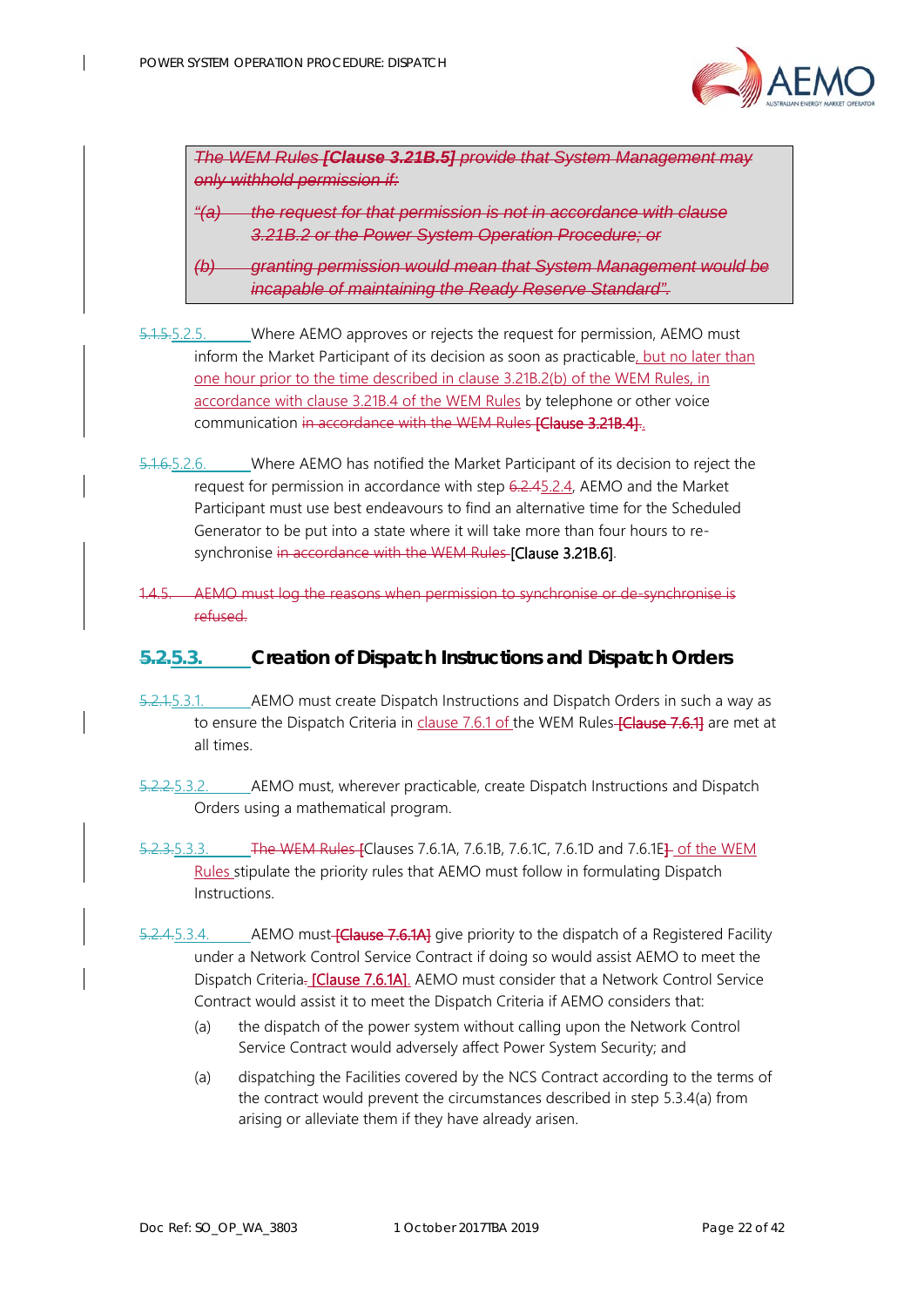

*The WEM Rules [Clause 3.21B.5] provide that System Management may only withhold permission if:*

*"(a) the request for that permission is not in accordance with clause 3.21B.2 or the Power System Operation Procedure; or*

*(b) granting permission would mean that System Management would be incapable of maintaining the Ready Reserve Standard".*

- 5.1.5.5.2.5. Where AEMO approves or rejects the request for permission, AEMO must inform the Market Participant of its decision as soon as practicable, but no later than one hour prior to the time described in clause 3.21B.2(b) of the WEM Rules, in accordance with clause 3.21B.4 of the WEM Rules by telephone or other voice communication in accordance with the WEM Rules [Clause 3.21B.4].
- 5.1.6.5.2.6. Where AEMO has notified the Market Participant of its decision to reject the request for permission in accordance with step [6.2.4](#page-30-2)[5.2.4,](#page-20-3) AEMO and the Market Participant must use best endeavours to find an alternative time for the Scheduled Generator to be put into a state where it will take more than four hours to resynchronise in accordance with the WEM Rules [Clause 3.21B.6].
- 1.4.5. AEMO must log the reasons when permission to synchronise or de-synchronise is refused.

## <span id="page-21-0"></span>**5.2.5.3. Creation of Dispatch Instructions and Dispatch Orders**

- 5.2.1.5.3.1. AEMO must create Dispatch Instructions and Dispatch Orders in such a way as to ensure the Dispatch Criteria in clause 7.6.1 of the WEM Rules-**[Clause 7.6.1]** are met at all times.
- 5.2.2.5.3.2. AEMO must, wherever practicable, create Dispatch Instructions and Dispatch Orders using a mathematical program.
- 5.2.3.5.3.3. The WEM Rules [Clauses 7.6.1A, 7.6.1B, 7.6.1C, 7.6.1D and 7.6.1E] of the WEM Rules stipulate the priority rules that AEMO must follow in formulating Dispatch Instructions.
- <span id="page-21-2"></span><span id="page-21-1"></span>5.2.4.5.3.4. AEMO must [Clause 7.6.1A] give priority to the dispatch of a Registered Facility under a Network Control Service Contract if doing so would assist AEMO to meet the Dispatch Criteria. [Clause 7.6.1A]. AEMO must consider that a Network Control Service Contract would assist it to meet the Dispatch Criteria if AEMO considers that:
	- (a) the dispatch of the power system without calling upon the Network Control Service Contract would adversely affect Power System Security; and
	- (a) dispatching the Facilities covered by the NCS Contract according to the terms of the contract would prevent the circumstances described in step [5.3.4](#page-21-1)[\(a\)](#page-21-2) from arising or alleviate them if they have already arisen.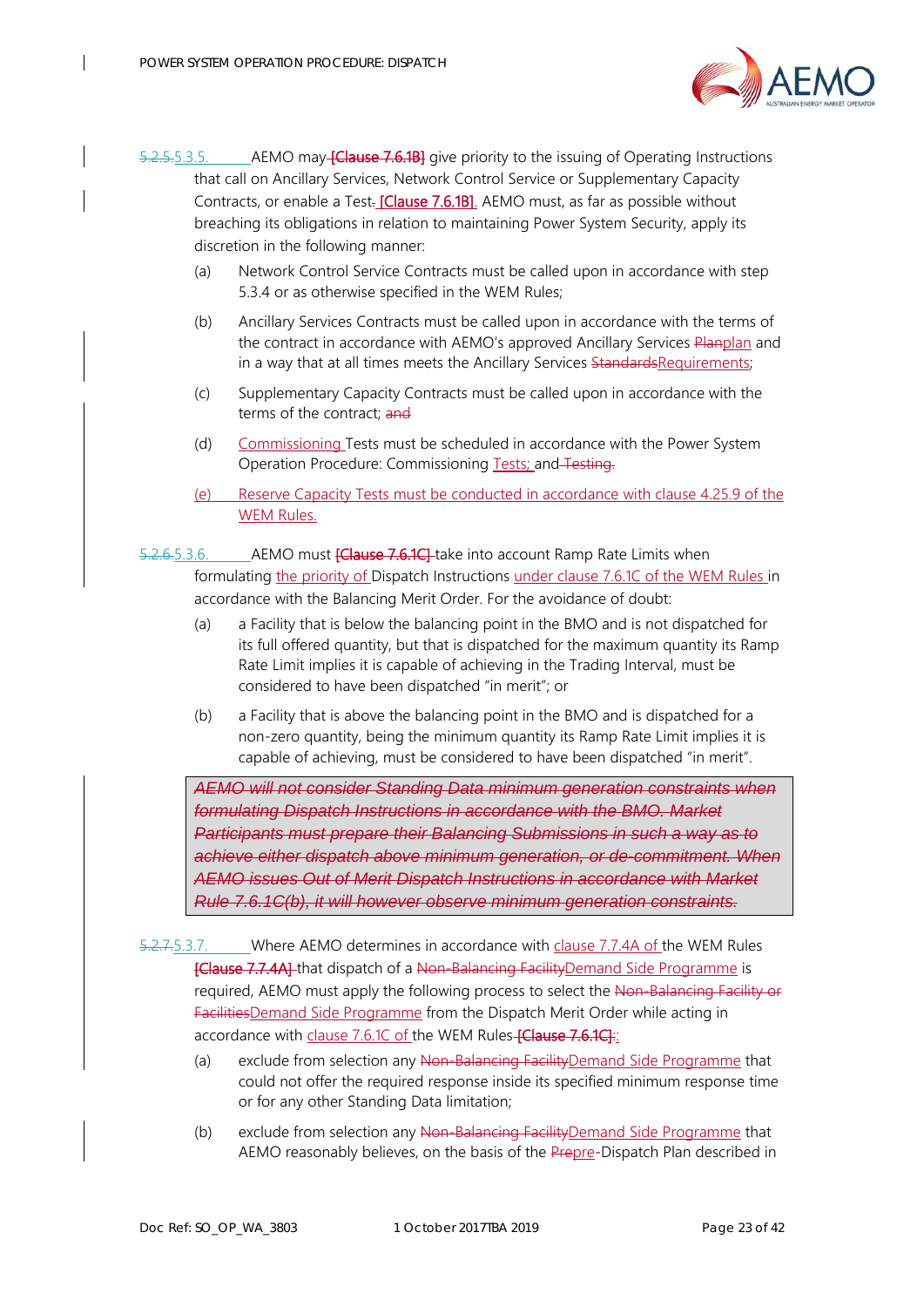

- <span id="page-22-0"></span>5.2.5.5.3.5. AEMO may [Clause 7.6.1B] give priority to the issuing of Operating Instructions that call on Ancillary Services, Network Control Service or Supplementary Capacity Contracts, or enable a Test. [Clause 7.6.1B]. AEMO must, as far as possible without breaching its obligations in relation to maintaining Power System Security, apply its discretion in the following manner:
	- (a) Network Control Service Contracts must be called upon in accordance with step [5.3.4](#page-21-1) or as otherwise specified in the WEM Rules;
	- (b) Ancillary Services Contracts must be called upon in accordance with the terms of the contract in accordance with AEMO's approved Ancillary Services Planplan and in a way that at all times meets the Ancillary Services StandardsRequirements;
	- (c) Supplementary Capacity Contracts must be called upon in accordance with the terms of the contract; and
	- (d) Commissioning Tests must be scheduled in accordance with the Power System Operation Procedure: Commissioning Tests; and Testing.
	- (e) Reserve Capacity Tests must be conducted in accordance with clause 4.25.9 of the WEM Rules.
- 5.2.6.5.3.6. AEMO must **[Clause 7.6.1C]** take into account Ramp Rate Limits when formulating the priority of Dispatch Instructions under clause 7.6.1C of the WEM Rules in accordance with the Balancing Merit Order. For the avoidance of doubt:
	- (a) a Facility that is below the balancing point in the BMO and is not dispatched for its full offered quantity, but that is dispatched for the maximum quantity its Ramp Rate Limit implies it is capable of achieving in the Trading Interval, must be considered to have been dispatched "in merit"; or
	- (b) a Facility that is above the balancing point in the BMO and is dispatched for a non-zero quantity, being the minimum quantity its Ramp Rate Limit implies it is capable of achieving, must be considered to have been dispatched "in merit".

*AEMO will not consider Standing Data minimum generation constraints when formulating Dispatch Instructions in accordance with the BMO. Market Participants must prepare their Balancing Submissions in such a way as to achieve either dispatch above minimum generation, or de-commitment. When AEMO issues Out of Merit Dispatch Instructions in accordance with Market Rule 7.6.1C(b), it will however observe minimum generation constraints.*

- <span id="page-22-1"></span>5.2.7.5.3.7. Where AEMO determines in accordance with clause 7.7.4A of the WEM Rules [Clause 7.7.4A] that dispatch of a Non-Balancing FacilityDemand Side Programme is required, AEMO must apply the following process to select the Non-Balancing Facility or FacilitiesDemand Side Programme from the Dispatch Merit Order while acting in accordance with clause 7.6.1C of the WEM Rules-Clause 7.6.1C.
	- (a) exclude from selection any Non-Balancing Facility Demand Side Programme that could not offer the required response inside its specified minimum response time or for any other Standing Data limitation;
	- (b) exclude from selection any Non-Balancing FacilityDemand Side Programme that AEMO reasonably believes, on the basis of the Prepre-Dispatch Plan described in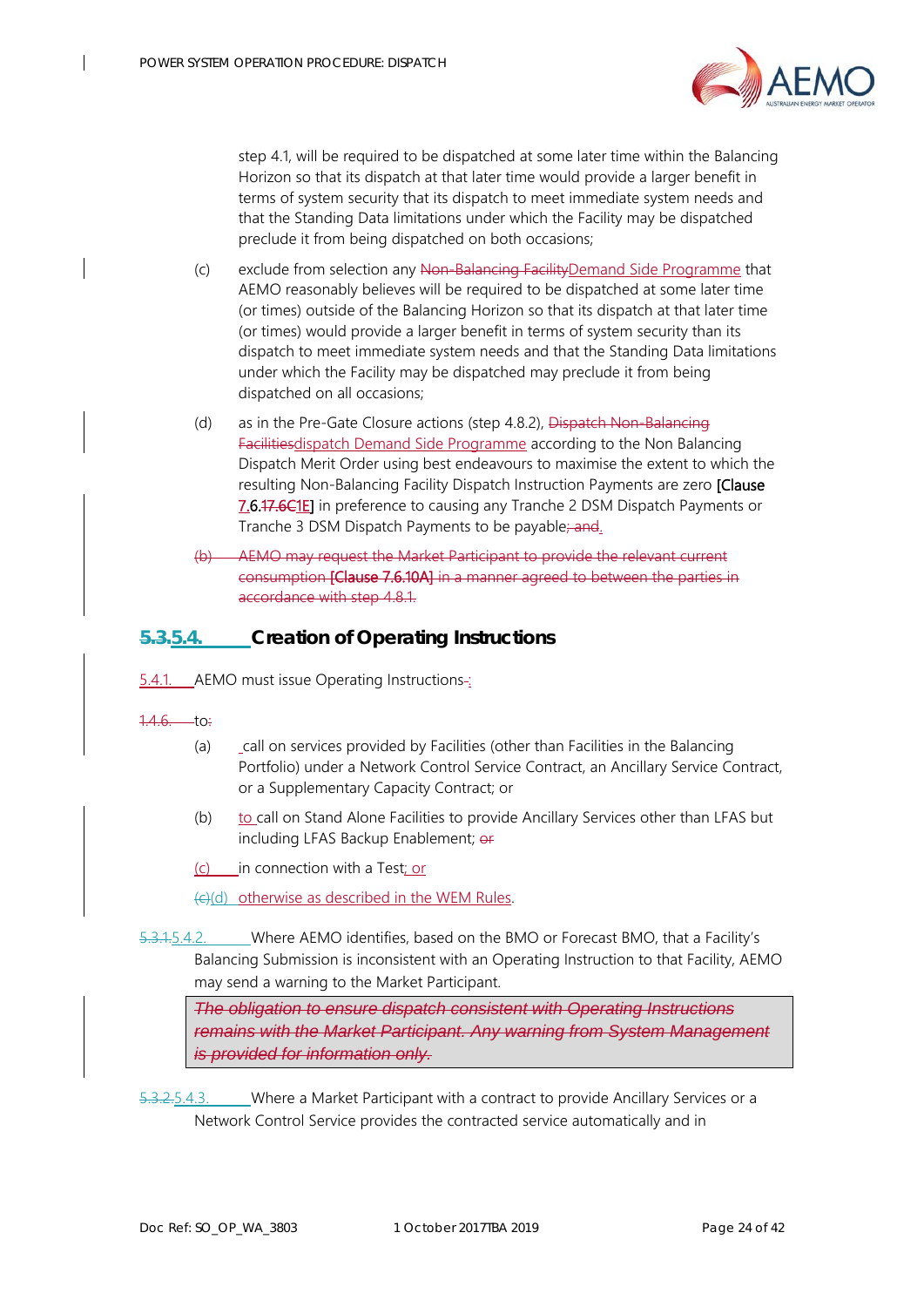

step [4.1,](#page-13-0) will be required to be dispatched at some later time within the Balancing Horizon so that its dispatch at that later time would provide a larger benefit in terms of system security that its dispatch to meet immediate system needs and that the Standing Data limitations under which the Facility may be dispatched preclude it from being dispatched on both occasions;

- (c) exclude from selection any Non-Balancing FacilityDemand Side Programme that AEMO reasonably believes will be required to be dispatched at some later time (or times) outside of the Balancing Horizon so that its dispatch at that later time (or times) would provide a larger benefit in terms of system security than its dispatch to meet immediate system needs and that the Standing Data limitations under which the Facility may be dispatched may preclude it from being dispatched on all occasions;
- (d) as in the Pre-Gate Closure actions (step [4.8.2\)](#page-16-4), Dispatch Non-Balancing Facilitiesdispatch Demand Side Programme according to the Non Balancing Dispatch Merit Order using best endeavours to maximise the extent to which the resulting Non-Balancing Facility Dispatch Instruction Payments are zero [Clause 7.6.17.6C1E] in preference to causing any Tranche 2 DSM Dispatch Payments or Tranche 3 DSM Dispatch Payments to be payable; and.
- AEMO may request the Market Participant to provide the relevant current consumption [Clause 7.6.10A] in a manner agreed to between the parties in accordance with step [4.8.1.](#page-16-2)

#### <span id="page-23-0"></span>**5.3.5.4. Creation of Operating Instructions**

- 5.4.1. AEMO must issue Operating Instructions-
- $1.4.6...$  to:
	- (a) call on services provided by Facilities (other than Facilities in the Balancing Portfolio) under a Network Control Service Contract, an Ancillary Service Contract, or a Supplementary Capacity Contract; or
	- (b) to call on Stand Alone Facilities to provide Ancillary Services other than LFAS but including LFAS Backup Enablement; or
	- $(c)$  in connection with a Test; or

(c)(d) otherwise as described in the WEM Rules.

5.3.1.5.4.2. Where AEMO identifies, based on the BMO or Forecast BMO, that a Facility's Balancing Submission is inconsistent with an Operating Instruction to that Facility, AEMO may send a warning to the Market Participant.

*The obligation to ensure dispatch consistent with Operating Instructions remains with the Market Participant. Any warning from System Management is provided for information only.*

5.3.2.5.4.3. Where a Market Participant with a contract to provide Ancillary Services or a Network Control Service provides the contracted service automatically and in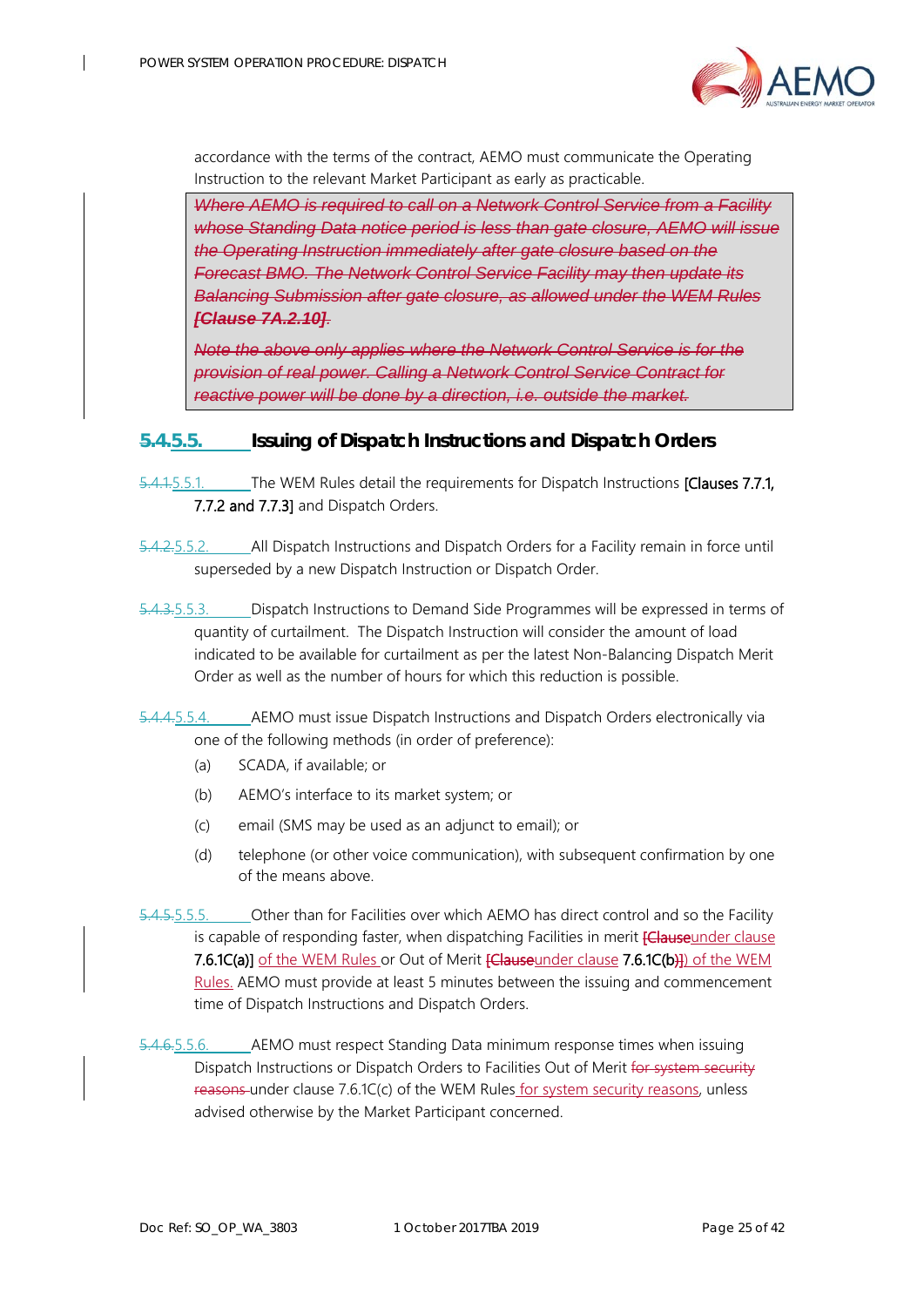

accordance with the terms of the contract, AEMO must communicate the Operating Instruction to the relevant Market Participant as early as practicable.

*Where AEMO is required to call on a Network Control Service from a Facility whose Standing Data notice period is less than gate closure, AEMO will issue the Operating Instruction immediately after gate closure based on the Forecast BMO. The Network Control Service Facility may then update its Balancing Submission after gate closure, as allowed under the WEM Rules [Clause 7A.2.10].*

*Note the above only applies where the Network Control Service is for the provision of real power. Calling a Network Control Service Contract for reactive power will be done by a direction, i.e. outside the market.*

#### <span id="page-24-0"></span>**5.4.5.5. Issuing of Dispatch Instructions and Dispatch Orders**

- 5.4.1.5.5.1. The WEM Rules detail the requirements for Dispatch Instructions [Clauses 7.7.1, 7.7.2 and 7.7.3] and Dispatch Orders.
- 5.4.2.5.5.2. All Dispatch Instructions and Dispatch Orders for a Facility remain in force until superseded by a new Dispatch Instruction or Dispatch Order.
- 5.4.3.5.5.3. Dispatch Instructions to Demand Side Programmes will be expressed in terms of quantity of curtailment. The Dispatch Instruction will consider the amount of load indicated to be available for curtailment as per the latest Non-Balancing Dispatch Merit Order as well as the number of hours for which this reduction is possible.
- <span id="page-24-1"></span>5.4.4.5.5.4. AEMO must issue Dispatch Instructions and Dispatch Orders electronically via one of the following methods (in order of preference):
	- (a) SCADA, if available; or
	- (b) AEMO's interface to its market system; or
	- (c) email (SMS may be used as an adjunct to email); or
	- (d) telephone (or other voice communication), with subsequent confirmation by one of the means above.
- 5.4.5.5.5. Other than for Facilities over which AEMO has direct control and so the Facility is capable of responding faster, when dispatching Facilities in merit **[Clause**under clause 7.6.1C(a)] of the WEM Rules or Out of Merit [Clause under clause 7.6.1C(b)]) of the WEM Rules. AEMO must provide at least 5 minutes between the issuing and commencement time of Dispatch Instructions and Dispatch Orders.
- 5.4.6.5.5.6. AEMO must respect Standing Data minimum response times when issuing Dispatch Instructions or Dispatch Orders to Facilities Out of Merit for system security  $r$ easons-under clause  $7.6.1C(c)$  of the WEM Rules for system security reasons, unless advised otherwise by the Market Participant concerned.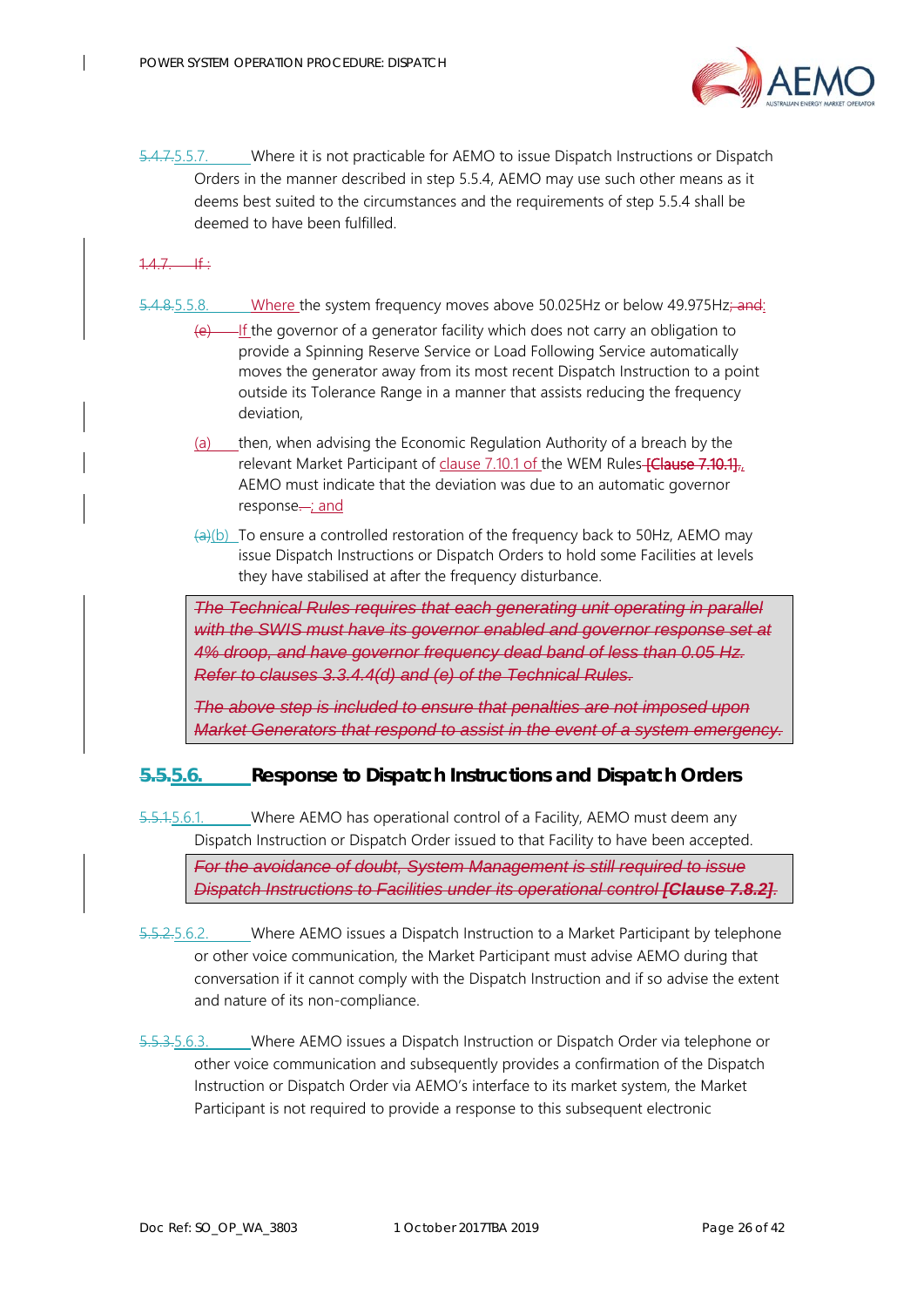

5.4.7.5.5.7. Where it is not practicable for AEMO to issue Dispatch Instructions or Dispatch Orders in the manner described in step [5.5.4,](#page-24-1) AEMO may use such other means as it deems best suited to the circumstances and the requirements of step [5.5.4](#page-24-1) shall be deemed to have been fulfilled.

#### $147 +$

#### 5.4.8.5.5.8. Where the system frequency moves above 50.025Hz or below 49.975Hz; and:

- $\frac{1}{2}$  If the governor of a generator facility which does not carry an obligation to provide a Spinning Reserve Service or Load Following Service automatically moves the generator away from its most recent Dispatch Instruction to a point outside its Tolerance Range in a manner that assists reducing the frequency deviation,
- (a) then, when advising the Economic Regulation Authority of a breach by the relevant Market Participant of clause  $7.10.1$  of the WEM Rules [Clause 7.10.1], AEMO must indicate that the deviation was due to an automatic governor response-; and
- $(a)(b)$  To ensure a controlled restoration of the frequency back to 50Hz, AEMO may issue Dispatch Instructions or Dispatch Orders to hold some Facilities at levels they have stabilised at after the frequency disturbance.

*The Technical Rules requires that each generating unit operating in parallel*  with the SWIS must have its governor enabled and governor response set at *4% droop, and have governor frequency dead band of less than 0.05 Hz. Refer to clauses 3.3.4.4(d) and (e) of the Technical Rules.*

*The above step is included to ensure that penalties are not imposed upon Market Generators that respond to assist in the event of a system emergency.*

#### <span id="page-25-0"></span>**5.5.5.6. Response to Dispatch Instructions and Dispatch Orders**

5.5.1.5.6.1. Where AEMO has operational control of a Facility, AEMO must deem any Dispatch Instruction or Dispatch Order issued to that Facility to have been accepted.

*For the avoidance of doubt, System Management is still required to issue Dispatch Instructions to Facilities under its operational control [Clause 7.8.2].*

- 5.5.2.5.6.2. Where AEMO issues a Dispatch Instruction to a Market Participant by telephone or other voice communication, the Market Participant must advise AEMO during that conversation if it cannot comply with the Dispatch Instruction and if so advise the extent and nature of its non-compliance.
- 5.5.3.5.6.3. Where AEMO issues a Dispatch Instruction or Dispatch Order via telephone or other voice communication and subsequently provides a confirmation of the Dispatch Instruction or Dispatch Order via AEMO's interface to its market system, the Market Participant is not required to provide a response to this subsequent electronic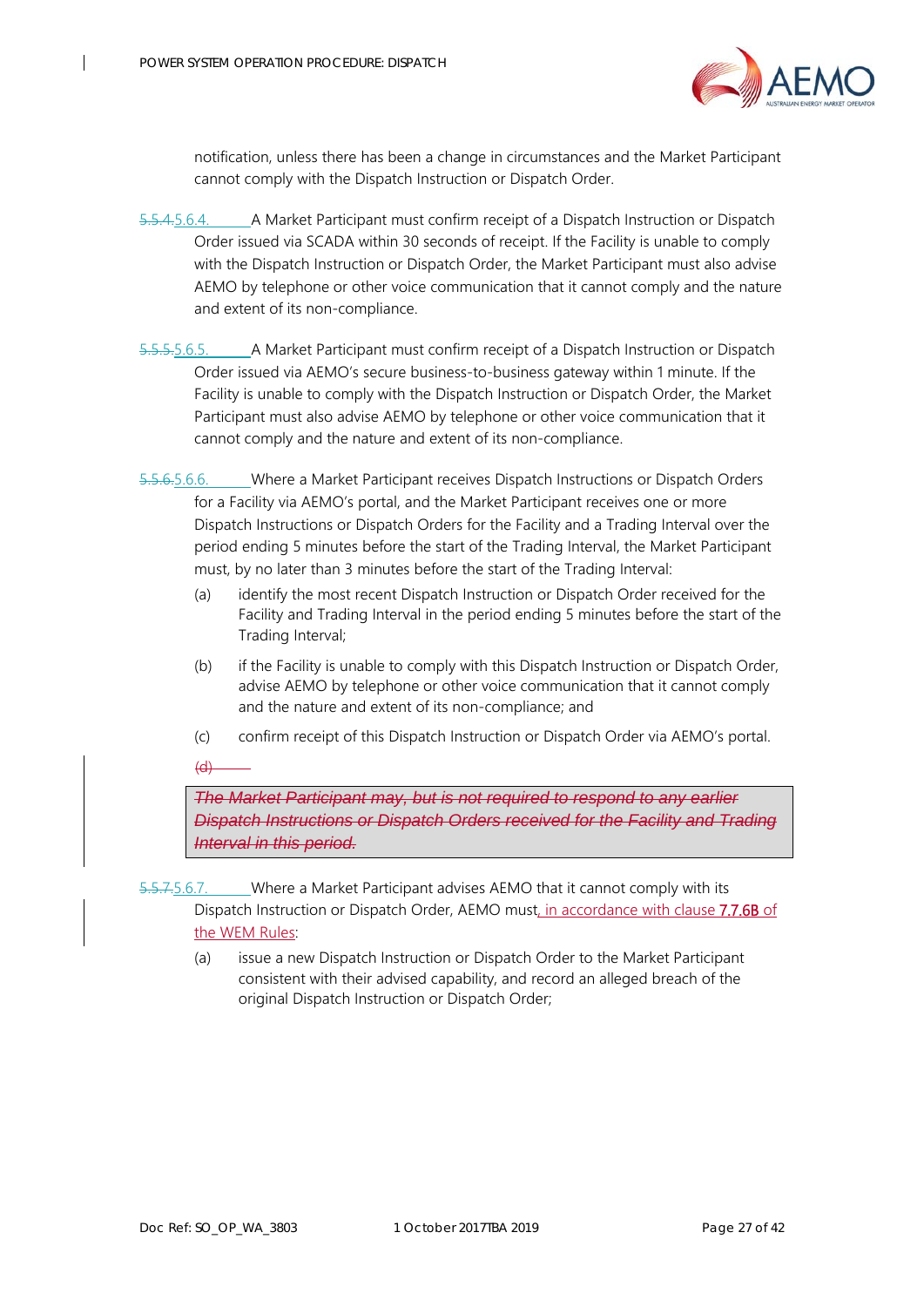

notification, unless there has been a change in circumstances and the Market Participant cannot comply with the Dispatch Instruction or Dispatch Order.

- 5.5.4.5.6.4. A Market Participant must confirm receipt of a Dispatch Instruction or Dispatch Order issued via SCADA within 30 seconds of receipt. If the Facility is unable to comply with the Dispatch Instruction or Dispatch Order, the Market Participant must also advise AEMO by telephone or other voice communication that it cannot comply and the nature and extent of its non-compliance.
- 5.5.5.5.6.5. A Market Participant must confirm receipt of a Dispatch Instruction or Dispatch Order issued via AEMO's secure business-to-business gateway within 1 minute. If the Facility is unable to comply with the Dispatch Instruction or Dispatch Order, the Market Participant must also advise AEMO by telephone or other voice communication that it cannot comply and the nature and extent of its non-compliance.
- <span id="page-26-0"></span>5.5.6.5.6.6. Where a Market Participant receives Dispatch Instructions or Dispatch Orders for a Facility via AEMO's portal, and the Market Participant receives one or more Dispatch Instructions or Dispatch Orders for the Facility and a Trading Interval over the period ending 5 minutes before the start of the Trading Interval, the Market Participant must, by no later than 3 minutes before the start of the Trading Interval:
	- (a) identify the most recent Dispatch Instruction or Dispatch Order received for the Facility and Trading Interval in the period ending 5 minutes before the start of the Trading Interval;
	- (b) if the Facility is unable to comply with this Dispatch Instruction or Dispatch Order, advise AEMO by telephone or other voice communication that it cannot comply and the nature and extent of its non-compliance; and
	- (c) confirm receipt of this Dispatch Instruction or Dispatch Order via AEMO's portal.  $(d)$

**The Market Participant may, but is not required to respond to any earlier** *Dispatch Instructions or Dispatch Orders received for the Facility and Trading Interval in this period.*

- <span id="page-26-1"></span>5.5.7.5.6.7. Where a Market Participant advises AEMO that it cannot comply with its Dispatch Instruction or Dispatch Order, AEMO must, in accordance with clause 7.7.6B of the WEM Rules:
	- (a) issue a new Dispatch Instruction or Dispatch Order to the Market Participant consistent with their advised capability, and record an alleged breach of the original Dispatch Instruction or Dispatch Order;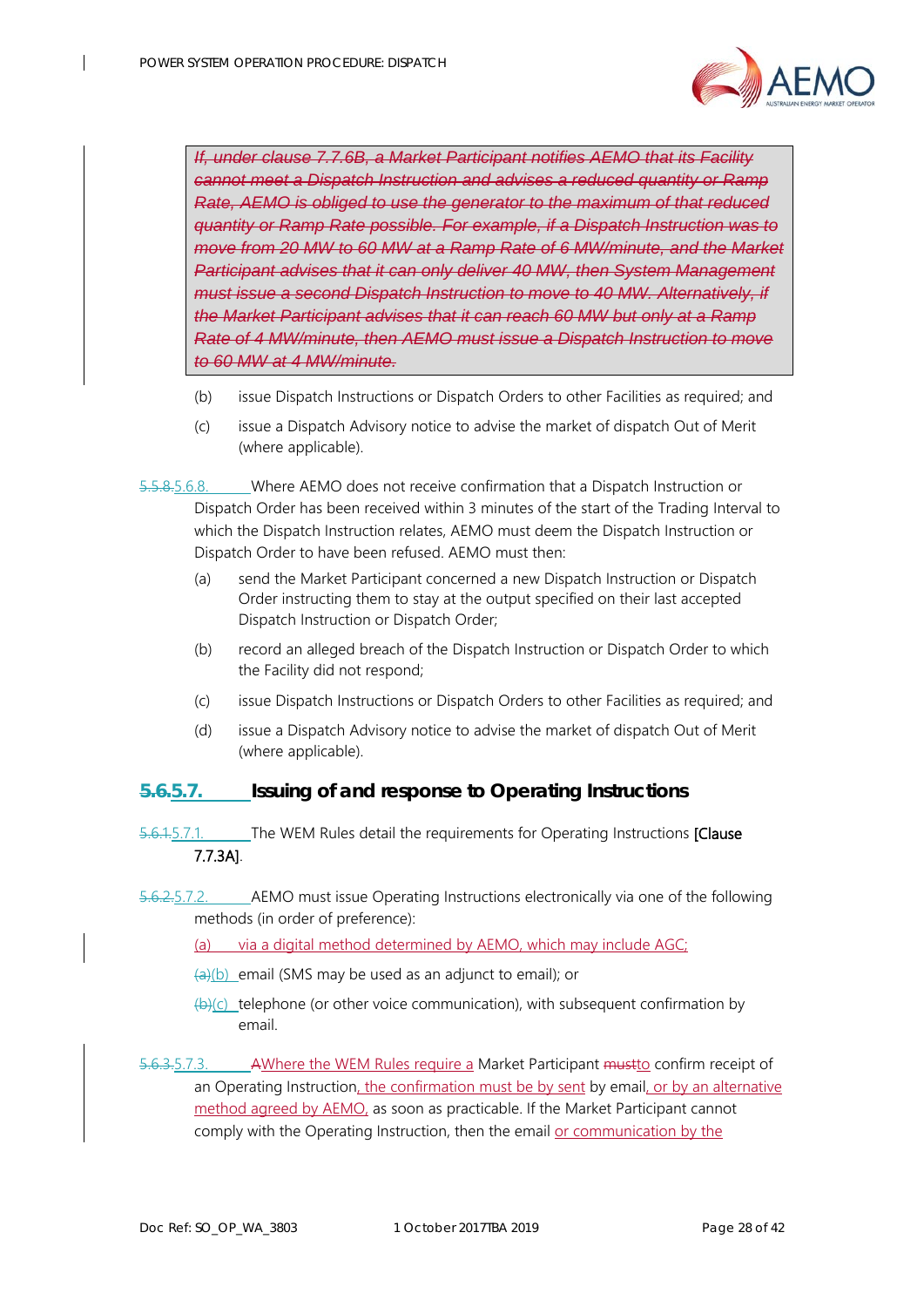

*If, under clause 7.7.6B, a Market Participant notifies AEMO that its Facility cannot meet a Dispatch Instruction and advises a reduced quantity or Ramp Rate, AEMO is obliged to use the generator to the maximum of that reduced quantity or Ramp Rate possible. For example, if a Dispatch Instruction was to move from 20 MW to 60 MW at a Ramp Rate of 6 MW/minute, and the Market Participant advises that it can only deliver 40 MW, then System Management must issue a second Dispatch Instruction to move to 40 MW. Alternatively, if the Market Participant advises that it can reach 60 MW but only at a Ramp Rate of 4 MW/minute, then AEMO must issue a Dispatch Instruction to move to 60 MW at 4 MW/minute.*

- (b) issue Dispatch Instructions or Dispatch Orders to other Facilities as required; and
- (c) issue a Dispatch Advisory notice to advise the market of dispatch Out of Merit (where applicable).

5.5.8.5.6.8. Where AEMO does not receive confirmation that a Dispatch Instruction or Dispatch Order has been received within 3 minutes of the start of the Trading Interval to which the Dispatch Instruction relates, AEMO must deem the Dispatch Instruction or Dispatch Order to have been refused. AEMO must then:

- (a) send the Market Participant concerned a new Dispatch Instruction or Dispatch Order instructing them to stay at the output specified on their last accepted Dispatch Instruction or Dispatch Order;
- (b) record an alleged breach of the Dispatch Instruction or Dispatch Order to which the Facility did not respond;
- (c) issue Dispatch Instructions or Dispatch Orders to other Facilities as required; and
- (d) issue a Dispatch Advisory notice to advise the market of dispatch Out of Merit (where applicable).

#### <span id="page-27-0"></span>**5.6.5.7. Issuing of and response to Operating Instructions**

- 5.6.1.5.7.1. The WEM Rules detail the requirements for Operating Instructions [Clause 7.7.3A].
- 5.6.2.5.7.2. AEMO must issue Operating Instructions electronically via one of the following methods (in order of preference):

(a) via a digital method determined by AEMO, which may include AGC;

- $\frac{a}{b}$ (b) email (SMS may be used as an adjunct to email); or
- $(b)(c)$  telephone (or other voice communication), with subsequent confirmation by email.
- 5.6.3.5.7.3. AWhere the WEM Rules require a Market Participant must to confirm receipt of an Operating Instruction, the confirmation must be by sent by email, or by an alternative method agreed by AEMO, as soon as practicable. If the Market Participant cannot comply with the Operating Instruction, then the email or communication by the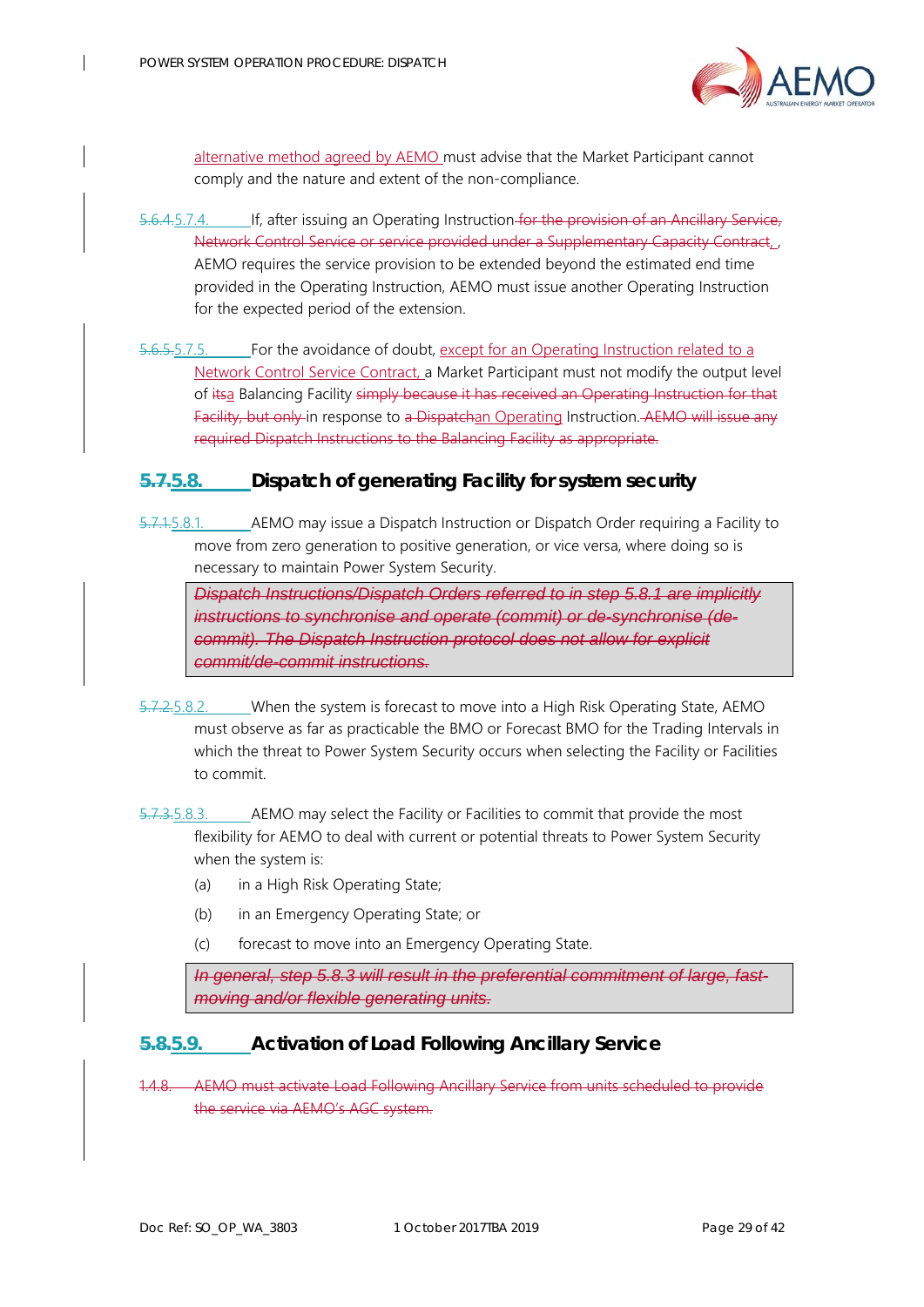

alternative method agreed by AEMO must advise that the Market Participant cannot comply and the nature and extent of the non-compliance.

- 5.6.4.5.7.4. If, after issuing an Operating Instruction for the provision of an Ancillary Service, Network Control Service or service provided under a Supplementary Capacity Contract AEMO requires the service provision to be extended beyond the estimated end time provided in the Operating Instruction, AEMO must issue another Operating Instruction for the expected period of the extension.
- 5.6.5.5.7.5. For the avoidance of doubt, except for an Operating Instruction related to a Network Control Service Contract, a Market Participant must not modify the output level of itsa Balancing Facility simply because it has received an Operating Instruction for that Facility, but only in response to a Dispatchan Operating Instruction. AEMO will issue any required Dispatch Instructions to the Balancing Facility as appropriate.

#### <span id="page-28-0"></span>**5.7.5.8. Dispatch of generating Facility for system security**

<span id="page-28-2"></span>5.7.1.5.8.1. AEMO may issue a Dispatch Instruction or Dispatch Order requiring a Facility to move from zero generation to positive generation, or vice versa, where doing so is necessary to maintain Power System Security.

*Dispatch Instructions/Dispatch Orders referred to in step [5.8.1](#page-28-2) are implicitly instructions to synchronise and operate (commit) or de-synchronise (decommit). The Dispatch Instruction protocol does not allow for explicit commit/de-commit instructions.*

- 5.7.2.5.8.2. When the system is forecast to move into a High Risk Operating State, AEMO must observe as far as practicable the BMO or Forecast BMO for the Trading Intervals in which the threat to Power System Security occurs when selecting the Facility or Facilities to commit.
- <span id="page-28-3"></span>5.7.3.5.8.3. AEMO may select the Facility or Facilities to commit that provide the most flexibility for AEMO to deal with current or potential threats to Power System Security when the system is:
	- (a) in a High Risk Operating State;
	- (b) in an Emergency Operating State; or
	- (c) forecast to move into an Emergency Operating State.

*In general, step [5.8.3](#page-28-3) will result in the preferential commitment of large, fastmoving and/or flexible generating units.*

#### <span id="page-28-1"></span>**5.8.5.9. Activation of Load Following Ancillary Service**

1.4.8. AEMO must activate Load Following Ancillary Service from units scheduled to provide the service via AEMO's AGC system.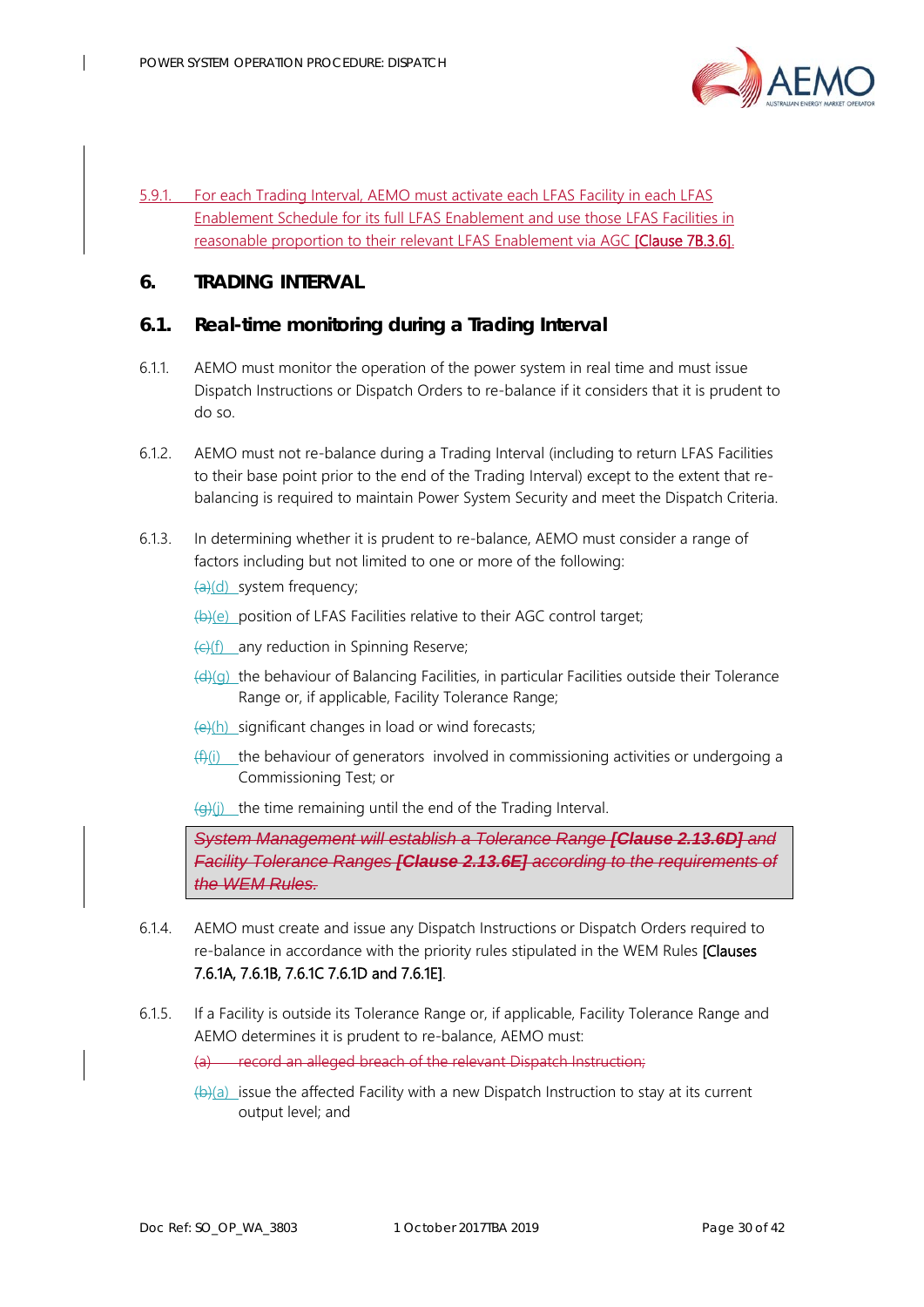

5.9.1. For each Trading Interval, AEMO must activate each LFAS Facility in each LFAS Enablement Schedule for its full LFAS Enablement and use those LFAS Facilities in reasonable proportion to their relevant LFAS Enablement via AGC [Clause 7B.3.6].

#### <span id="page-29-0"></span>**6. TRADING INTERVAL**

#### <span id="page-29-1"></span>**6.1. Real-time monitoring during a Trading Interval**

- 6.1.1. AEMO must monitor the operation of the power system in real time and must issue Dispatch Instructions or Dispatch Orders to re-balance if it considers that it is prudent to do so.
- 6.1.2. AEMO must not re-balance during a Trading Interval (including to return LFAS Facilities to their base point prior to the end of the Trading Interval) except to the extent that rebalancing is required to maintain Power System Security and meet the Dispatch Criteria.
- 6.1.3. In determining whether it is prudent to re-balance, AEMO must consider a range of factors including but not limited to one or more of the following:

 $(a)(d)$  system frequency;

 $(b)(e)$  position of LFAS Facilities relative to their AGC control target;

- $\overline{(e)}(f)$  any reduction in Spinning Reserve;
- $(d)(g)$  the behaviour of Balancing Facilities, in particular Facilities outside their Tolerance Range or, if applicable, Facility Tolerance Range;
- $(e)(h)$  significant changes in load or wind forecasts;
- $(f)(i)$  the behaviour of generators involved in commissioning activities or undergoing a Commissioning Test; or
- $\frac{1}{2}$ (j) the time remaining until the end of the Trading Interval.

*System Management will establish a Tolerance Range [Clause 2.13.6D] and Facility Tolerance Ranges [Clause 2.13.6E] according to the requirements of the WEM Rules.* 

- 6.1.4. AEMO must create and issue any Dispatch Instructions or Dispatch Orders required to re-balance in accordance with the priority rules stipulated in the WEM Rules [Clauses 7.6.1A, 7.6.1B, 7.6.1C 7.6.1D and 7.6.1E].
- 6.1.5. If a Facility is outside its Tolerance Range or, if applicable, Facility Tolerance Range and AEMO determines it is prudent to re-balance, AEMO must:

-record an alleged breach of the relevant Dispatch Instruction;

 $(b)(a)$  issue the affected Facility with a new Dispatch Instruction to stay at its current output level; and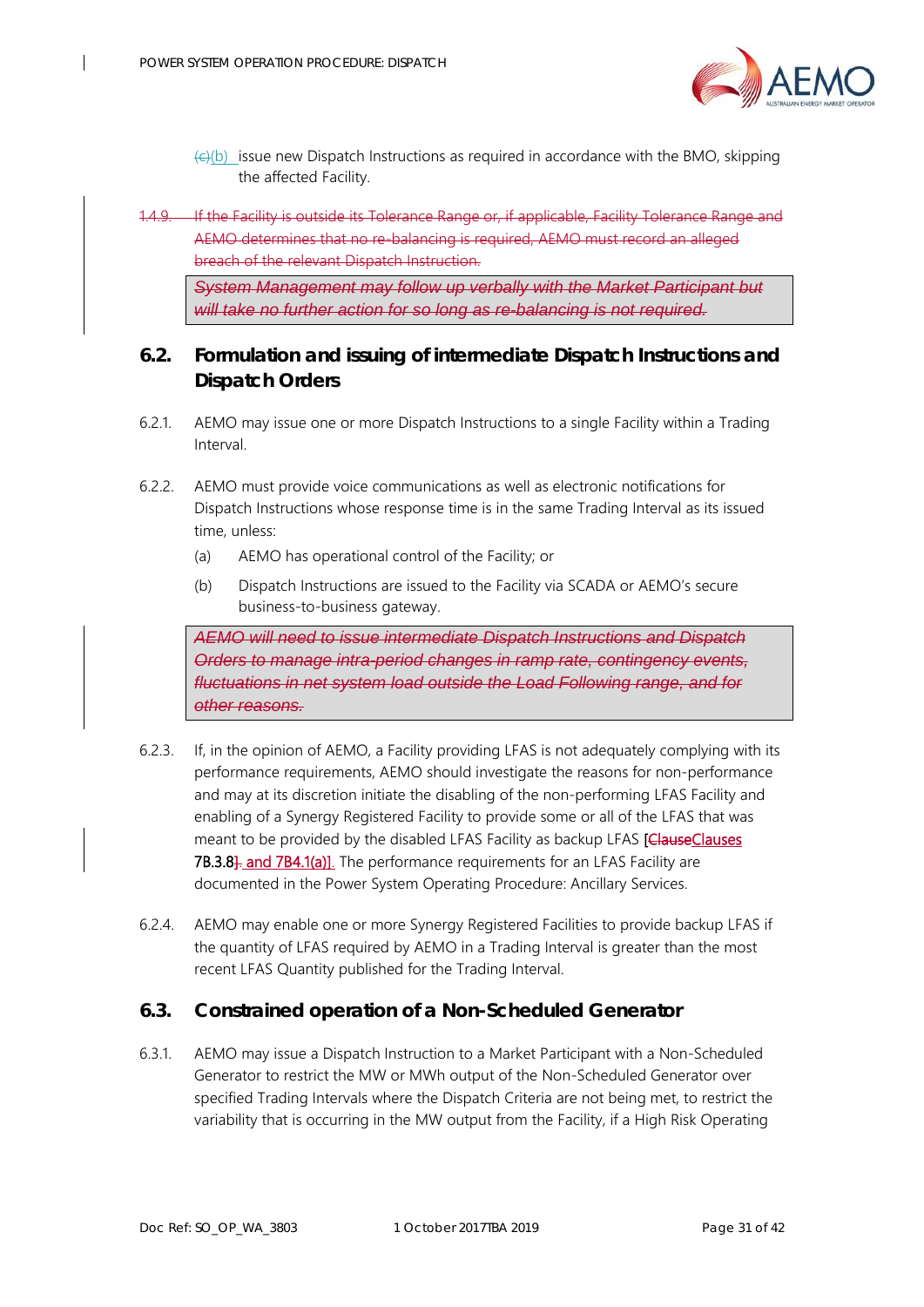

- $\langle \Theta \rangle$  issue new Dispatch Instructions as required in accordance with the BMO, skipping the affected Facility.
- 1.4.9. If the Facility is outside its Tolerance Range or, if applicable, Facility Tolerance Range and AEMO determines that no re-balancing is required, AEMO must record an alleged breach of the relevant Dispatch Instruction.

*System Management may follow up verbally with the Market Participant but will take no further action for so long as re-balancing is not required.*

# <span id="page-30-0"></span>**6.2. Formulation and issuing of intermediate Dispatch Instructions and Dispatch Orders**

- 6.2.1. AEMO may issue one or more Dispatch Instructions to a single Facility within a Trading Interval.
- 6.2.2. AEMO must provide voice communications as well as electronic notifications for Dispatch Instructions whose response time is in the same Trading Interval as its issued time, unless:
	- (a) AEMO has operational control of the Facility; or
	- (b) Dispatch Instructions are issued to the Facility via SCADA or AEMO's secure business-to-business gateway.

*AEMO will need to issue intermediate Dispatch Instructions and Dispatch Orders to manage intra-period changes in ramp rate, contingency events, fluctuations in net system load outside the Load Following range, and for other reasons.* 

- 6.2.3. If, in the opinion of AEMO, a Facility providing LFAS is not adequately complying with its performance requirements, AEMO should investigate the reasons for non-performance and may at its discretion initiate the disabling of the non-performing LFAS Facility and enabling of a Synergy Registered Facility to provide some or all of the LFAS that was meant to be provided by the disabled LFAS Facility as backup LFAS [ClauseClauses 7B.3.8<sup>1</sup>. and 7B4.1(a)]. The performance requirements for an LFAS Facility are documented in the Power System Operating Procedure: Ancillary Services.
- <span id="page-30-2"></span>6.2.4. AEMO may enable one or more Synergy Registered Facilities to provide backup LFAS if the quantity of LFAS required by AEMO in a Trading Interval is greater than the most recent LFAS Quantity published for the Trading Interval.

## <span id="page-30-1"></span>**6.3. Constrained operation of a Non-Scheduled Generator**

6.3.1. AEMO may issue a Dispatch Instruction to a Market Participant with a Non-Scheduled Generator to restrict the MW or MWh output of the Non-Scheduled Generator over specified Trading Intervals where the Dispatch Criteria are not being met, to restrict the variability that is occurring in the MW output from the Facility, if a High Risk Operating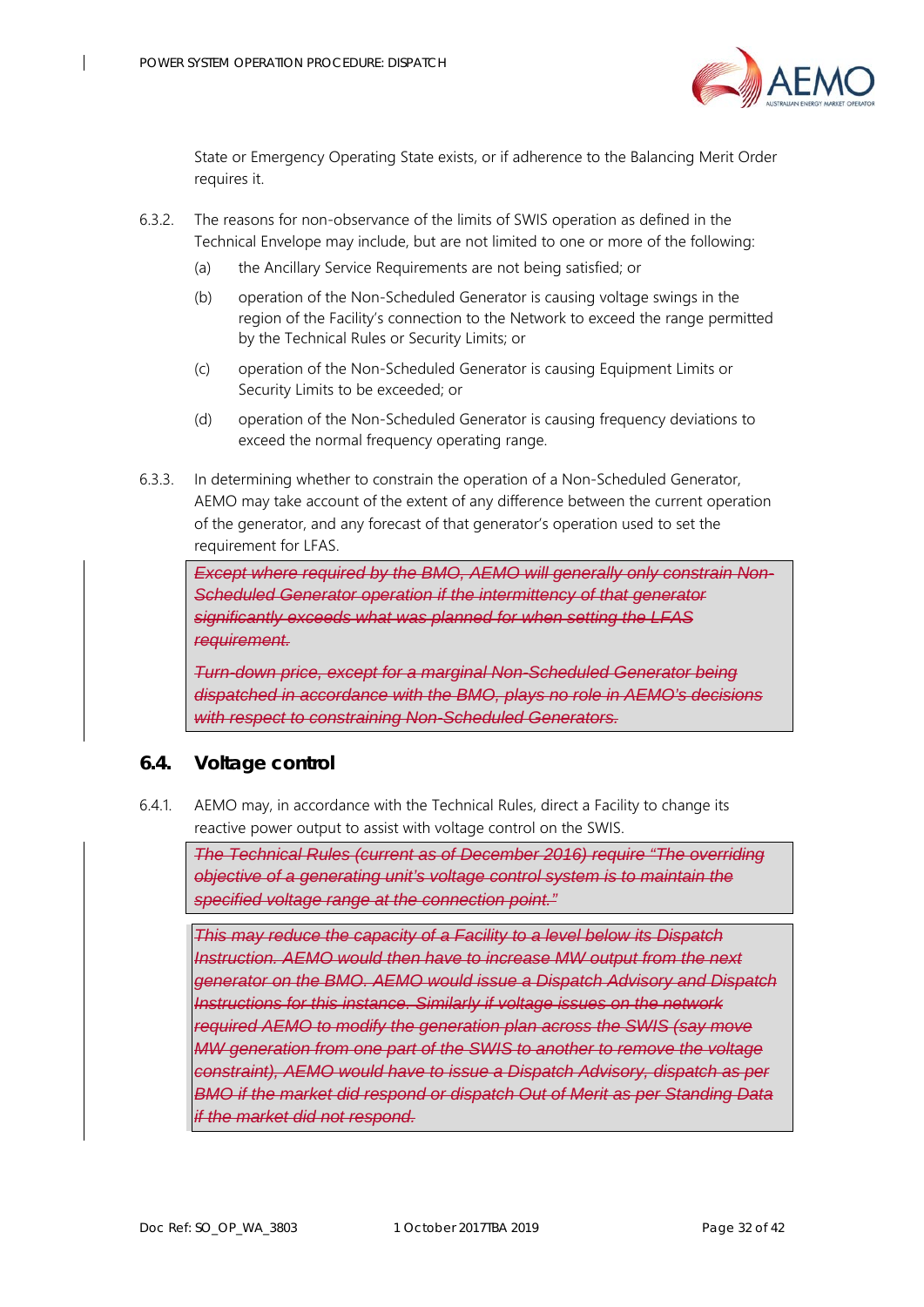

State or Emergency Operating State exists, or if adherence to the Balancing Merit Order requires it.

- 6.3.2. The reasons for non-observance of the limits of SWIS operation as defined in the Technical Envelope may include, but are not limited to one or more of the following:
	- (a) the Ancillary Service Requirements are not being satisfied; or
	- (b) operation of the Non-Scheduled Generator is causing voltage swings in the region of the Facility's connection to the Network to exceed the range permitted by the Technical Rules or Security Limits; or
	- (c) operation of the Non-Scheduled Generator is causing Equipment Limits or Security Limits to be exceeded; or
	- (d) operation of the Non-Scheduled Generator is causing frequency deviations to exceed the normal frequency operating range.
- 6.3.3. In determining whether to constrain the operation of a Non-Scheduled Generator, AEMO may take account of the extent of any difference between the current operation of the generator, and any forecast of that generator's operation used to set the requirement for LFAS.

*Except where required by the BMO, AEMO will generally only constrain Non-Scheduled Generator operation if the intermittency of that generator significantly exceeds what was planned for when setting the LFAS requirement.*

*Turn-down price, except for a marginal Non-Scheduled Generator being dispatched in accordance with the BMO, plays no role in AEMO's decisions with respect to constraining Non-Scheduled Generators.*

#### <span id="page-31-0"></span>**6.4. Voltage control**

6.4.1. AEMO may, in accordance with the Technical Rules, direct a Facility to change its reactive power output to assist with voltage control on the SWIS.

*The Technical Rules (current as of December 2016) require "The overriding objective of a generating unit's voltage control system is to maintain the specified voltage range at the connection point."*

*This may reduce the capacity of a Facility to a level below its Dispatch Instruction. AEMO would then have to increase MW output from the next generator on the BMO. AEMO would issue a Dispatch Advisory and Dispatch Instructions for this instance. Similarly if voltage issues on the network required AEMO to modify the generation plan across the SWIS (say move MW generation from one part of the SWIS to another to remove the voltage constraint), AEMO would have to issue a Dispatch Advisory, dispatch as per BMO if the market did respond or dispatch Out of Merit as per Standing Data if the market did not respond.*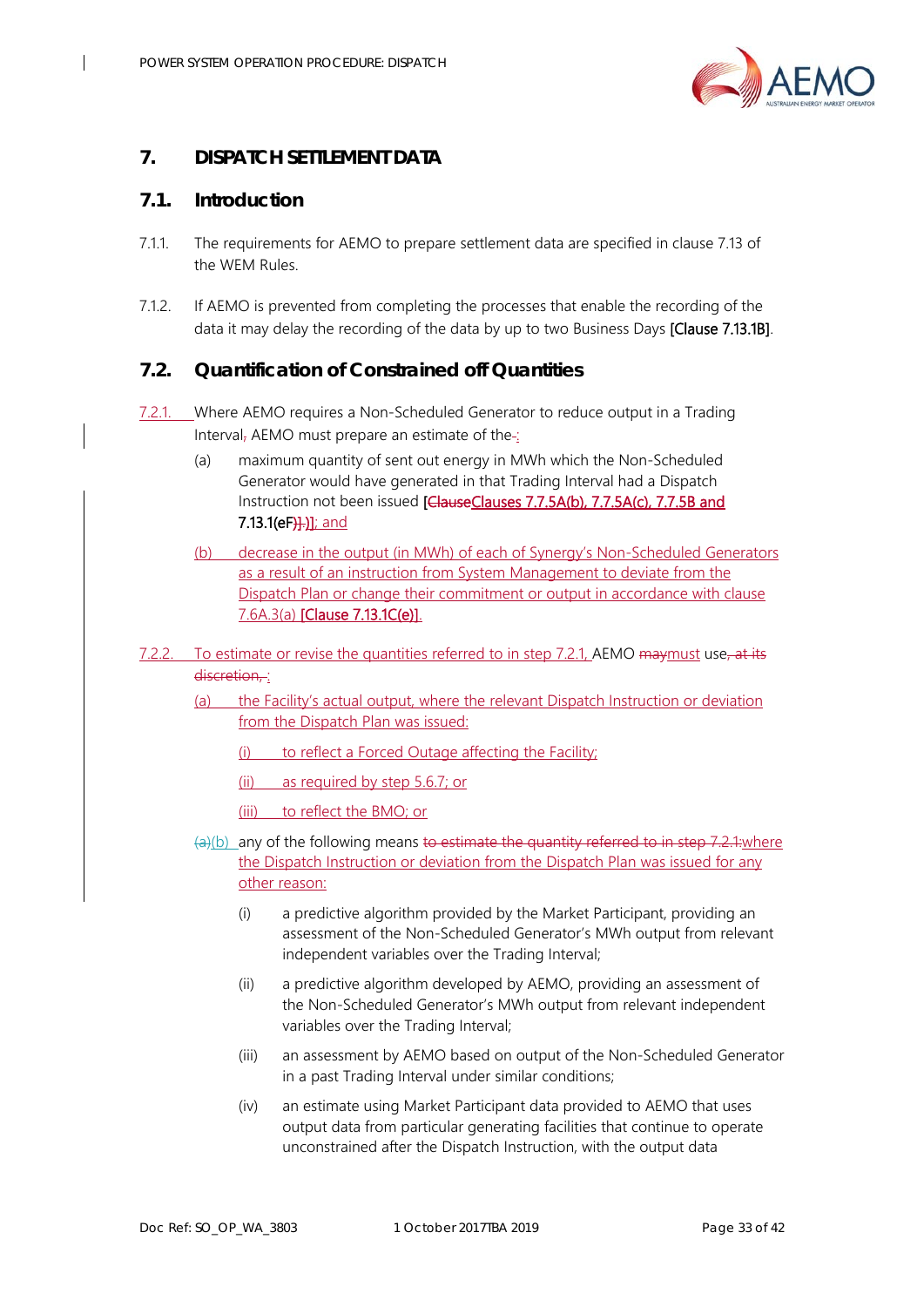

## <span id="page-32-0"></span>**7. DISPATCH SETTLEMENT DATA**

#### <span id="page-32-1"></span>**7.1. Introduction**

- 7.1.1. The requirements for AEMO to prepare settlement data are specified in clause 7.13 of the WEM Rules.
- 7.1.2. If AEMO is prevented from completing the processes that enable the recording of the data it may delay the recording of the data by up to two Business Days [Clause 7.13.1B].

## <span id="page-32-2"></span>**7.2. Quantification of Constrained off Quantities**

- <span id="page-32-3"></span>7.2.1. Where AEMO requires a Non-Scheduled Generator to reduce output in a Trading Interval, AEMO must prepare an estimate of the  $\div$ 
	- (a) maximum quantity of sent out energy in MWh which the Non-Scheduled Generator would have generated in that Trading Interval had a Dispatch Instruction not been issued [ClauseClauses 7.7.5A(b), 7.7.5A(c), 7.7.5B and  $7.13.1(eF)$ .)]; and
	- (b) decrease in the output (in MWh) of each of Synergy's Non-Scheduled Generators as a result of an instruction from System Management to deviate from the Dispatch Plan or change their commitment or output in accordance with clause 7.6A.3(a) [Clause 7.13.1C(e)].
- <span id="page-32-5"></span><span id="page-32-4"></span>7.2.2. To estimate or revise the quantities referred to in step [7.2.1,](#page-32-3) AEMO may must use, at its discretion,
	- (a) the Facility's actual output, where the relevant Dispatch Instruction or deviation from the Dispatch Plan was issued:
		- (i) to reflect a Forced Outage affecting the Facility;
		- (ii) as required by step [5.6.7;](#page-26-1) or
		- (iii) to reflect the BMO; or
	- $(a)(b)$  any of the following means to estimate the quantity referred to in step [7.2.1:](#page-32-3) where the Dispatch Instruction or deviation from the Dispatch Plan was issued for any other reason:
		- (i) a predictive algorithm provided by the Market Participant, providing an assessment of the Non-Scheduled Generator's MWh output from relevant independent variables over the Trading Interval;
		- (ii) a predictive algorithm developed by AEMO, providing an assessment of the Non-Scheduled Generator's MWh output from relevant independent variables over the Trading Interval;
		- (iii) an assessment by AEMO based on output of the Non-Scheduled Generator in a past Trading Interval under similar conditions;
		- (iv) an estimate using Market Participant data provided to AEMO that uses output data from particular generating facilities that continue to operate unconstrained after the Dispatch Instruction, with the output data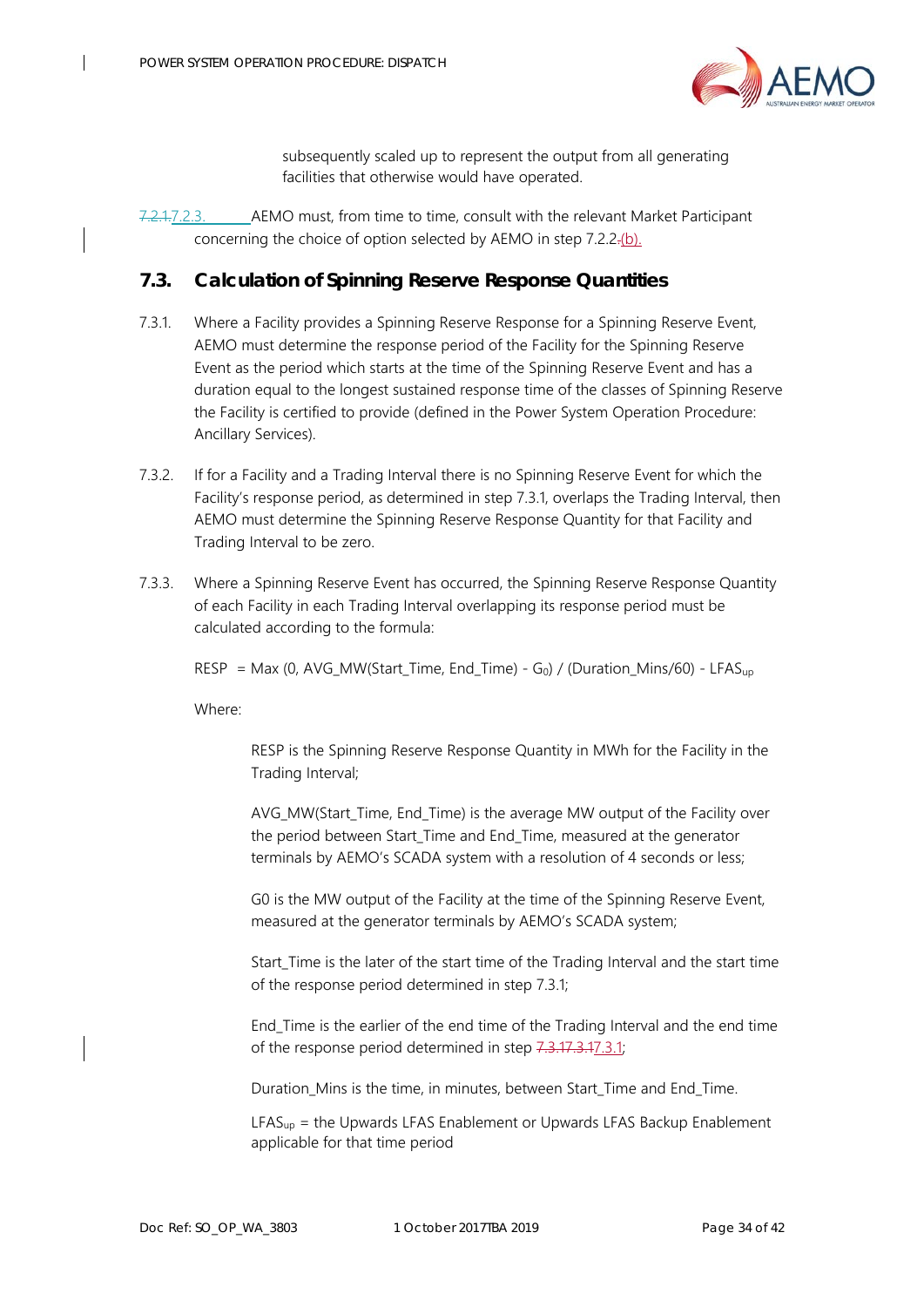

subsequently scaled up to represent the output from all generating facilities that otherwise would have operated.

7.2.1.7.2.3. AEMO must, from time to time, consult with the relevant Market Participant concerning the choice of option selected by AEMO in step [7.2.2.](#page-32-4)[\(b\).](#page-32-5)

#### <span id="page-33-0"></span>**7.3. Calculation of Spinning Reserve Response Quantities**

- <span id="page-33-1"></span>7.3.1. Where a Facility provides a Spinning Reserve Response for a Spinning Reserve Event, AEMO must determine the response period of the Facility for the Spinning Reserve Event as the period which starts at the time of the Spinning Reserve Event and has a duration equal to the longest sustained response time of the classes of Spinning Reserve the Facility is certified to provide (defined in the Power System Operation Procedure: Ancillary Services).
- 7.3.2. If for a Facility and a Trading Interval there is no Spinning Reserve Event for which the Facility's response period, as determined in step [7.3.1,](#page-33-1) overlaps the Trading Interval, then AEMO must determine the Spinning Reserve Response Quantity for that Facility and Trading Interval to be zero.
- 7.3.3. Where a Spinning Reserve Event has occurred, the Spinning Reserve Response Quantity of each Facility in each Trading Interval overlapping its response period must be calculated according to the formula:

RESP = Max (0, AVG\_MW(Start\_Time, End\_Time) - G<sub>0</sub>) / (Duration\_Mins/60) - LFAS<sub>up</sub>

Where:

RESP is the Spinning Reserve Response Quantity in MWh for the Facility in the Trading Interval;

AVG\_MW(Start\_Time, End\_Time) is the average MW output of the Facility over the period between Start\_Time and End\_Time, measured at the generator terminals by AEMO's SCADA system with a resolution of 4 seconds or less;

G0 is the MW output of the Facility at the time of the Spinning Reserve Event, measured at the generator terminals by AEMO's SCADA system;

Start\_Time is the later of the start time of the Trading Interval and the start time of the response period determined in ste[p 7.3.1;](#page-33-1)

End\_Time is the earlier of the end time of the Trading Interval and the end time of the response period determined in ste[p 7.3.17.3.17.3.1;](#page-33-1)

Duration\_Mins is the time, in minutes, between Start\_Time and End\_Time.

 $LFAS<sub>up</sub>$  = the Upwards LFAS Enablement or Upwards LFAS Backup Enablement applicable for that time period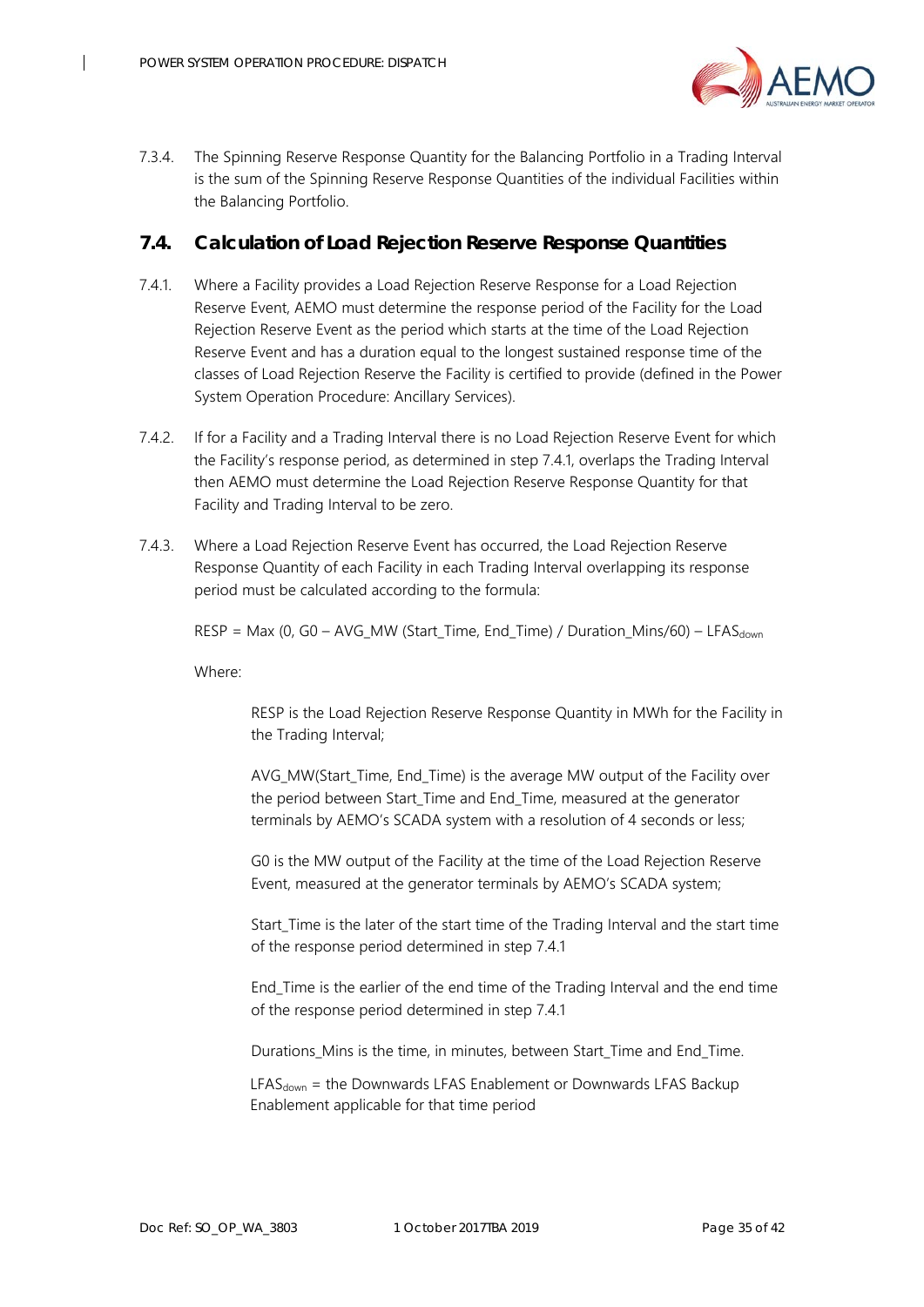

7.3.4. The Spinning Reserve Response Quantity for the Balancing Portfolio in a Trading Interval is the sum of the Spinning Reserve Response Quantities of the individual Facilities within the Balancing Portfolio.

#### <span id="page-34-0"></span>**7.4. Calculation of Load Rejection Reserve Response Quantities**

- <span id="page-34-1"></span>7.4.1. Where a Facility provides a Load Rejection Reserve Response for a Load Rejection Reserve Event, AEMO must determine the response period of the Facility for the Load Rejection Reserve Event as the period which starts at the time of the Load Rejection Reserve Event and has a duration equal to the longest sustained response time of the classes of Load Rejection Reserve the Facility is certified to provide (defined in the Power System Operation Procedure: Ancillary Services).
- 7.4.2. If for a Facility and a Trading Interval there is no Load Rejection Reserve Event for which the Facility's response period, as determined in step [7.4.1,](#page-34-1) overlaps the Trading Interval then AEMO must determine the Load Rejection Reserve Response Quantity for that Facility and Trading Interval to be zero.
- 7.4.3. Where a Load Rejection Reserve Event has occurred, the Load Rejection Reserve Response Quantity of each Facility in each Trading Interval overlapping its response period must be calculated according to the formula:

RESP = Max (0, G0 - AVG\_MW (Start\_Time, End\_Time) / Duration\_Mins/60) - LFASdown

Where:

RESP is the Load Rejection Reserve Response Quantity in MWh for the Facility in the Trading Interval;

AVG MW(Start Time, End Time) is the average MW output of the Facility over the period between Start\_Time and End\_Time, measured at the generator terminals by AEMO's SCADA system with a resolution of 4 seconds or less;

G0 is the MW output of the Facility at the time of the Load Rejection Reserve Event, measured at the generator terminals by AEMO's SCADA system;

Start\_Time is the later of the start time of the Trading Interval and the start time of the response period determined in step [7.4.1](#page-34-1)

End\_Time is the earlier of the end time of the Trading Interval and the end time of the response period determined in step [7.4.1](#page-34-1)

Durations\_Mins is the time, in minutes, between Start\_Time and End\_Time.

 $LFAS<sub>down</sub> =$  the Downwards LFAS Enablement or Downwards LFAS Backup Enablement applicable for that time period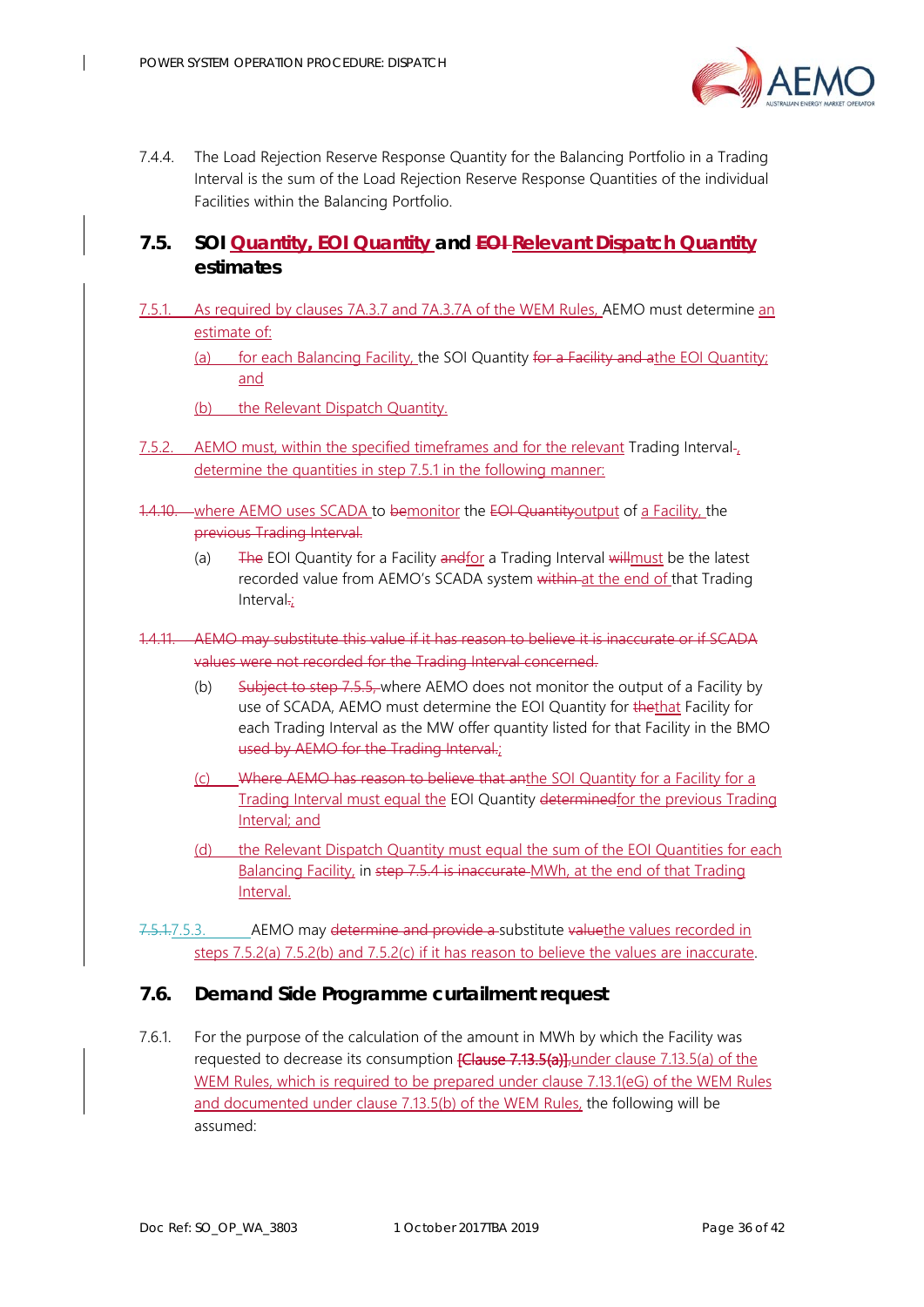

7.4.4. The Load Rejection Reserve Response Quantity for the Balancing Portfolio in a Trading Interval is the sum of the Load Rejection Reserve Response Quantities of the individual Facilities within the Balancing Portfolio.

# <span id="page-35-0"></span>**7.5. SOI Quantity, EOI Quantity and EOI Relevant Dispatch Quantity estimates**

- <span id="page-35-2"></span>7.5.1. As required by clauses 7A.3.7 and 7A.3.7A of the WEM Rules, AEMO must determine an estimate of:
	- (a) for each Balancing Facility, the SOI Quantity for a Facility and athe EOI Quantity; and
	- (b) the Relevant Dispatch Quantity.
- <span id="page-35-5"></span>7.5.2. AEMO must, within the specified timeframes and for the relevant Trading Interval , determine the quantities in step [7.5.1](#page-35-2) in the following manner:
- <span id="page-35-6"></span>1.4.10. where AEMO uses SCADA to bemonitor the EOI Quantity output of a Facility, the previous Trading Interval.
	- (a) The EOI Quantity for a Facility and for a Trading Interval will must be the latest recorded value from AEMO's SCADA system within at the end of that Trading Interval.;
- <span id="page-35-4"></span><span id="page-35-3"></span>1.4.11. AEMO may substitute this value if it has reason to believe it is inaccurate or if SCADA values were not recorded for the Trading Interval concerned.
	- (b) Subject to step [7.5.5,](#page-35-3) where AEMO does not monitor the output of a Facility by use of SCADA, AEMO must determine the EOI Quantity for thethat Facility for each Trading Interval as the MW offer quantity listed for that Facility in the BMO used by AEMO for the Trading Interval.;
	- (c) Where AEMO has reason to believe that anthe SOI Quantity for a Facility for a Trading Interval must equal the EOI Quantity determinedfor the previous Trading Interval; and
	- (d) the Relevant Dispatch Quantity must equal the sum of the EOI Quantities for each Balancing Facility, in step [7.5.4](#page-35-4) is inaccurate MWh, at the end of that Trading Interval.

7.5.1.7.5.3. AEMO may determine and provide a substitute valuethe values recorded in steps [7.5.2](#page-35-5)[\(a\)](#page-35-6) [7.5.2](#page-35-5)[\(b\)](#page-35-4) and [7.5.2](#page-35-5)[\(c\)](#page-35-3) if it has reason to believe the values are inaccurate.

#### <span id="page-35-1"></span>**7.6. Demand Side Programme curtailment request**

7.6.1. For the purpose of the calculation of the amount in MWh by which the Facility was requested to decrease its consumption [Clause 7.13.5(a)], under clause 7.13.5(a) of the WEM Rules, which is required to be prepared under clause 7.13.1(eG) of the WEM Rules and documented under clause 7.13.5(b) of the WEM Rules, the following will be assumed: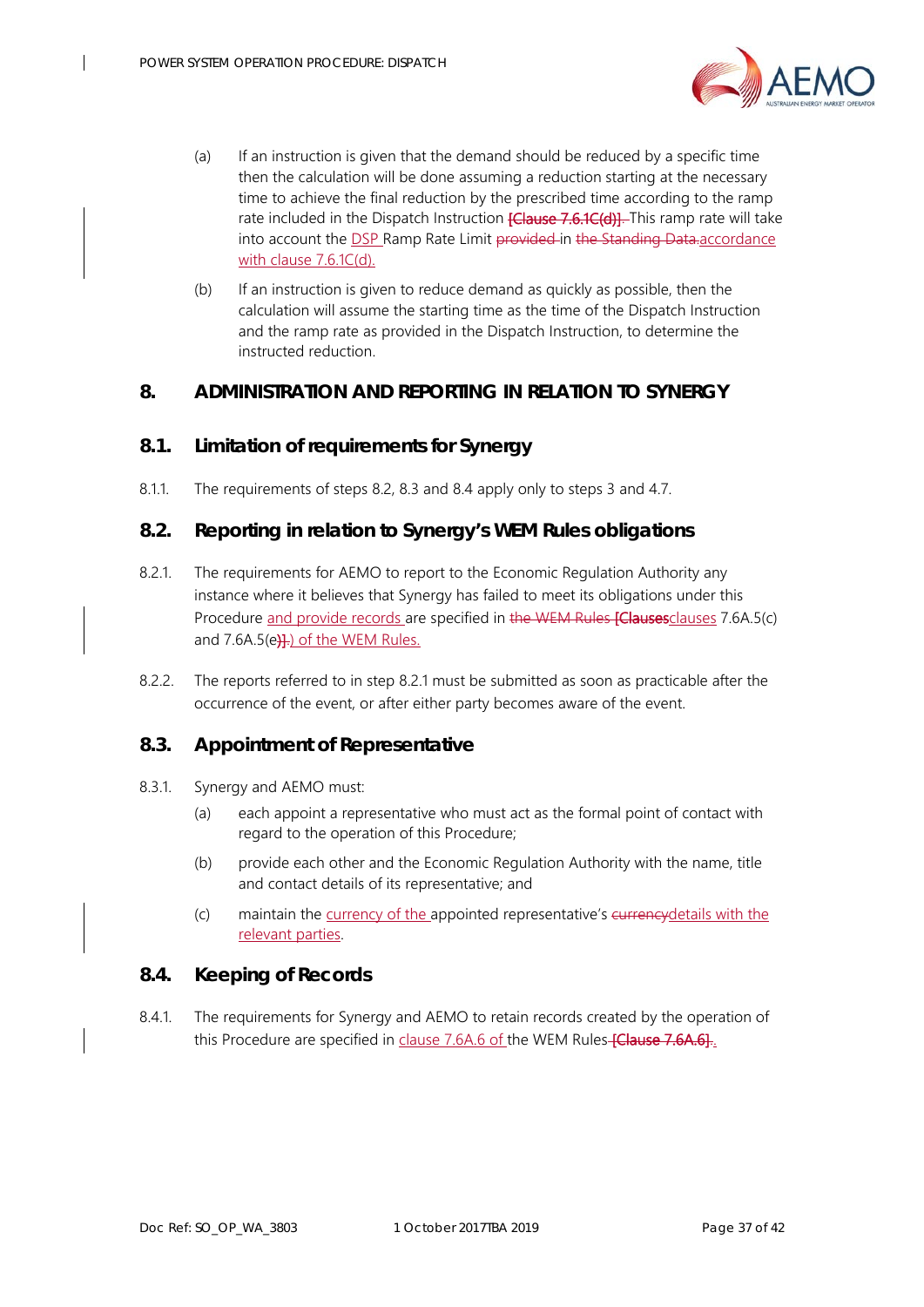

- (a) If an instruction is given that the demand should be reduced by a specific time then the calculation will be done assuming a reduction starting at the necessary time to achieve the final reduction by the prescribed time according to the ramp rate included in the Dispatch Instruction [Clause 7.6.1C(d)]. This ramp rate will take into account the DSP Ramp Rate Limit provided in the Standing Data.accordance with clause 7.6.1C(d).
- (b) If an instruction is given to reduce demand as quickly as possible, then the calculation will assume the starting time as the time of the Dispatch Instruction and the ramp rate as provided in the Dispatch Instruction, to determine the instructed reduction.

#### <span id="page-36-0"></span>**8. ADMINISTRATION AND REPORTING IN RELATION TO SYNERGY**

#### <span id="page-36-1"></span>**8.1. Limitation of requirements for Synergy**

8.1.1. The requirements of steps [8.2,](#page-36-2) [8.3](#page-36-3) and [8.4](#page-36-4) apply only to steps [3](#page-12-1) and [4.7.](#page-16-0)

#### <span id="page-36-2"></span>**8.2. Reporting in relation to Synergy's WEM Rules obligations**

- <span id="page-36-5"></span>8.2.1. The requirements for AEMO to report to the Economic Regulation Authority any instance where it believes that Synergy has failed to meet its obligations under this Procedure and provide records are specified in the WEM Rules [Clausesclauses 7.6A.5(c) and  $7.6A.5(e)$ .) of the WEM Rules.
- 8.2.2. The reports referred to in step [8.2.1](#page-36-5) must be submitted as soon as practicable after the occurrence of the event, or after either party becomes aware of the event.

#### <span id="page-36-3"></span>**8.3. Appointment of Representative**

- 8.3.1. Synergy and AEMO must:
	- (a) each appoint a representative who must act as the formal point of contact with regard to the operation of this Procedure;
	- (b) provide each other and the Economic Regulation Authority with the name, title and contact details of its representative; and
	- (c) maintain the currency of the appointed representative's currencydetails with the relevant parties.

#### <span id="page-36-4"></span>**8.4. Keeping of Records**

8.4.1. The requirements for Synergy and AEMO to retain records created by the operation of this Procedure are specified in clause 7.6A.6 of the WEM Rules-[Clause 7.6A.6].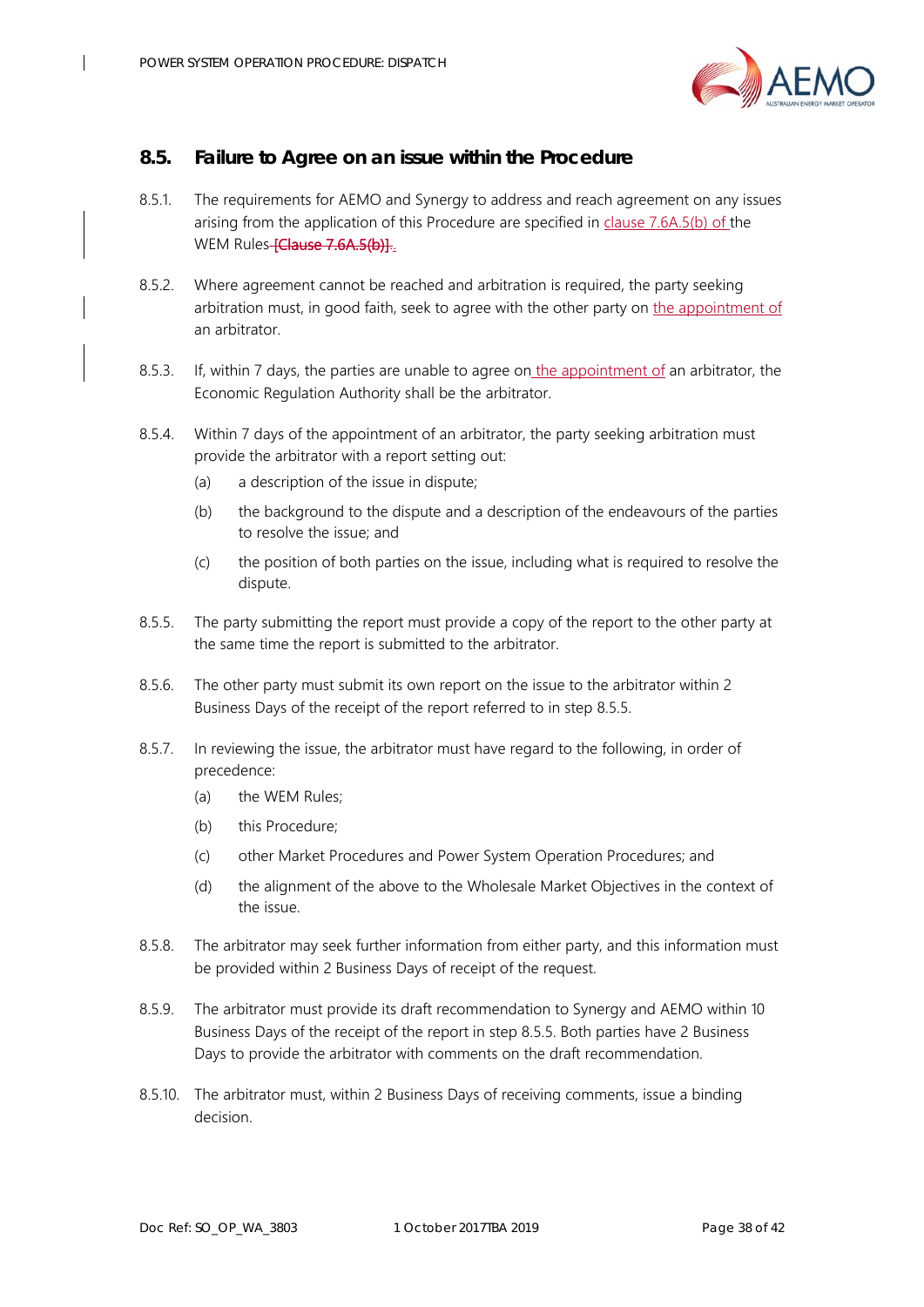

## <span id="page-37-0"></span>**8.5. Failure to Agree on an issue within the Procedure**

- 8.5.1. The requirements for AEMO and Synergy to address and reach agreement on any issues arising from the application of this Procedure are specified in clause 7.6A.5(b) of the WEM Rules-*[Clause 7.6A.5(b)].*.
- 8.5.2. Where agreement cannot be reached and arbitration is required, the party seeking arbitration must, in good faith, seek to agree with the other party on the appointment of an arbitrator.
- 8.5.3. If, within 7 days, the parties are unable to agree on the appointment of an arbitrator, the Economic Regulation Authority shall be the arbitrator.
- 8.5.4. Within 7 days of the appointment of an arbitrator, the party seeking arbitration must provide the arbitrator with a report setting out:
	- (a) a description of the issue in dispute;
	- (b) the background to the dispute and a description of the endeavours of the parties to resolve the issue; and
	- (c) the position of both parties on the issue, including what is required to resolve the dispute.
- <span id="page-37-1"></span>8.5.5. The party submitting the report must provide a copy of the report to the other party at the same time the report is submitted to the arbitrator.
- 8.5.6. The other party must submit its own report on the issue to the arbitrator within 2 Business Days of the receipt of the report referred to in step [8.5.5.](#page-37-1)
- 8.5.7. In reviewing the issue, the arbitrator must have regard to the following, in order of precedence:
	- (a) the WEM Rules;
	- (b) this Procedure;
	- (c) other Market Procedures and Power System Operation Procedures; and
	- (d) the alignment of the above to the Wholesale Market Objectives in the context of the issue.
- 8.5.8. The arbitrator may seek further information from either party, and this information must be provided within 2 Business Days of receipt of the request.
- 8.5.9. The arbitrator must provide its draft recommendation to Synergy and AEMO within 10 Business Days of the receipt of the report in step [8.5.5.](#page-37-1) Both parties have 2 Business Days to provide the arbitrator with comments on the draft recommendation.
- 8.5.10. The arbitrator must, within 2 Business Days of receiving comments, issue a binding decision.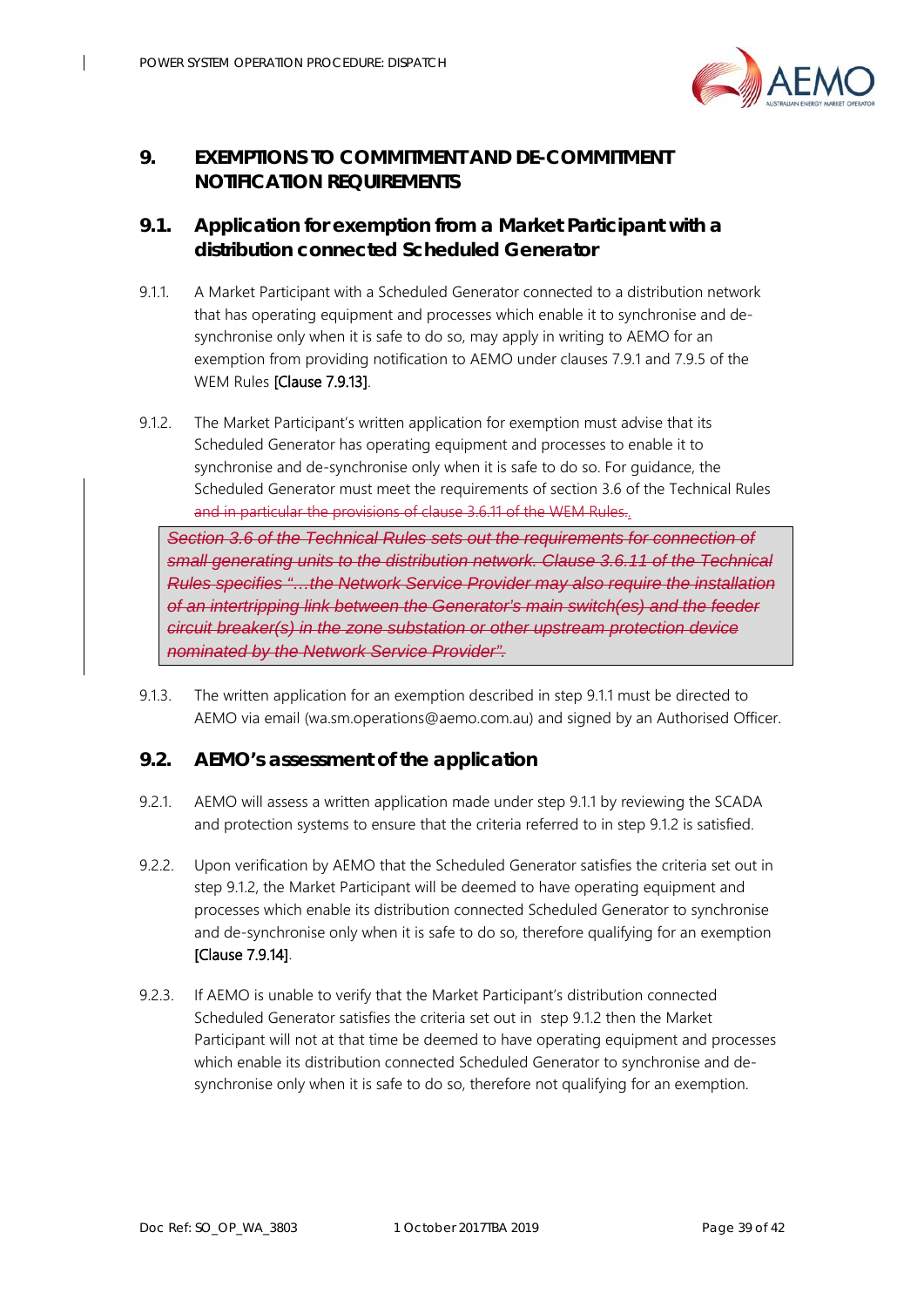

# <span id="page-38-0"></span>**9. EXEMPTIONS TO COMMITMENT AND DE-COMMITMENT NOTIFICATION REQUIREMENTS**

# <span id="page-38-1"></span>**9.1. Application for exemption from a Market Participant with a distribution connected Scheduled Generator**

- <span id="page-38-3"></span>9.1.1. A Market Participant with a Scheduled Generator connected to a distribution network that has operating equipment and processes which enable it to synchronise and desynchronise only when it is safe to do so, may apply in writing to AEMO for an exemption from providing notification to AEMO under clauses 7.9.1 and 7.9.5 of the WEM Rules [Clause 7.9.13].
- <span id="page-38-4"></span>9.1.2. The Market Participant's written application for exemption must advise that its Scheduled Generator has operating equipment and processes to enable it to synchronise and de-synchronise only when it is safe to do so. For guidance, the Scheduled Generator must meet the requirements of section 3.6 of the Technical Rules and in particular the provisions of clause 3.6.11 of the WEM Rules..

**Section 3.6 of the Technical Rules sets out the requirements for connection of** *small generating units to the distribution network. Clause 3.6.11 of the Technical Rules specifies "…the Network Service Provider may also require the installation of an intertripping link between the Generator's main switch(es) and the feeder circuit breaker(s) in the zone substation or other upstream protection device nominated by the Network Service Provider".* 

9.1.3. The written application for an exemption described in step [9.1.1](#page-38-3) must be directed to AEMO via email (wa.sm.operations@aemo.com.au) and signed by an Authorised Officer.

## <span id="page-38-2"></span>**9.2. AEMO's assessment of the application**

- 9.2.1. AEMO will assess a written application made under step [9.1.1](#page-38-3) by reviewing the SCADA and protection systems to ensure that the criteria referred to in step [9.1.2](#page-38-4) is satisfied.
- <span id="page-38-5"></span>9.2.2. Upon verification by AEMO that the Scheduled Generator satisfies the criteria set out in step [9.1.2,](#page-38-4) the Market Participant will be deemed to have operating equipment and processes which enable its distribution connected Scheduled Generator to synchronise and de-synchronise only when it is safe to do so, therefore qualifying for an exemption [Clause 7.9.14].
- <span id="page-38-6"></span>9.2.3. If AEMO is unable to verify that the Market Participant's distribution connected Scheduled Generator satisfies the criteria set out in step [9.1.2](#page-38-4) then the Market Participant will not at that time be deemed to have operating equipment and processes which enable its distribution connected Scheduled Generator to synchronise and desynchronise only when it is safe to do so, therefore not qualifying for an exemption.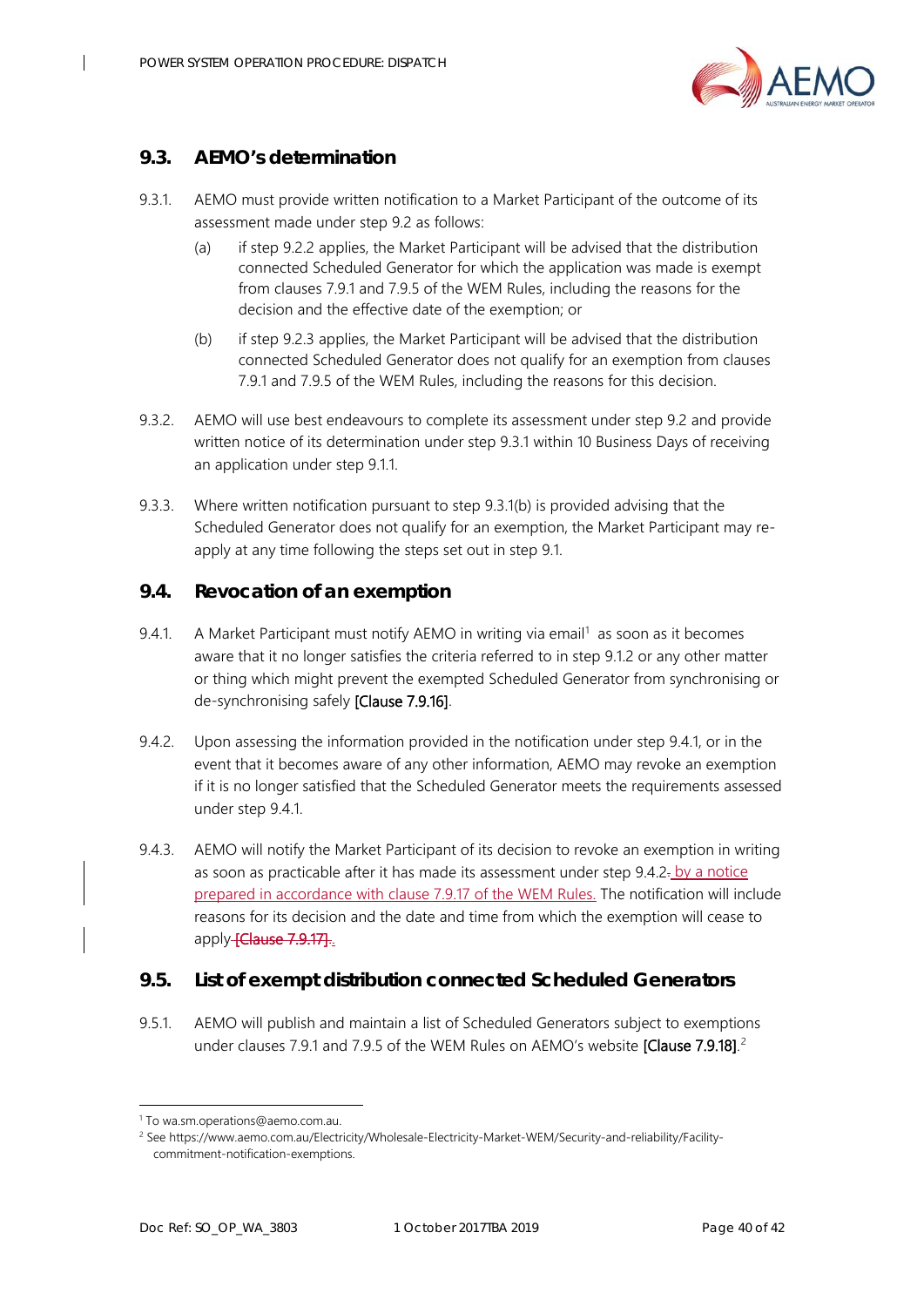

## <span id="page-39-0"></span>**9.3. AEMO's determination**

- <span id="page-39-3"></span>9.3.1. AEMO must provide written notification to a Market Participant of the outcome of its assessment made under step [9.2](#page-38-2) as follows:
	- (a) if step [9.2.2](#page-38-5) applies, the Market Participant will be advised that the distribution connected Scheduled Generator for which the application was made is exempt from clauses 7.9.1 and 7.9.5 of the WEM Rules, including the reasons for the decision and the effective date of the exemption; or
	- (b) if step [9.2.3](#page-38-6) applies, the Market Participant will be advised that the distribution connected Scheduled Generator does not qualify for an exemption from clauses 7.9.1 and 7.9.5 of the WEM Rules, including the reasons for this decision.
- <span id="page-39-4"></span>9.3.2. AEMO will use best endeavours to complete its assessment under step [9.2](#page-38-2) and provide written notice of its determination under step [9.3.1](#page-39-3) within 10 Business Days of receiving an application under step [9.1.1.](#page-38-3)
- 9.3.3. Where written notification pursuant to step [9.3.1](#page-39-3)[\(b\)](#page-39-4) is provided advising that the Scheduled Generator does not qualify for an exemption, the Market Participant may reapply at any time following the steps set out in step [9.1.](#page-38-1)

#### <span id="page-39-1"></span>**9.4. Revocation of an exemption**

- <span id="page-39-5"></span>9.4.[1](#page-39-7). A Market Participant must notify AEMO in writing via email<sup>1</sup> as soon as it becomes aware that it no longer satisfies the criteria referred to in step [9.1.2](#page-38-4) or any other matter or thing which might prevent the exempted Scheduled Generator from synchronising or de-synchronising safely [Clause 7.9.16].
- <span id="page-39-6"></span>9.4.2. Upon assessing the information provided in the notification under step [9.4.1,](#page-39-5) or in the event that it becomes aware of any other information, AEMO may revoke an exemption if it is no longer satisfied that the Scheduled Generator meets the requirements assessed under step [9.4.1.](#page-39-5)
- 9.4.3. AEMO will notify the Market Participant of its decision to revoke an exemption in writing as soon as practicable after it has made its assessment under step 9.4.2- by a notice prepared in accordance with clause 7.9.17 of the WEM Rules. The notification will include reasons for its decision and the date and time from which the exemption will cease to apply-**[Clause 7.9.17].**

#### <span id="page-39-2"></span>**9.5. List of exempt distribution connected Scheduled Generators**

9.5.1. AEMO will publish and maintain a list of Scheduled Generators subject to exemptions under clauses 7.9.1 and 7.9.5 of the WEM Rules on AEMO's website [Clause 7.9.18].<sup>[2](#page-39-8)</sup>

j

<span id="page-39-7"></span><sup>1</sup> To wa.sm.operations@aemo.com.au.

<span id="page-39-8"></span><sup>2</sup> See https://www.aemo.com.au/Electricity/Wholesale-Electricity-Market-WEM/Security-and-reliability/Facilitycommitment-notification-exemptions.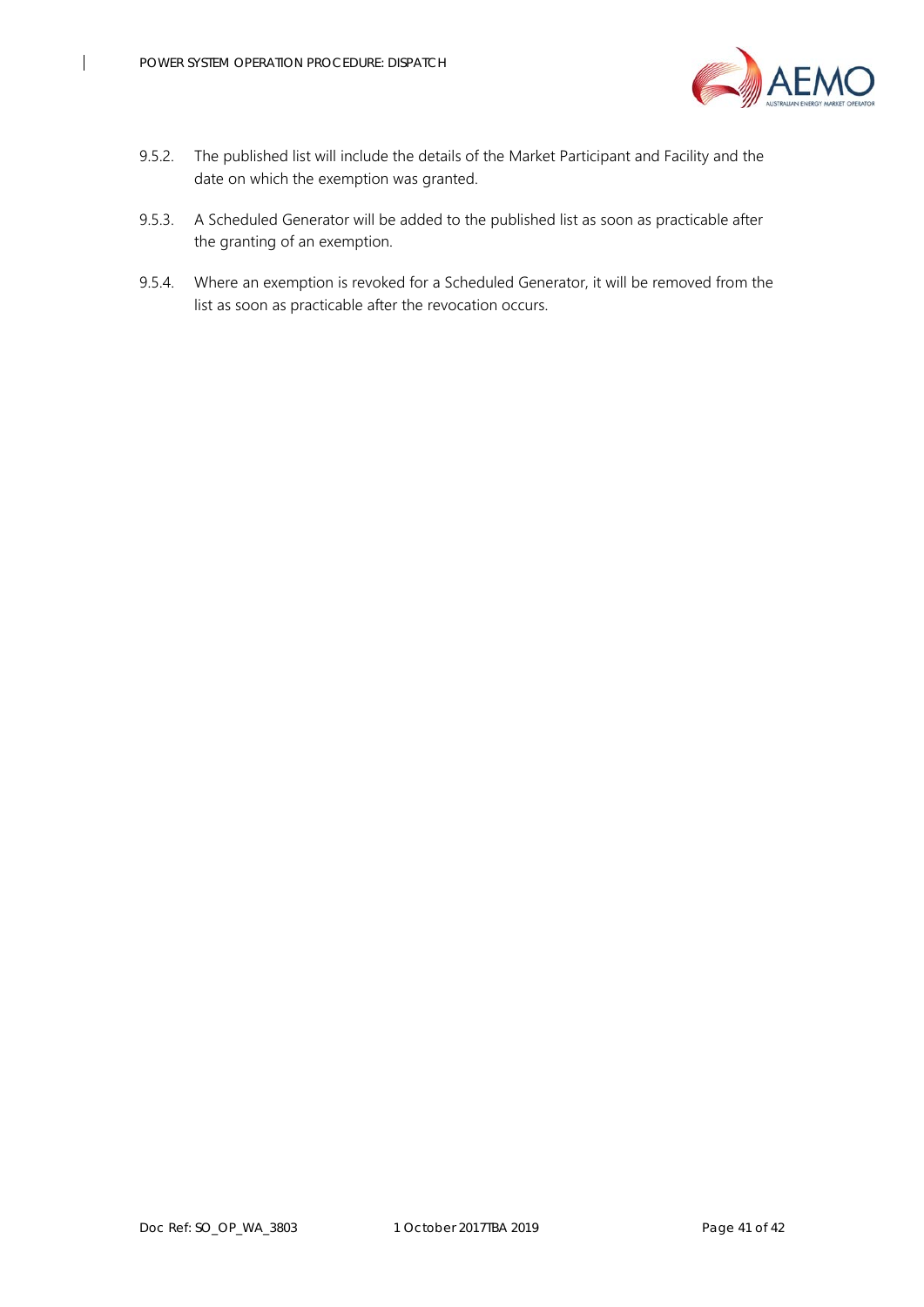$\overline{\phantom{a}}$ 



- 9.5.2. The published list will include the details of the Market Participant and Facility and the date on which the exemption was granted.
- 9.5.3. A Scheduled Generator will be added to the published list as soon as practicable after the granting of an exemption.
- 9.5.4. Where an exemption is revoked for a Scheduled Generator, it will be removed from the list as soon as practicable after the revocation occurs.